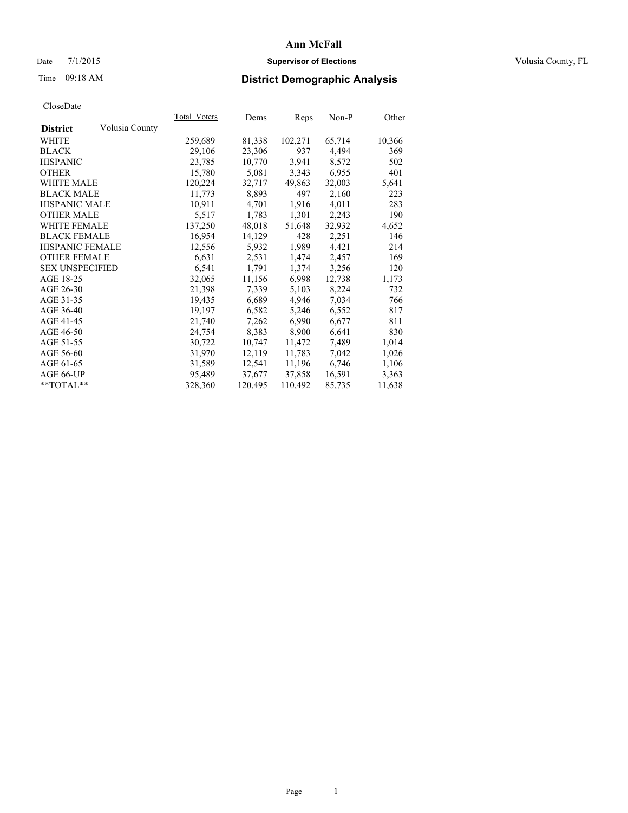# Date 7/1/2015 **Supervisor of Elections Supervisor of Elections** Volusia County, FL

# Time 09:18 AM **District Demographic Analysis**

|                        |                | Total Voters | Dems    | <b>Reps</b> | $Non-P$ | Other  |
|------------------------|----------------|--------------|---------|-------------|---------|--------|
| <b>District</b>        | Volusia County |              |         |             |         |        |
| WHITE                  |                | 259,689      | 81,338  | 102,271     | 65,714  | 10,366 |
| <b>BLACK</b>           |                | 29,106       | 23,306  | 937         | 4,494   | 369    |
| <b>HISPANIC</b>        |                | 23,785       | 10,770  | 3,941       | 8,572   | 502    |
| <b>OTHER</b>           |                | 15,780       | 5,081   | 3,343       | 6,955   | 401    |
| WHITE MALE             |                | 120,224      | 32,717  | 49,863      | 32,003  | 5,641  |
| <b>BLACK MALE</b>      |                | 11,773       | 8,893   | 497         | 2,160   | 223    |
| <b>HISPANIC MALE</b>   |                | 10,911       | 4,701   | 1,916       | 4,011   | 283    |
| <b>OTHER MALE</b>      |                | 5,517        | 1,783   | 1,301       | 2,243   | 190    |
| <b>WHITE FEMALE</b>    |                | 137,250      | 48,018  | 51,648      | 32,932  | 4,652  |
| <b>BLACK FEMALE</b>    |                | 16,954       | 14,129  | 428         | 2,251   | 146    |
| HISPANIC FEMALE        |                | 12,556       | 5,932   | 1,989       | 4,421   | 214    |
| <b>OTHER FEMALE</b>    |                | 6,631        | 2,531   | 1,474       | 2,457   | 169    |
| <b>SEX UNSPECIFIED</b> |                | 6,541        | 1,791   | 1,374       | 3,256   | 120    |
| AGE 18-25              |                | 32,065       | 11,156  | 6,998       | 12,738  | 1,173  |
| AGE 26-30              |                | 21,398       | 7,339   | 5,103       | 8,224   | 732    |
| AGE 31-35              |                | 19,435       | 6,689   | 4,946       | 7,034   | 766    |
| AGE 36-40              |                | 19,197       | 6,582   | 5,246       | 6,552   | 817    |
| AGE 41-45              |                | 21,740       | 7,262   | 6,990       | 6,677   | 811    |
| AGE 46-50              |                | 24,754       | 8,383   | 8,900       | 6,641   | 830    |
| AGE 51-55              |                | 30,722       | 10,747  | 11,472      | 7.489   | 1,014  |
| AGE 56-60              |                | 31,970       | 12,119  | 11,783      | 7,042   | 1,026  |
| AGE 61-65              |                | 31,589       | 12,541  | 11,196      | 6,746   | 1,106  |
| AGE 66-UP              |                | 95,489       | 37,677  | 37,858      | 16,591  | 3,363  |
| $*$ TOTAL $*$          |                | 328,360      | 120,495 | 110,492     | 85,735  | 11,638 |
|                        |                |              |         |             |         |        |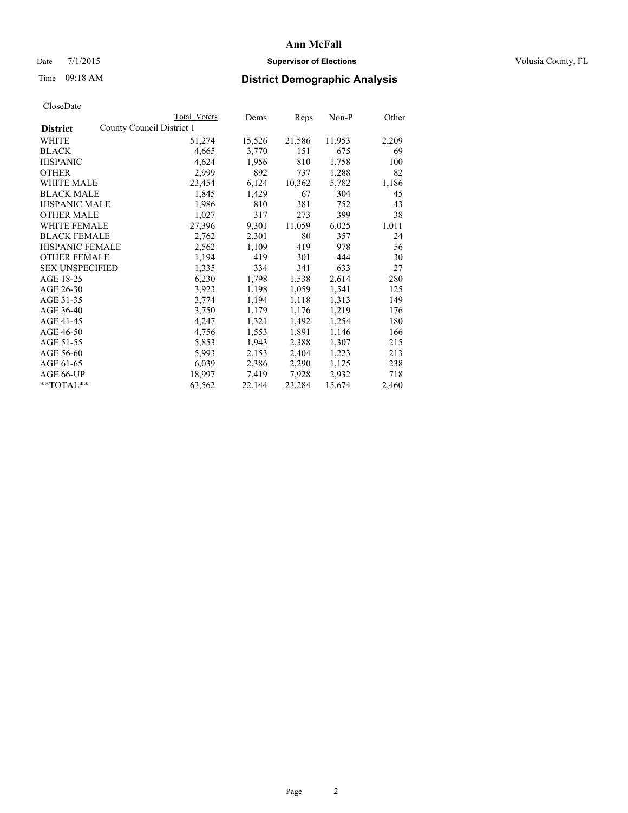# Date 7/1/2015 **Supervisor of Elections Supervisor of Elections** Volusia County, FL

|                                              | Total Voters | Dems   | Reps   | Non-P  | Other |
|----------------------------------------------|--------------|--------|--------|--------|-------|
| County Council District 1<br><b>District</b> |              |        |        |        |       |
| WHITE                                        | 51,274       | 15,526 | 21,586 | 11,953 | 2,209 |
| <b>BLACK</b>                                 | 4,665        | 3,770  | 151    | 675    | 69    |
| <b>HISPANIC</b>                              | 4,624        | 1,956  | 810    | 1,758  | 100   |
| <b>OTHER</b>                                 | 2,999        | 892    | 737    | 1,288  | 82    |
| <b>WHITE MALE</b>                            | 23,454       | 6,124  | 10,362 | 5,782  | 1,186 |
| <b>BLACK MALE</b>                            | 1,845        | 1,429  | 67     | 304    | 45    |
| <b>HISPANIC MALE</b>                         | 1,986        | 810    | 381    | 752    | 43    |
| <b>OTHER MALE</b>                            | 1,027        | 317    | 273    | 399    | 38    |
| <b>WHITE FEMALE</b>                          | 27,396       | 9,301  | 11,059 | 6,025  | 1,011 |
| <b>BLACK FEMALE</b>                          | 2,762        | 2,301  | 80     | 357    | 24    |
| HISPANIC FEMALE                              | 2,562        | 1,109  | 419    | 978    | 56    |
| <b>OTHER FEMALE</b>                          | 1,194        | 419    | 301    | 444    | 30    |
| <b>SEX UNSPECIFIED</b>                       | 1,335        | 334    | 341    | 633    | 27    |
| AGE 18-25                                    | 6,230        | 1,798  | 1,538  | 2,614  | 280   |
| AGE 26-30                                    | 3,923        | 1,198  | 1,059  | 1,541  | 125   |
| AGE 31-35                                    | 3,774        | 1,194  | 1,118  | 1,313  | 149   |
| AGE 36-40                                    | 3,750        | 1,179  | 1,176  | 1,219  | 176   |
| AGE 41-45                                    | 4,247        | 1,321  | 1,492  | 1,254  | 180   |
| AGE 46-50                                    | 4,756        | 1,553  | 1,891  | 1,146  | 166   |
| AGE 51-55                                    | 5,853        | 1,943  | 2,388  | 1,307  | 215   |
| AGE 56-60                                    | 5,993        | 2,153  | 2,404  | 1,223  | 213   |
| AGE 61-65                                    | 6,039        | 2,386  | 2,290  | 1,125  | 238   |
| AGE 66-UP                                    | 18,997       | 7.419  | 7,928  | 2,932  | 718   |
| **TOTAL**                                    | 63,562       | 22,144 | 23,284 | 15,674 | 2,460 |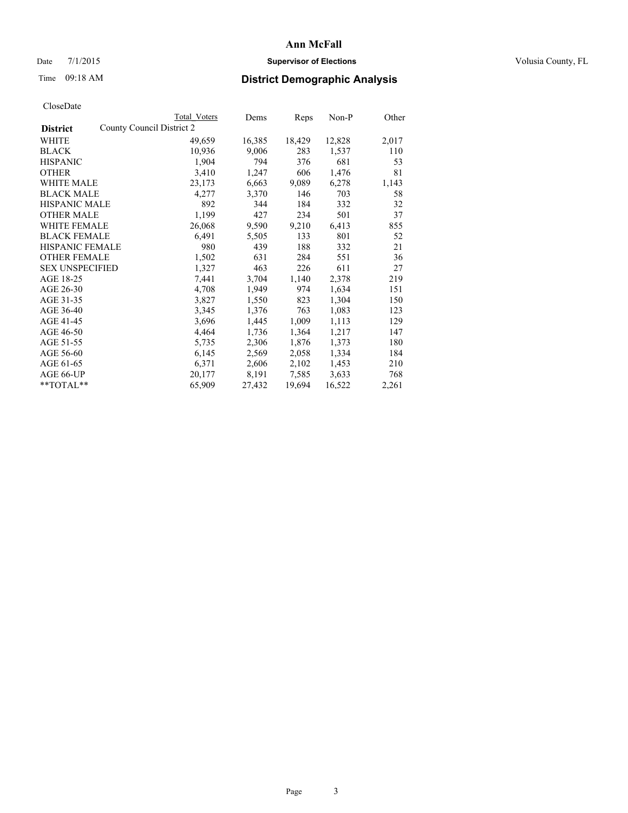# Date 7/1/2015 **Supervisor of Elections Supervisor of Elections** Volusia County, FL

|                                              | <b>Total Voters</b> | Dems   | Reps   | Non-P  | Other |
|----------------------------------------------|---------------------|--------|--------|--------|-------|
| County Council District 2<br><b>District</b> |                     |        |        |        |       |
| WHITE                                        | 49,659              | 16,385 | 18,429 | 12,828 | 2,017 |
| <b>BLACK</b>                                 | 10,936              | 9,006  | 283    | 1,537  | 110   |
| <b>HISPANIC</b>                              | 1,904               | 794    | 376    | 681    | 53    |
| <b>OTHER</b>                                 | 3,410               | 1,247  | 606    | 1,476  | 81    |
| <b>WHITE MALE</b>                            | 23,173              | 6,663  | 9,089  | 6,278  | 1,143 |
| <b>BLACK MALE</b>                            | 4,277               | 3,370  | 146    | 703    | 58    |
| <b>HISPANIC MALE</b>                         | 892                 | 344    | 184    | 332    | 32    |
| <b>OTHER MALE</b>                            | 1,199               | 427    | 234    | 501    | 37    |
| <b>WHITE FEMALE</b>                          | 26,068              | 9,590  | 9,210  | 6,413  | 855   |
| <b>BLACK FEMALE</b>                          | 6,491               | 5,505  | 133    | 801    | 52    |
| HISPANIC FEMALE                              | 980                 | 439    | 188    | 332    | 21    |
| <b>OTHER FEMALE</b>                          | 1,502               | 631    | 284    | 551    | 36    |
| <b>SEX UNSPECIFIED</b>                       | 1,327               | 463    | 226    | 611    | 27    |
| AGE 18-25                                    | 7,441               | 3,704  | 1,140  | 2,378  | 219   |
| AGE 26-30                                    | 4,708               | 1,949  | 974    | 1,634  | 151   |
| AGE 31-35                                    | 3,827               | 1,550  | 823    | 1,304  | 150   |
| AGE 36-40                                    | 3,345               | 1,376  | 763    | 1,083  | 123   |
| AGE 41-45                                    | 3,696               | 1,445  | 1,009  | 1,113  | 129   |
| AGE 46-50                                    | 4,464               | 1,736  | 1,364  | 1,217  | 147   |
| AGE 51-55                                    | 5,735               | 2,306  | 1,876  | 1,373  | 180   |
| AGE 56-60                                    | 6,145               | 2,569  | 2,058  | 1,334  | 184   |
| AGE 61-65                                    | 6,371               | 2,606  | 2,102  | 1,453  | 210   |
| AGE 66-UP                                    | 20,177              | 8,191  | 7.585  | 3,633  | 768   |
| $*$ TOTAL $*$                                | 65,909              | 27,432 | 19,694 | 16,522 | 2,261 |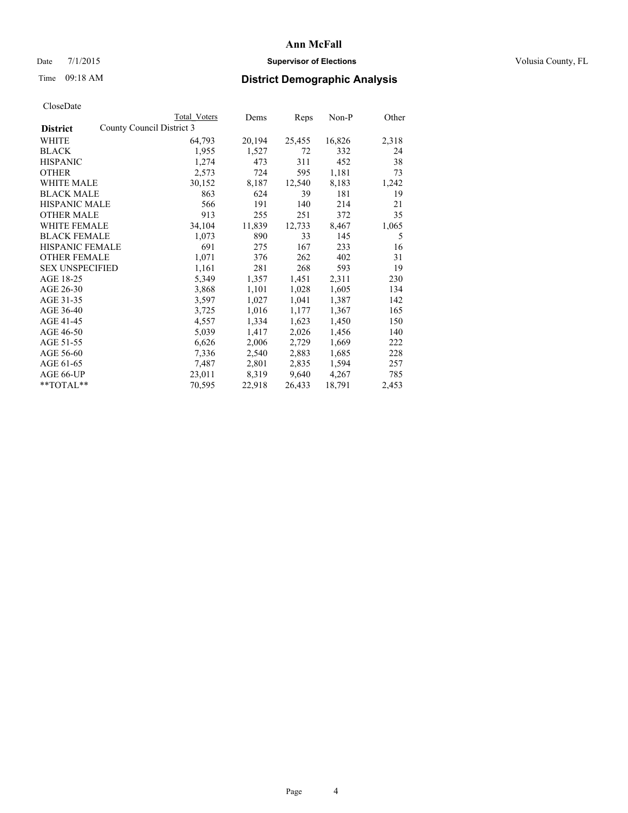# Date 7/1/2015 **Supervisor of Elections Supervisor of Elections** Volusia County, FL

| CloseDate |
|-----------|
|-----------|

|                        |                           | Total Voters | Dems   | Reps   | $Non-P$ | Other |
|------------------------|---------------------------|--------------|--------|--------|---------|-------|
| <b>District</b>        | County Council District 3 |              |        |        |         |       |
| WHITE                  |                           | 64,793       | 20,194 | 25,455 | 16,826  | 2,318 |
| <b>BLACK</b>           |                           | 1,955        | 1,527  | 72     | 332     | 24    |
| <b>HISPANIC</b>        |                           | 1,274        | 473    | 311    | 452     | 38    |
| <b>OTHER</b>           |                           | 2,573        | 724    | 595    | 1,181   | 73    |
| <b>WHITE MALE</b>      |                           | 30,152       | 8,187  | 12,540 | 8,183   | 1,242 |
| <b>BLACK MALE</b>      |                           | 863          | 624    | 39     | 181     | 19    |
| <b>HISPANIC MALE</b>   |                           | 566          | 191    | 140    | 214     | 21    |
| <b>OTHER MALE</b>      |                           | 913          | 255    | 251    | 372     | 35    |
| <b>WHITE FEMALE</b>    |                           | 34,104       | 11,839 | 12,733 | 8,467   | 1,065 |
| <b>BLACK FEMALE</b>    |                           | 1,073        | 890    | 33     | 145     | 5     |
| HISPANIC FEMALE        |                           | 691          | 275    | 167    | 233     | 16    |
| <b>OTHER FEMALE</b>    |                           | 1,071        | 376    | 262    | 402     | 31    |
| <b>SEX UNSPECIFIED</b> |                           | 1,161        | 281    | 268    | 593     | 19    |
| AGE 18-25              |                           | 5,349        | 1,357  | 1,451  | 2,311   | 230   |
| AGE 26-30              |                           | 3,868        | 1,101  | 1,028  | 1,605   | 134   |
| AGE 31-35              |                           | 3,597        | 1,027  | 1,041  | 1,387   | 142   |
| AGE 36-40              |                           | 3,725        | 1,016  | 1,177  | 1,367   | 165   |
| AGE 41-45              |                           | 4,557        | 1,334  | 1,623  | 1,450   | 150   |
| AGE 46-50              |                           | 5,039        | 1,417  | 2,026  | 1,456   | 140   |
| AGE 51-55              |                           | 6,626        | 2,006  | 2,729  | 1,669   | 222   |
| AGE 56-60              |                           | 7,336        | 2,540  | 2,883  | 1,685   | 228   |
| AGE 61-65              |                           | 7,487        | 2,801  | 2,835  | 1,594   | 257   |
| AGE 66-UP              |                           | 23,011       | 8,319  | 9,640  | 4,267   | 785   |
| $*$ $TOTAI.**$         |                           | 70,595       | 22,918 | 26,433 | 18,791  | 2,453 |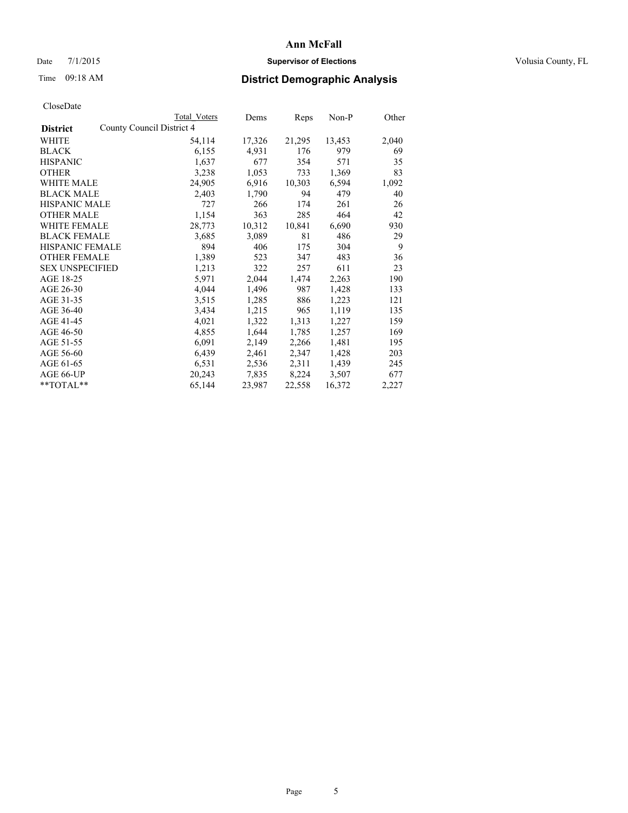# Date 7/1/2015 **Supervisor of Elections Supervisor of Elections** Volusia County, FL

|                        | <b>Total Voters</b>       | Dems   | <b>Reps</b> | Non-P  | Other |
|------------------------|---------------------------|--------|-------------|--------|-------|
| <b>District</b>        | County Council District 4 |        |             |        |       |
| WHITE                  | 54,114                    | 17,326 | 21,295      | 13,453 | 2,040 |
| <b>BLACK</b>           | 6,155                     | 4,931  | 176         | 979    | 69    |
| <b>HISPANIC</b>        | 1,637                     | 677    | 354         | 571    | 35    |
| <b>OTHER</b>           | 3,238                     | 1,053  | 733         | 1,369  | 83    |
| WHITE MALE             | 24,905                    | 6,916  | 10,303      | 6,594  | 1,092 |
| <b>BLACK MALE</b>      | 2,403                     | 1,790  | 94          | 479    | 40    |
| <b>HISPANIC MALE</b>   | 727                       | 266    | 174         | 261    | 26    |
| <b>OTHER MALE</b>      | 1,154                     | 363    | 285         | 464    | 42    |
| <b>WHITE FEMALE</b>    | 28,773                    | 10,312 | 10,841      | 6,690  | 930   |
| <b>BLACK FEMALE</b>    | 3,685                     | 3,089  | 81          | 486    | 29    |
| HISPANIC FEMALE        | 894                       | 406    | 175         | 304    | 9     |
| <b>OTHER FEMALE</b>    | 1,389                     | 523    | 347         | 483    | 36    |
| <b>SEX UNSPECIFIED</b> | 1,213                     | 322    | 257         | 611    | 23    |
| AGE 18-25              | 5,971                     | 2,044  | 1,474       | 2,263  | 190   |
| AGE 26-30              | 4,044                     | 1,496  | 987         | 1,428  | 133   |
| AGE 31-35              | 3,515                     | 1,285  | 886         | 1,223  | 121   |
| AGE 36-40              | 3,434                     | 1,215  | 965         | 1,119  | 135   |
| AGE 41-45              | 4,021                     | 1,322  | 1,313       | 1,227  | 159   |
| AGE 46-50              | 4,855                     | 1,644  | 1,785       | 1,257  | 169   |
| AGE 51-55              | 6,091                     | 2,149  | 2,266       | 1,481  | 195   |
| AGE 56-60              | 6,439                     | 2,461  | 2,347       | 1,428  | 203   |
| AGE 61-65              | 6,531                     | 2,536  | 2,311       | 1,439  | 245   |
| AGE 66-UP              | 20,243                    | 7,835  | 8,224       | 3,507  | 677   |
| $*$ TOTAL $*$          | 65,144                    | 23,987 | 22,558      | 16,372 | 2,227 |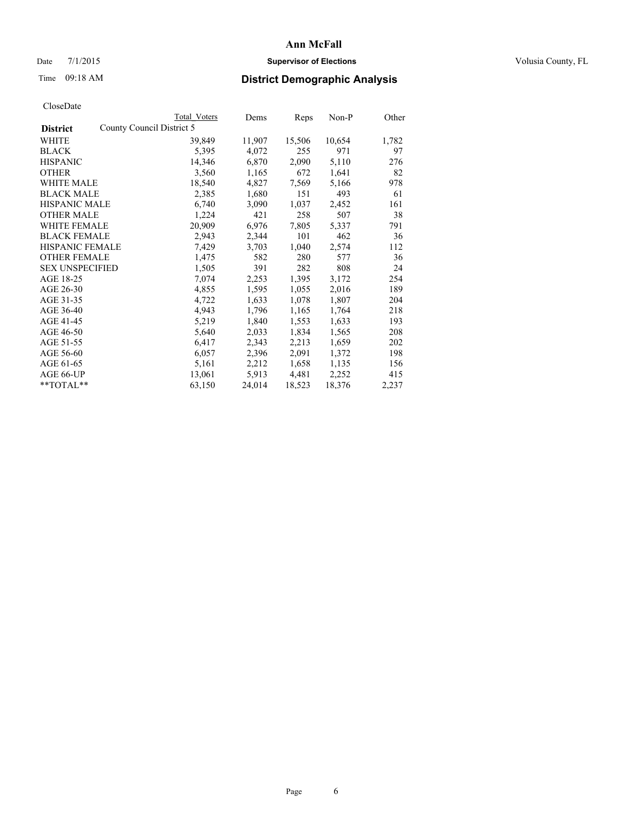# Date 7/1/2015 **Supervisor of Elections Supervisor of Elections** Volusia County, FL

| CloseDate |
|-----------|
|-----------|

|                                              | <b>Total Voters</b> | <u>Dems</u> | Reps   | Non-P  | Other |
|----------------------------------------------|---------------------|-------------|--------|--------|-------|
| County Council District 5<br><b>District</b> |                     |             |        |        |       |
| WHITE                                        | 39,849              | 11,907      | 15,506 | 10,654 | 1,782 |
| <b>BLACK</b>                                 | 5,395               | 4,072       | 255    | 971    | 97    |
| <b>HISPANIC</b>                              | 14,346              | 6,870       | 2,090  | 5,110  | 276   |
| <b>OTHER</b>                                 | 3,560               | 1,165       | 672    | 1,641  | 82    |
| <b>WHITE MALE</b>                            | 18,540              | 4,827       | 7,569  | 5,166  | 978   |
| <b>BLACK MALE</b>                            | 2,385               | 1,680       | 151    | 493    | 61    |
| <b>HISPANIC MALE</b>                         | 6,740               | 3,090       | 1,037  | 2,452  | 161   |
| <b>OTHER MALE</b>                            | 1,224               | 421         | 258    | 507    | 38    |
| WHITE FEMALE                                 | 20,909              | 6,976       | 7,805  | 5,337  | 791   |
| <b>BLACK FEMALE</b>                          | 2,943               | 2,344       | 101    | 462    | 36    |
| HISPANIC FEMALE                              | 7,429               | 3,703       | 1,040  | 2,574  | 112   |
| <b>OTHER FEMALE</b>                          | 1,475               | 582         | 280    | 577    | 36    |
| <b>SEX UNSPECIFIED</b>                       | 1,505               | 391         | 282    | 808    | 24    |
| AGE 18-25                                    | 7,074               | 2,253       | 1,395  | 3,172  | 254   |
| AGE 26-30                                    | 4,855               | 1,595       | 1,055  | 2,016  | 189   |
| AGE 31-35                                    | 4,722               | 1,633       | 1,078  | 1,807  | 204   |
| AGE 36-40                                    | 4,943               | 1,796       | 1,165  | 1,764  | 218   |
| AGE 41-45                                    | 5,219               | 1,840       | 1,553  | 1,633  | 193   |
| AGE 46-50                                    | 5,640               | 2,033       | 1,834  | 1,565  | 208   |
| AGE 51-55                                    | 6,417               | 2,343       | 2,213  | 1,659  | 202   |
| AGE 56-60                                    | 6,057               | 2,396       | 2,091  | 1,372  | 198   |
| AGE 61-65                                    | 5,161               | 2,212       | 1,658  | 1,135  | 156   |
| AGE 66-UP                                    | 13,061              | 5,913       | 4,481  | 2,252  | 415   |
| $*$ TOTAL $*$                                | 63,150              | 24,014      | 18,523 | 18,376 | 2,237 |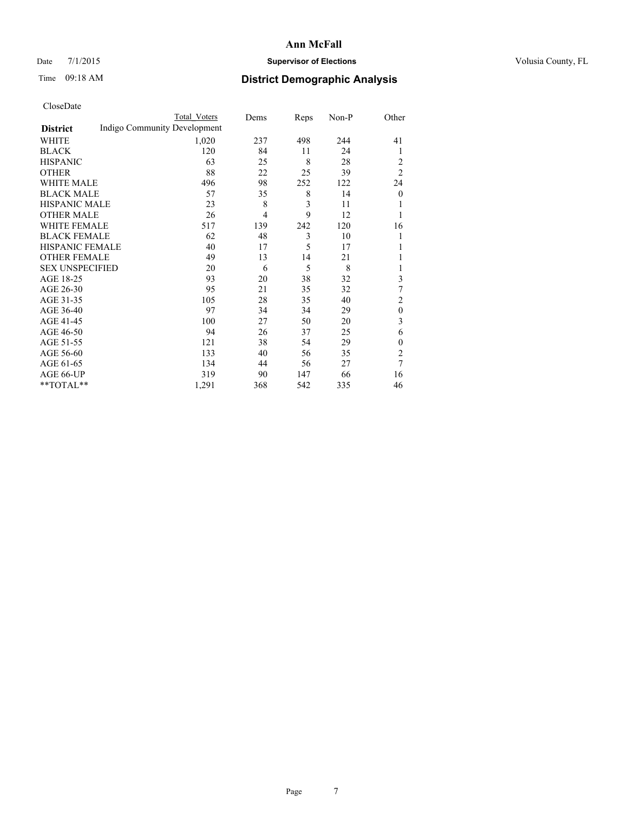# Date 7/1/2015 **Supervisor of Elections Supervisor of Elections** Volusia County, FL

# Time 09:18 AM **District Demographic Analysis**

|                        |                              | <b>Total Voters</b> | Dems           | Reps | Non-P | Other          |
|------------------------|------------------------------|---------------------|----------------|------|-------|----------------|
| <b>District</b>        | Indigo Community Development |                     |                |      |       |                |
| WHITE                  |                              | 1,020               | 237            | 498  | 244   | 41             |
| <b>BLACK</b>           |                              | 120                 | 84             | 11   | 24    | 1              |
| <b>HISPANIC</b>        |                              | 63                  | 25             | 8    | 28    | 2              |
| <b>OTHER</b>           |                              | 88                  | 22             | 25   | 39    | $\overline{2}$ |
| WHITE MALE             |                              | 496                 | 98             | 252  | 122   | 24             |
| <b>BLACK MALE</b>      |                              | 57                  | 35             | 8    | 14    | $\mathbf{0}$   |
| <b>HISPANIC MALE</b>   |                              | 23                  | 8              | 3    | 11    |                |
| <b>OTHER MALE</b>      |                              | 26                  | $\overline{4}$ | 9    | 12    |                |
| WHITE FEMALE           |                              | 517                 | 139            | 242  | 120   | 16             |
| <b>BLACK FEMALE</b>    |                              | 62                  | 48             | 3    | 10    |                |
| <b>HISPANIC FEMALE</b> |                              | 40                  | 17             | 5    | 17    |                |
| <b>OTHER FEMALE</b>    |                              | 49                  | 13             | 14   | 21    |                |
| <b>SEX UNSPECIFIED</b> |                              | 20                  | 6              | 5    | 8     |                |
| AGE 18-25              |                              | 93                  | 20             | 38   | 32    | 3              |
| AGE 26-30              |                              | 95                  | 21             | 35   | 32    | 7              |
| AGE 31-35              |                              | 105                 | 28             | 35   | 40    | $\overline{2}$ |
| AGE 36-40              |                              | 97                  | 34             | 34   | 29    | $\mathbf{0}$   |
| AGE 41-45              |                              | 100                 | 27             | 50   | 20    | 3              |
| AGE 46-50              |                              | 94                  | 26             | 37   | 25    | 6              |
| AGE 51-55              |                              | 121                 | 38             | 54   | 29    | $\mathbf{0}$   |
| AGE 56-60              |                              | 133                 | 40             | 56   | 35    | $\overline{c}$ |
| AGE 61-65              |                              | 134                 | 44             | 56   | 27    | $\overline{7}$ |
| AGE 66-UP              |                              | 319                 | 90             | 147  | 66    | 16             |
| **TOTAL**              |                              | 1,291               | 368            | 542  | 335   | 46             |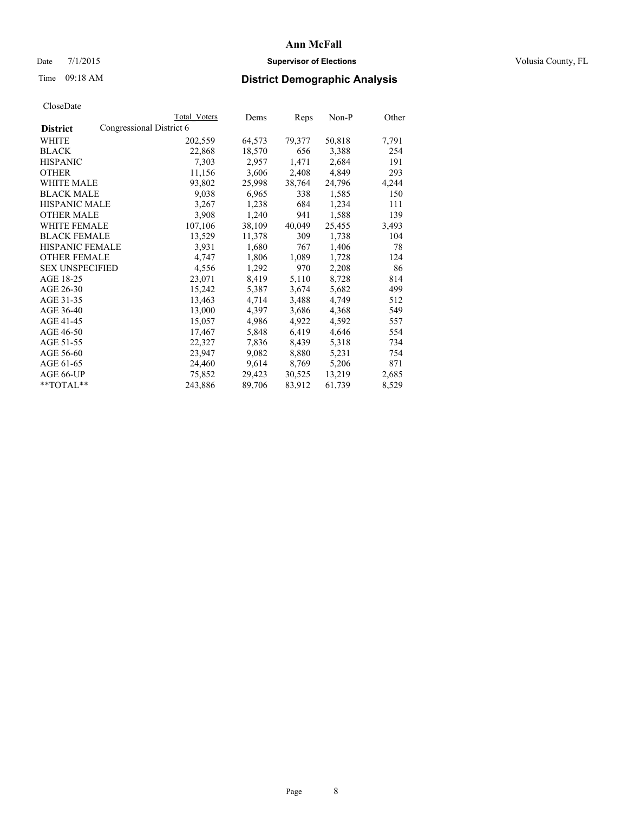# Date 7/1/2015 **Supervisor of Elections Supervisor of Elections** Volusia County, FL

# Time 09:18 AM **District Demographic Analysis**

|                        |                          | <b>Total Voters</b> | Dems   | Reps   | Non-P  | Other |
|------------------------|--------------------------|---------------------|--------|--------|--------|-------|
| <b>District</b>        | Congressional District 6 |                     |        |        |        |       |
| WHITE                  |                          | 202,559             | 64,573 | 79,377 | 50,818 | 7,791 |
| <b>BLACK</b>           |                          | 22,868              | 18,570 | 656    | 3,388  | 254   |
| <b>HISPANIC</b>        |                          | 7,303               | 2,957  | 1,471  | 2,684  | 191   |
| <b>OTHER</b>           |                          | 11,156              | 3,606  | 2,408  | 4,849  | 293   |
| WHITE MALE             |                          | 93,802              | 25,998 | 38,764 | 24,796 | 4,244 |
| <b>BLACK MALE</b>      |                          | 9,038               | 6,965  | 338    | 1,585  | 150   |
| <b>HISPANIC MALE</b>   |                          | 3,267               | 1,238  | 684    | 1,234  | 111   |
| <b>OTHER MALE</b>      |                          | 3,908               | 1,240  | 941    | 1,588  | 139   |
| <b>WHITE FEMALE</b>    |                          | 107,106             | 38,109 | 40,049 | 25,455 | 3,493 |
| <b>BLACK FEMALE</b>    |                          | 13,529              | 11,378 | 309    | 1,738  | 104   |
| <b>HISPANIC FEMALE</b> |                          | 3,931               | 1,680  | 767    | 1,406  | 78    |
| <b>OTHER FEMALE</b>    |                          | 4,747               | 1,806  | 1,089  | 1,728  | 124   |
| <b>SEX UNSPECIFIED</b> |                          | 4,556               | 1,292  | 970    | 2,208  | 86    |
| AGE 18-25              |                          | 23,071              | 8,419  | 5,110  | 8,728  | 814   |
| AGE 26-30              |                          | 15,242              | 5,387  | 3,674  | 5,682  | 499   |
| AGE 31-35              |                          | 13,463              | 4,714  | 3,488  | 4,749  | 512   |
| AGE 36-40              |                          | 13,000              | 4,397  | 3,686  | 4,368  | 549   |
| AGE 41-45              |                          | 15,057              | 4,986  | 4,922  | 4,592  | 557   |
| AGE 46-50              |                          | 17,467              | 5,848  | 6,419  | 4,646  | 554   |
| AGE 51-55              |                          | 22,327              | 7,836  | 8,439  | 5,318  | 734   |
| AGE 56-60              |                          | 23,947              | 9,082  | 8,880  | 5,231  | 754   |
| AGE 61-65              |                          | 24,460              | 9,614  | 8,769  | 5,206  | 871   |
| AGE 66-UP              |                          | 75,852              | 29,423 | 30,525 | 13,219 | 2,685 |
| $*$ TOTAL $*$          |                          | 243,886             | 89,706 | 83,912 | 61,739 | 8,529 |
|                        |                          |                     |        |        |        |       |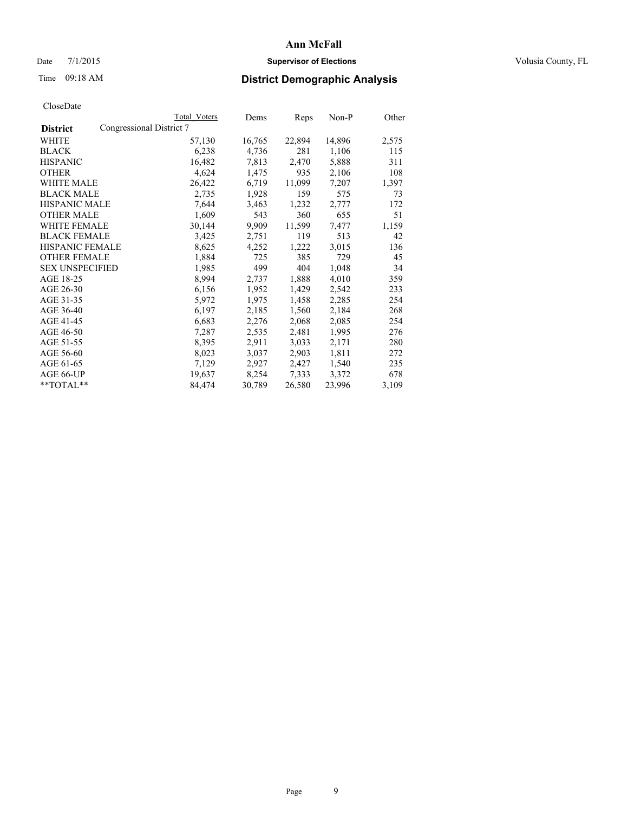# Date 7/1/2015 **Supervisor of Elections Supervisor of Elections** Volusia County, FL

# Time 09:18 AM **District Demographic Analysis**

|                                             | Total Voters | Dems   | Reps   | $Non-P$ | Other |
|---------------------------------------------|--------------|--------|--------|---------|-------|
| Congressional District 7<br><b>District</b> |              |        |        |         |       |
| WHITE                                       | 57,130       | 16,765 | 22,894 | 14,896  | 2,575 |
| <b>BLACK</b>                                | 6,238        | 4,736  | 281    | 1,106   | 115   |
| <b>HISPANIC</b>                             | 16,482       | 7,813  | 2,470  | 5,888   | 311   |
| <b>OTHER</b>                                | 4,624        | 1,475  | 935    | 2,106   | 108   |
| <b>WHITE MALE</b>                           | 26,422       | 6,719  | 11,099 | 7,207   | 1,397 |
| <b>BLACK MALE</b>                           | 2,735        | 1,928  | 159    | 575     | 73    |
| <b>HISPANIC MALE</b>                        | 7,644        | 3,463  | 1,232  | 2,777   | 172   |
| <b>OTHER MALE</b>                           | 1,609        | 543    | 360    | 655     | 51    |
| <b>WHITE FEMALE</b>                         | 30,144       | 9,909  | 11,599 | 7,477   | 1,159 |
| <b>BLACK FEMALE</b>                         | 3,425        | 2,751  | 119    | 513     | 42    |
| HISPANIC FEMALE                             | 8,625        | 4,252  | 1,222  | 3,015   | 136   |
| <b>OTHER FEMALE</b>                         | 1,884        | 725    | 385    | 729     | 45    |
| <b>SEX UNSPECIFIED</b>                      | 1,985        | 499    | 404    | 1,048   | 34    |
| AGE 18-25                                   | 8,994        | 2,737  | 1,888  | 4,010   | 359   |
| AGE 26-30                                   | 6,156        | 1,952  | 1,429  | 2,542   | 233   |
| AGE 31-35                                   | 5,972        | 1,975  | 1,458  | 2,285   | 254   |
| AGE 36-40                                   | 6,197        | 2,185  | 1,560  | 2,184   | 268   |
| AGE 41-45                                   | 6,683        | 2,276  | 2,068  | 2,085   | 254   |
| AGE 46-50                                   | 7,287        | 2,535  | 2,481  | 1,995   | 276   |
| AGE 51-55                                   | 8,395        | 2,911  | 3,033  | 2,171   | 280   |
| AGE 56-60                                   | 8,023        | 3,037  | 2,903  | 1,811   | 272   |
| AGE 61-65                                   | 7,129        | 2,927  | 2,427  | 1,540   | 235   |
| AGE 66-UP                                   | 19,637       | 8,254  | 7.333  | 3,372   | 678   |
| $*$ TOTAL $*$                               | 84,474       | 30,789 | 26,580 | 23,996  | 3,109 |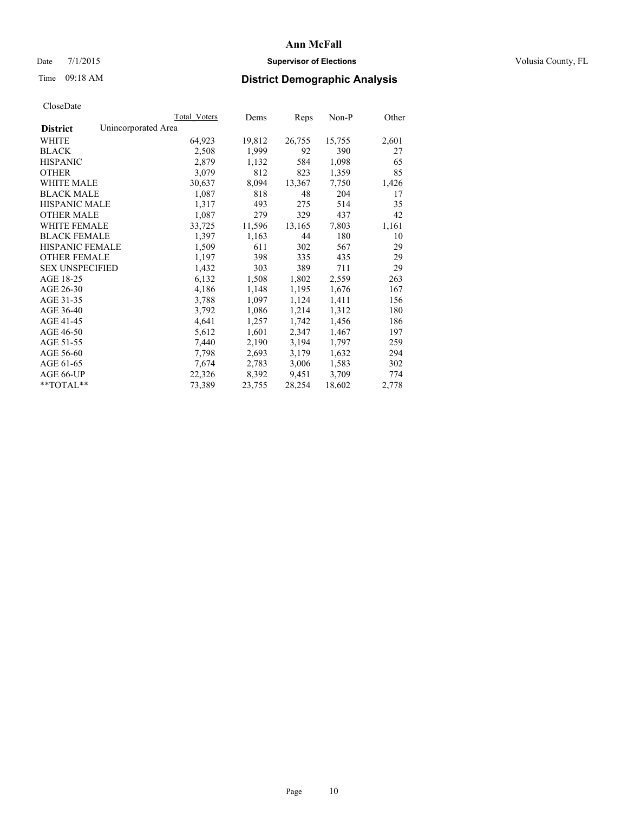# Date 7/1/2015 **Supervisor of Elections Supervisor of Elections** Volusia County, FL

# Time 09:18 AM **District Demographic Analysis**

|                                        | Total Voters | Dems   | <b>Reps</b> | Non-P  | Other |
|----------------------------------------|--------------|--------|-------------|--------|-------|
| Unincorporated Area<br><b>District</b> |              |        |             |        |       |
| WHITE                                  | 64,923       | 19,812 | 26,755      | 15,755 | 2,601 |
| <b>BLACK</b>                           | 2,508        | 1,999  | 92          | 390    | 27    |
| <b>HISPANIC</b>                        | 2,879        | 1,132  | 584         | 1,098  | 65    |
| <b>OTHER</b>                           | 3,079        | 812    | 823         | 1,359  | 85    |
| <b>WHITE MALE</b>                      | 30,637       | 8,094  | 13,367      | 7,750  | 1,426 |
| <b>BLACK MALE</b>                      | 1,087        | 818    | 48          | 204    | 17    |
| <b>HISPANIC MALE</b>                   | 1,317        | 493    | 275         | 514    | 35    |
| <b>OTHER MALE</b>                      | 1,087        | 279    | 329         | 437    | 42    |
| <b>WHITE FEMALE</b>                    | 33,725       | 11,596 | 13,165      | 7,803  | 1,161 |
| <b>BLACK FEMALE</b>                    | 1,397        | 1,163  | 44          | 180    | 10    |
| <b>HISPANIC FEMALE</b>                 | 1,509        | 611    | 302         | 567    | 29    |
| <b>OTHER FEMALE</b>                    | 1,197        | 398    | 335         | 435    | 29    |
| <b>SEX UNSPECIFIED</b>                 | 1,432        | 303    | 389         | 711    | 29    |
| AGE 18-25                              | 6,132        | 1,508  | 1,802       | 2,559  | 263   |
| AGE 26-30                              | 4,186        | 1,148  | 1,195       | 1,676  | 167   |
| AGE 31-35                              | 3,788        | 1,097  | 1,124       | 1,411  | 156   |
| AGE 36-40                              | 3,792        | 1,086  | 1,214       | 1,312  | 180   |
| AGE 41-45                              | 4,641        | 1,257  | 1,742       | 1,456  | 186   |
| AGE 46-50                              | 5,612        | 1,601  | 2,347       | 1,467  | 197   |
| AGE 51-55                              | 7,440        | 2,190  | 3,194       | 1,797  | 259   |
| AGE 56-60                              | 7,798        | 2,693  | 3,179       | 1,632  | 294   |
| AGE 61-65                              | 7,674        | 2,783  | 3,006       | 1,583  | 302   |
| AGE 66-UP                              | 22,326       | 8,392  | 9,451       | 3,709  | 774   |
| **TOTAL**                              | 73,389       | 23,755 | 28,254      | 18,602 | 2,778 |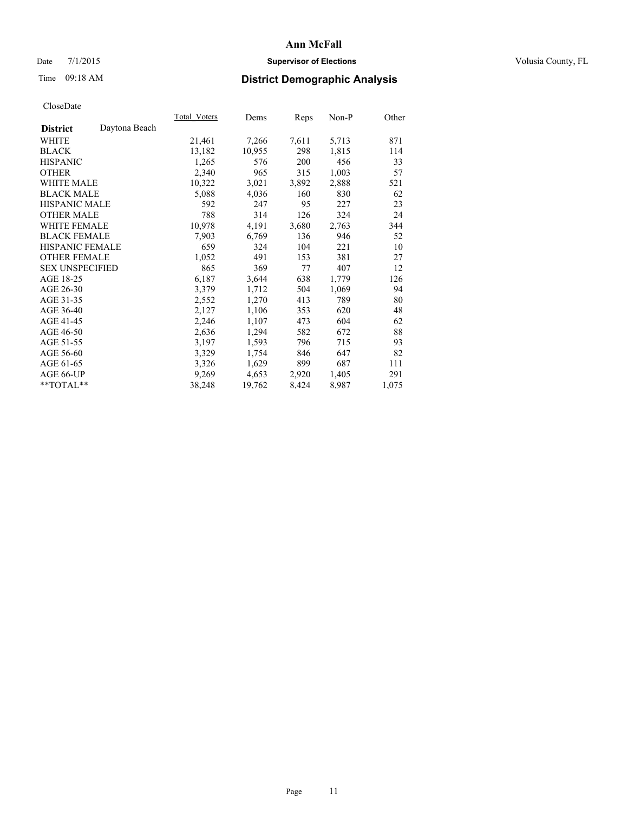# Date 7/1/2015 **Supervisor of Elections Supervisor of Elections** Volusia County, FL

# Time 09:18 AM **District Demographic Analysis**

|                                  | Total Voters | Dems   | Reps  | $Non-P$ | Other |
|----------------------------------|--------------|--------|-------|---------|-------|
| Daytona Beach<br><b>District</b> |              |        |       |         |       |
| WHITE                            | 21,461       | 7,266  | 7,611 | 5,713   | 871   |
| <b>BLACK</b>                     | 13,182       | 10,955 | 298   | 1,815   | 114   |
| <b>HISPANIC</b>                  | 1,265        | 576    | 200   | 456     | 33    |
| <b>OTHER</b>                     | 2,340        | 965    | 315   | 1,003   | 57    |
| WHITE MALE                       | 10,322       | 3,021  | 3,892 | 2,888   | 521   |
| <b>BLACK MALE</b>                | 5,088        | 4,036  | 160   | 830     | 62    |
| <b>HISPANIC MALE</b>             | 592          | 247    | 95    | 227     | 23    |
| <b>OTHER MALE</b>                | 788          | 314    | 126   | 324     | 24    |
| <b>WHITE FEMALE</b>              | 10,978       | 4,191  | 3,680 | 2,763   | 344   |
| <b>BLACK FEMALE</b>              | 7,903        | 6,769  | 136   | 946     | 52    |
| HISPANIC FEMALE                  | 659          | 324    | 104   | 221     | 10    |
| <b>OTHER FEMALE</b>              | 1,052        | 491    | 153   | 381     | 27    |
| <b>SEX UNSPECIFIED</b>           | 865          | 369    | 77    | 407     | 12    |
| AGE 18-25                        | 6,187        | 3,644  | 638   | 1,779   | 126   |
| AGE 26-30                        | 3,379        | 1,712  | 504   | 1,069   | 94    |
| AGE 31-35                        | 2,552        | 1,270  | 413   | 789     | 80    |
| AGE 36-40                        | 2,127        | 1,106  | 353   | 620     | 48    |
| AGE 41-45                        | 2,246        | 1,107  | 473   | 604     | 62    |
| AGE 46-50                        | 2,636        | 1,294  | 582   | 672     | 88    |
| AGE 51-55                        | 3,197        | 1,593  | 796   | 715     | 93    |
| AGE 56-60                        | 3,329        | 1,754  | 846   | 647     | 82    |
| AGE 61-65                        | 3,326        | 1,629  | 899   | 687     | 111   |
| AGE 66-UP                        | 9,269        | 4,653  | 2,920 | 1,405   | 291   |
| $*$ TOTAL $*$                    | 38,248       | 19,762 | 8,424 | 8,987   | 1,075 |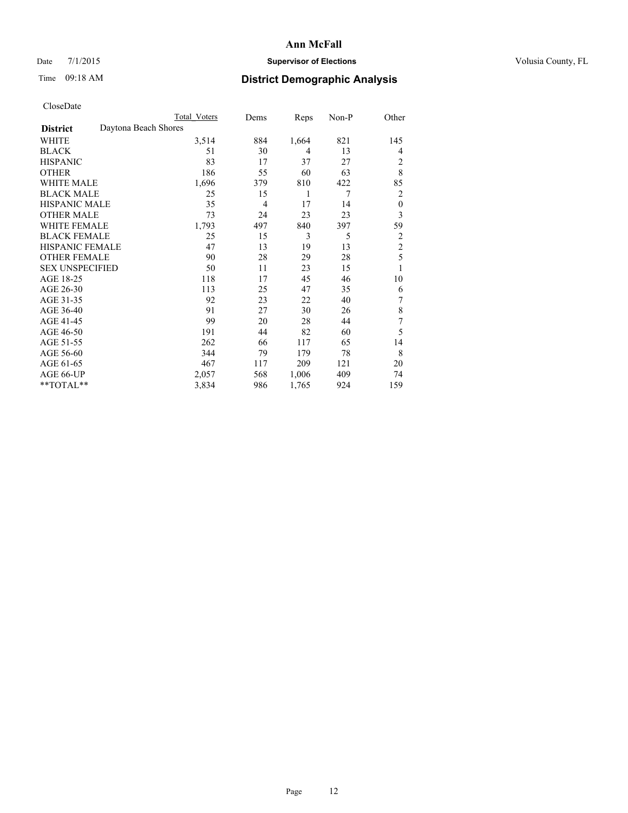# Date 7/1/2015 **Supervisor of Elections Supervisor of Elections** Volusia County, FL

# Time 09:18 AM **District Demographic Analysis**

|                        | Total Voters         | Dems | Reps           | Non-P | Other            |
|------------------------|----------------------|------|----------------|-------|------------------|
| <b>District</b>        | Daytona Beach Shores |      |                |       |                  |
| WHITE                  | 3,514                | 884  | 1,664          | 821   | 145              |
| <b>BLACK</b>           | 51                   | 30   | $\overline{4}$ | 13    | 4                |
| <b>HISPANIC</b>        | 83                   | 17   | 37             | 27    | 2                |
| <b>OTHER</b>           | 186                  | 55   | 60             | 63    | 8                |
| WHITE MALE             | 1,696                | 379  | 810            | 422   | 85               |
| <b>BLACK MALE</b>      | 25                   | 15   | 1              | 7     | 2                |
| <b>HISPANIC MALE</b>   | 35                   | 4    | 17             | 14    | $\boldsymbol{0}$ |
| <b>OTHER MALE</b>      | 73                   | 24   | 23             | 23    | 3                |
| WHITE FEMALE           | 1,793                | 497  | 840            | 397   | 59               |
| <b>BLACK FEMALE</b>    | 25                   | 15   | 3              | 5     | 2                |
| <b>HISPANIC FEMALE</b> | 47                   | 13   | 19             | 13    | $\overline{c}$   |
| <b>OTHER FEMALE</b>    | 90                   | 28   | 29             | 28    | 5                |
| <b>SEX UNSPECIFIED</b> | 50                   | 11   | 23             | 15    | 1                |
| AGE 18-25              | 118                  | 17   | 45             | 46    | 10               |
| AGE 26-30              | 113                  | 25   | 47             | 35    | 6                |
| AGE 31-35              | 92                   | 23   | 22             | 40    | 7                |
| AGE 36-40              | 91                   | 27   | 30             | 26    | 8                |
| AGE 41-45              | 99                   | 20   | 28             | 44    | 7                |
| AGE 46-50              | 191                  | 44   | 82             | 60    | 5                |
| AGE 51-55              | 262                  | 66   | 117            | 65    | 14               |
| AGE 56-60              | 344                  | 79   | 179            | 78    | 8                |
| AGE 61-65              | 467                  | 117  | 209            | 121   | 20               |
| AGE 66-UP              | 2,057                | 568  | 1,006          | 409   | 74               |
| **TOTAL**              | 3,834                | 986  | 1,765          | 924   | 159              |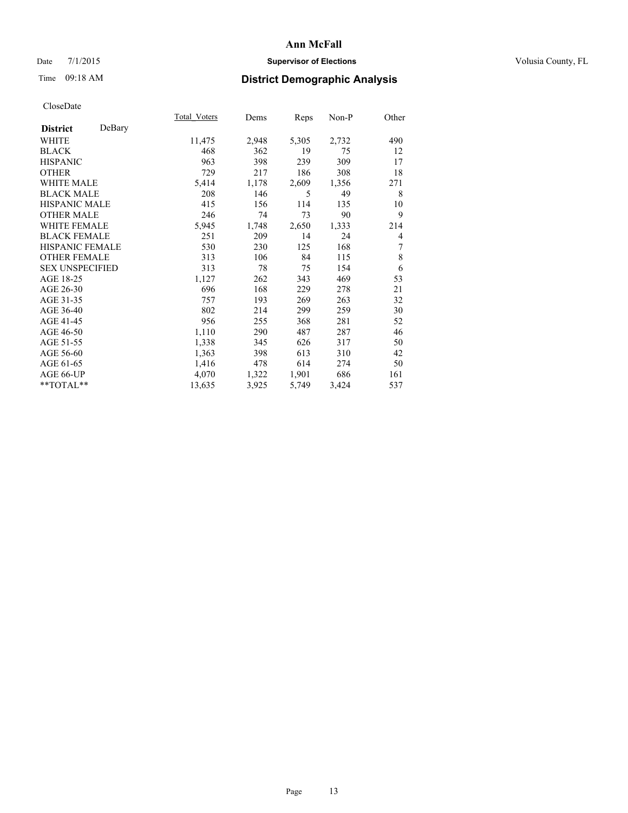# Date 7/1/2015 **Supervisor of Elections Supervisor of Elections** Volusia County, FL

# Time 09:18 AM **District Demographic Analysis**

|                           | Total Voters | Dems  | <b>Reps</b> | Non-P | Other |
|---------------------------|--------------|-------|-------------|-------|-------|
| DeBary<br><b>District</b> |              |       |             |       |       |
| WHITE                     | 11,475       | 2,948 | 5,305       | 2,732 | 490   |
| <b>BLACK</b>              | 468          | 362   | 19          | 75    | 12    |
| <b>HISPANIC</b>           | 963          | 398   | 239         | 309   | 17    |
| <b>OTHER</b>              | 729          | 217   | 186         | 308   | 18    |
| <b>WHITE MALE</b>         | 5,414        | 1,178 | 2,609       | 1,356 | 271   |
| <b>BLACK MALE</b>         | 208          | 146   | 5           | 49    | 8     |
| HISPANIC MALE             | 415          | 156   | 114         | 135   | 10    |
| <b>OTHER MALE</b>         | 246          | 74    | 73          | 90    | 9     |
| <b>WHITE FEMALE</b>       | 5,945        | 1,748 | 2,650       | 1,333 | 214   |
| <b>BLACK FEMALE</b>       | 251          | 209   | 14          | 24    | 4     |
| <b>HISPANIC FEMALE</b>    | 530          | 230   | 125         | 168   | 7     |
| <b>OTHER FEMALE</b>       | 313          | 106   | 84          | 115   | 8     |
| <b>SEX UNSPECIFIED</b>    | 313          | 78    | 75          | 154   | 6     |
| AGE 18-25                 | 1,127        | 262   | 343         | 469   | 53    |
| AGE 26-30                 | 696          | 168   | 229         | 278   | 21    |
| AGE 31-35                 | 757          | 193   | 269         | 263   | 32    |
| AGE 36-40                 | 802          | 214   | 299         | 259   | 30    |
| AGE 41-45                 | 956          | 255   | 368         | 281   | 52    |
| AGE 46-50                 | 1,110        | 290   | 487         | 287   | 46    |
| AGE 51-55                 | 1,338        | 345   | 626         | 317   | 50    |
| AGE 56-60                 | 1,363        | 398   | 613         | 310   | 42    |
| AGE 61-65                 | 1,416        | 478   | 614         | 274   | 50    |
| AGE 66-UP                 | 4,070        | 1,322 | 1,901       | 686   | 161   |
| **TOTAL**                 | 13,635       | 3,925 | 5,749       | 3,424 | 537   |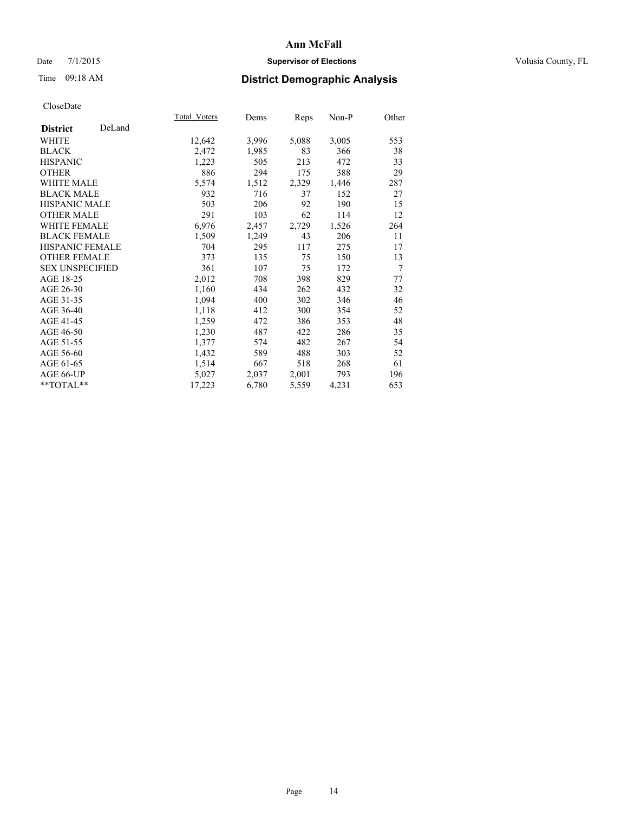# Date 7/1/2015 **Supervisor of Elections Supervisor of Elections** Volusia County, FL

# Time 09:18 AM **District Demographic Analysis**

|                        |        | Total Voters | Dems  | <b>Reps</b> | Non-P | Other |
|------------------------|--------|--------------|-------|-------------|-------|-------|
| <b>District</b>        | DeLand |              |       |             |       |       |
| WHITE                  |        | 12,642       | 3,996 | 5,088       | 3,005 | 553   |
| <b>BLACK</b>           |        | 2,472        | 1,985 | 83          | 366   | 38    |
| <b>HISPANIC</b>        |        | 1,223        | 505   | 213         | 472   | 33    |
| <b>OTHER</b>           |        | 886          | 294   | 175         | 388   | 29    |
| <b>WHITE MALE</b>      |        | 5,574        | 1,512 | 2,329       | 1,446 | 287   |
| <b>BLACK MALE</b>      |        | 932          | 716   | 37          | 152   | 27    |
| <b>HISPANIC MALE</b>   |        | 503          | 206   | 92          | 190   | 15    |
| <b>OTHER MALE</b>      |        | 291          | 103   | 62          | 114   | 12    |
| <b>WHITE FEMALE</b>    |        | 6,976        | 2,457 | 2,729       | 1,526 | 264   |
| <b>BLACK FEMALE</b>    |        | 1,509        | 1,249 | 43          | 206   | 11    |
| <b>HISPANIC FEMALE</b> |        | 704          | 295   | 117         | 275   | 17    |
| <b>OTHER FEMALE</b>    |        | 373          | 135   | 75          | 150   | 13    |
| <b>SEX UNSPECIFIED</b> |        | 361          | 107   | 75          | 172   | 7     |
| AGE 18-25              |        | 2,012        | 708   | 398         | 829   | 77    |
| AGE 26-30              |        | 1,160        | 434   | 262         | 432   | 32    |
| AGE 31-35              |        | 1,094        | 400   | 302         | 346   | 46    |
| AGE 36-40              |        | 1,118        | 412   | 300         | 354   | 52    |
| AGE 41-45              |        | 1,259        | 472   | 386         | 353   | 48    |
| AGE 46-50              |        | 1,230        | 487   | 422         | 286   | 35    |
| AGE 51-55              |        | 1,377        | 574   | 482         | 267   | 54    |
| AGE 56-60              |        | 1,432        | 589   | 488         | 303   | 52    |
| AGE 61-65              |        | 1,514        | 667   | 518         | 268   | 61    |
| AGE 66-UP              |        | 5,027        | 2,037 | 2,001       | 793   | 196   |
| $*$ $TOTAL**$          |        | 17,223       | 6,780 | 5,559       | 4,231 | 653   |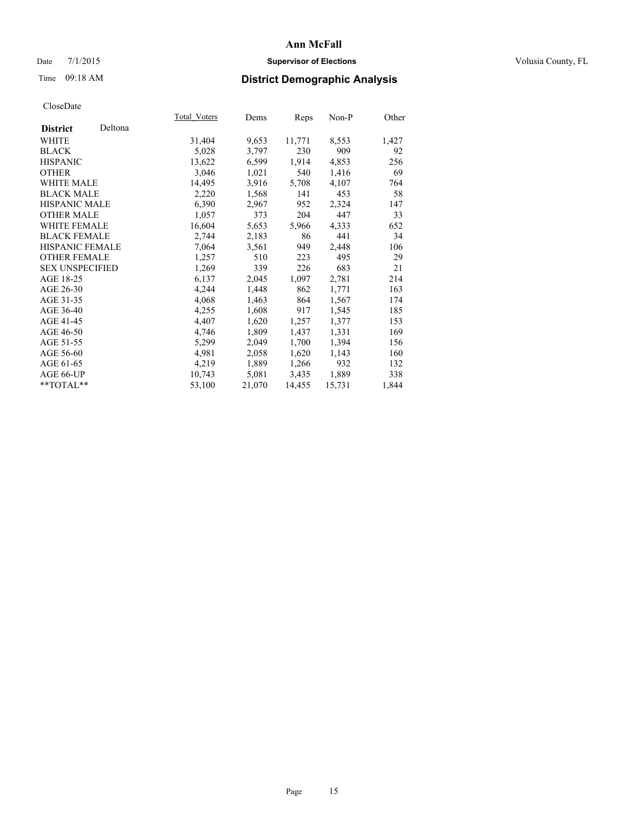# Date 7/1/2015 **Supervisor of Elections Supervisor of Elections** Volusia County, FL

# Time 09:18 AM **District Demographic Analysis**

|                        |         | <b>Total Voters</b> | Dems   | Reps   | Non-P  | Other |
|------------------------|---------|---------------------|--------|--------|--------|-------|
| <b>District</b>        | Deltona |                     |        |        |        |       |
| WHITE                  |         | 31,404              | 9,653  | 11,771 | 8,553  | 1,427 |
| <b>BLACK</b>           |         | 5,028               | 3,797  | 230    | 909    | 92    |
| <b>HISPANIC</b>        |         | 13,622              | 6,599  | 1,914  | 4,853  | 256   |
| <b>OTHER</b>           |         | 3,046               | 1,021  | 540    | 1,416  | 69    |
| <b>WHITE MALE</b>      |         | 14,495              | 3,916  | 5,708  | 4,107  | 764   |
| <b>BLACK MALE</b>      |         | 2,220               | 1,568  | 141    | 453    | 58    |
| <b>HISPANIC MALE</b>   |         | 6,390               | 2,967  | 952    | 2,324  | 147   |
| <b>OTHER MALE</b>      |         | 1,057               | 373    | 204    | 447    | 33    |
| WHITE FEMALE           |         | 16,604              | 5,653  | 5,966  | 4,333  | 652   |
| <b>BLACK FEMALE</b>    |         | 2,744               | 2,183  | 86     | 441    | 34    |
| HISPANIC FEMALE        |         | 7,064               | 3,561  | 949    | 2,448  | 106   |
| <b>OTHER FEMALE</b>    |         | 1,257               | 510    | 223    | 495    | 29    |
| <b>SEX UNSPECIFIED</b> |         | 1,269               | 339    | 226    | 683    | 21    |
| AGE 18-25              |         | 6,137               | 2,045  | 1,097  | 2,781  | 214   |
| AGE 26-30              |         | 4,244               | 1,448  | 862    | 1,771  | 163   |
| AGE 31-35              |         | 4,068               | 1,463  | 864    | 1,567  | 174   |
| AGE 36-40              |         | 4,255               | 1,608  | 917    | 1,545  | 185   |
| AGE 41-45              |         | 4,407               | 1,620  | 1,257  | 1,377  | 153   |
| AGE 46-50              |         | 4,746               | 1,809  | 1,437  | 1,331  | 169   |
| AGE 51-55              |         | 5,299               | 2,049  | 1,700  | 1,394  | 156   |
| AGE 56-60              |         | 4,981               | 2,058  | 1,620  | 1,143  | 160   |
| AGE 61-65              |         | 4,219               | 1,889  | 1,266  | 932    | 132   |
| AGE 66-UP              |         | 10,743              | 5,081  | 3,435  | 1,889  | 338   |
| $*$ $TOTAI.**$         |         | 53,100              | 21,070 | 14,455 | 15,731 | 1,844 |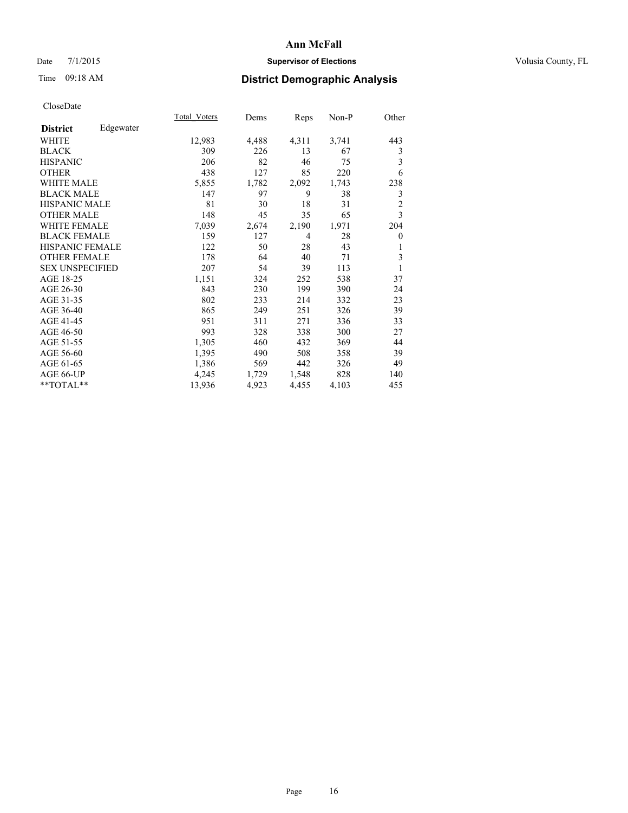# Date 7/1/2015 **Supervisor of Elections Supervisor of Elections** Volusia County, FL

# Time 09:18 AM **District Demographic Analysis**

|                        |           | Total Voters | Dems  | <b>Reps</b>    | Non-P | Other          |
|------------------------|-----------|--------------|-------|----------------|-------|----------------|
| <b>District</b>        | Edgewater |              |       |                |       |                |
| WHITE                  |           | 12,983       | 4,488 | 4,311          | 3,741 | 443            |
| <b>BLACK</b>           |           | 309          | 226   | 13             | 67    | 3              |
| <b>HISPANIC</b>        |           | 206          | 82    | 46             | 75    | 3              |
| <b>OTHER</b>           |           | 438          | 127   | 85             | 220   | 6              |
| <b>WHITE MALE</b>      |           | 5,855        | 1,782 | 2,092          | 1,743 | 238            |
| <b>BLACK MALE</b>      |           | 147          | 97    | 9              | 38    | 3              |
| <b>HISPANIC MALE</b>   |           | 81           | 30    | 18             | 31    | $\overline{2}$ |
| <b>OTHER MALE</b>      |           | 148          | 45    | 35             | 65    | 3              |
| <b>WHITE FEMALE</b>    |           | 7,039        | 2,674 | 2,190          | 1,971 | 204            |
| <b>BLACK FEMALE</b>    |           | 159          | 127   | $\overline{4}$ | 28    | 0              |
| HISPANIC FEMALE        |           | 122          | 50    | 28             | 43    | 1              |
| <b>OTHER FEMALE</b>    |           | 178          | 64    | 40             | 71    | 3              |
| <b>SEX UNSPECIFIED</b> |           | 207          | 54    | 39             | 113   | 1              |
| AGE 18-25              |           | 1,151        | 324   | 252            | 538   | 37             |
| AGE 26-30              |           | 843          | 230   | 199            | 390   | 24             |
| AGE 31-35              |           | 802          | 233   | 214            | 332   | 23             |
| AGE 36-40              |           | 865          | 249   | 251            | 326   | 39             |
| AGE 41-45              |           | 951          | 311   | 271            | 336   | 33             |
| AGE 46-50              |           | 993          | 328   | 338            | 300   | 27             |
| AGE 51-55              |           | 1,305        | 460   | 432            | 369   | 44             |
| AGE 56-60              |           | 1,395        | 490   | 508            | 358   | 39             |
| AGE 61-65              |           | 1,386        | 569   | 442            | 326   | 49             |
| AGE 66-UP              |           | 4,245        | 1,729 | 1,548          | 828   | 140            |
| **TOTAL**              |           | 13,936       | 4,923 | 4,455          | 4,103 | 455            |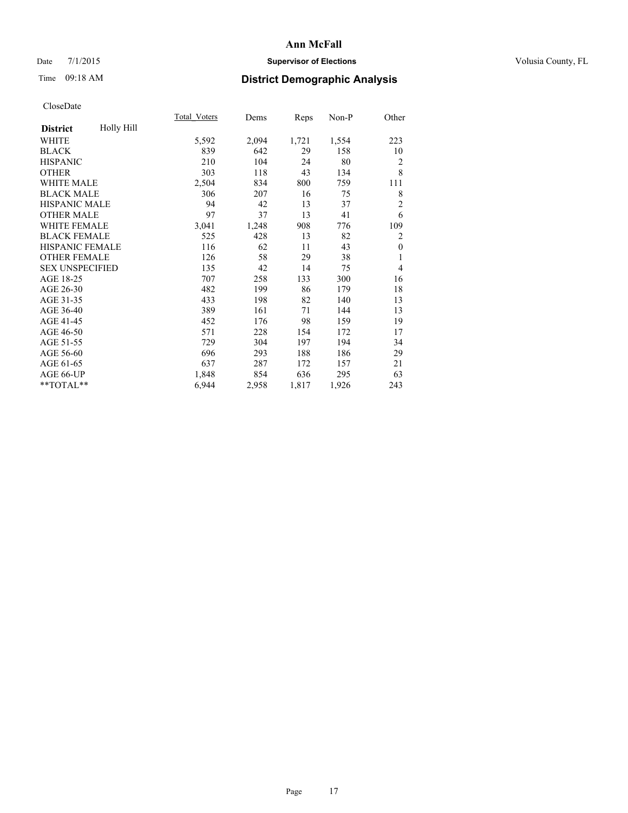# Date 7/1/2015 **Supervisor of Elections Supervisor of Elections** Volusia County, FL

# Time 09:18 AM **District Demographic Analysis**

|                        |            | <b>Total Voters</b> | Dems  | Reps  | Non-P | Other          |
|------------------------|------------|---------------------|-------|-------|-------|----------------|
| <b>District</b>        | Holly Hill |                     |       |       |       |                |
| WHITE                  |            | 5,592               | 2,094 | 1,721 | 1,554 | 223            |
| <b>BLACK</b>           |            | 839                 | 642   | 29    | 158   | 10             |
| <b>HISPANIC</b>        |            | 210                 | 104   | 24    | 80    | $\overline{2}$ |
| <b>OTHER</b>           |            | 303                 | 118   | 43    | 134   | 8              |
| WHITE MALE             |            | 2,504               | 834   | 800   | 759   | 111            |
| <b>BLACK MALE</b>      |            | 306                 | 207   | 16    | 75    | 8              |
| HISPANIC MALE          |            | 94                  | 42    | 13    | 37    | $\overline{2}$ |
| <b>OTHER MALE</b>      |            | 97                  | 37    | 13    | 41    | 6              |
| <b>WHITE FEMALE</b>    |            | 3,041               | 1,248 | 908   | 776   | 109            |
| <b>BLACK FEMALE</b>    |            | 525                 | 428   | 13    | 82    | $\overline{2}$ |
| <b>HISPANIC FEMALE</b> |            | 116                 | 62    | 11    | 43    | $\theta$       |
| <b>OTHER FEMALE</b>    |            | 126                 | 58    | 29    | 38    | 1              |
| <b>SEX UNSPECIFIED</b> |            | 135                 | 42    | 14    | 75    | $\overline{4}$ |
| AGE 18-25              |            | 707                 | 258   | 133   | 300   | 16             |
| AGE 26-30              |            | 482                 | 199   | 86    | 179   | 18             |
| AGE 31-35              |            | 433                 | 198   | 82    | 140   | 13             |
| AGE 36-40              |            | 389                 | 161   | 71    | 144   | 13             |
| AGE 41-45              |            | 452                 | 176   | 98    | 159   | 19             |
| AGE 46-50              |            | 571                 | 228   | 154   | 172   | 17             |
| AGE 51-55              |            | 729                 | 304   | 197   | 194   | 34             |
| AGE 56-60              |            | 696                 | 293   | 188   | 186   | 29             |
| AGE 61-65              |            | 637                 | 287   | 172   | 157   | 21             |
| AGE 66-UP              |            | 1,848               | 854   | 636   | 295   | 63             |
| **TOTAL**              |            | 6,944               | 2,958 | 1,817 | 1,926 | 243            |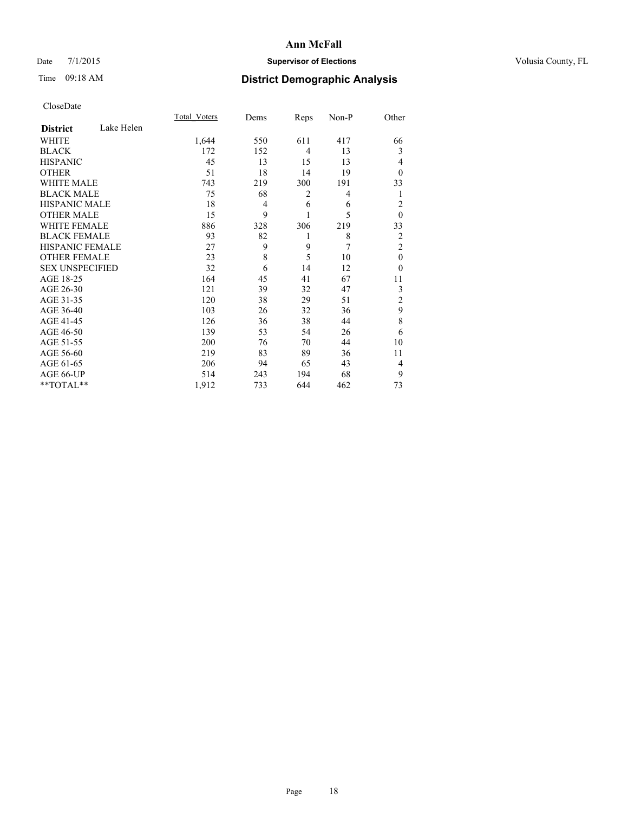# Date 7/1/2015 **Supervisor of Elections Supervisor of Elections** Volusia County, FL

# Time 09:18 AM **District Demographic Analysis**

|                        |            | <b>Total Voters</b> | Dems | Reps           | Non-P | Other          |
|------------------------|------------|---------------------|------|----------------|-------|----------------|
| <b>District</b>        | Lake Helen |                     |      |                |       |                |
| WHITE                  |            | 1,644               | 550  | 611            | 417   | 66             |
| <b>BLACK</b>           |            | 172                 | 152  | $\overline{4}$ | 13    | 3              |
| <b>HISPANIC</b>        |            | 45                  | 13   | 15             | 13    | 4              |
| <b>OTHER</b>           |            | 51                  | 18   | 14             | 19    | $\theta$       |
| WHITE MALE             |            | 743                 | 219  | 300            | 191   | 33             |
| <b>BLACK MALE</b>      |            | 75                  | 68   | 2              | 4     | 1              |
| <b>HISPANIC MALE</b>   |            | 18                  | 4    | 6              | 6     | $\overline{2}$ |
| <b>OTHER MALE</b>      |            | 15                  | 9    | 1              | 5     | $\mathbf{0}$   |
| <b>WHITE FEMALE</b>    |            | 886                 | 328  | 306            | 219   | 33             |
| <b>BLACK FEMALE</b>    |            | 93                  | 82   | 1              | 8     | $\overline{2}$ |
| <b>HISPANIC FEMALE</b> |            | 27                  | 9    | 9              | 7     | $\overline{2}$ |
| <b>OTHER FEMALE</b>    |            | 23                  | 8    | 5              | 10    | $\theta$       |
| <b>SEX UNSPECIFIED</b> |            | 32                  | 6    | 14             | 12    | $\theta$       |
| AGE 18-25              |            | 164                 | 45   | 41             | 67    | 11             |
| AGE 26-30              |            | 121                 | 39   | 32             | 47    | 3              |
| AGE 31-35              |            | 120                 | 38   | 29             | 51    | $\overline{c}$ |
| AGE 36-40              |            | 103                 | 26   | 32             | 36    | 9              |
| AGE 41-45              |            | 126                 | 36   | 38             | 44    | 8              |
| AGE 46-50              |            | 139                 | 53   | 54             | 26    | 6              |
| AGE 51-55              |            | 200                 | 76   | 70             | 44    | 10             |
| AGE 56-60              |            | 219                 | 83   | 89             | 36    | 11             |
| AGE 61-65              |            | 206                 | 94   | 65             | 43    | 4              |
| AGE 66-UP              |            | 514                 | 243  | 194            | 68    | 9              |
| **TOTAL**              |            | 1,912               | 733  | 644            | 462   | 73             |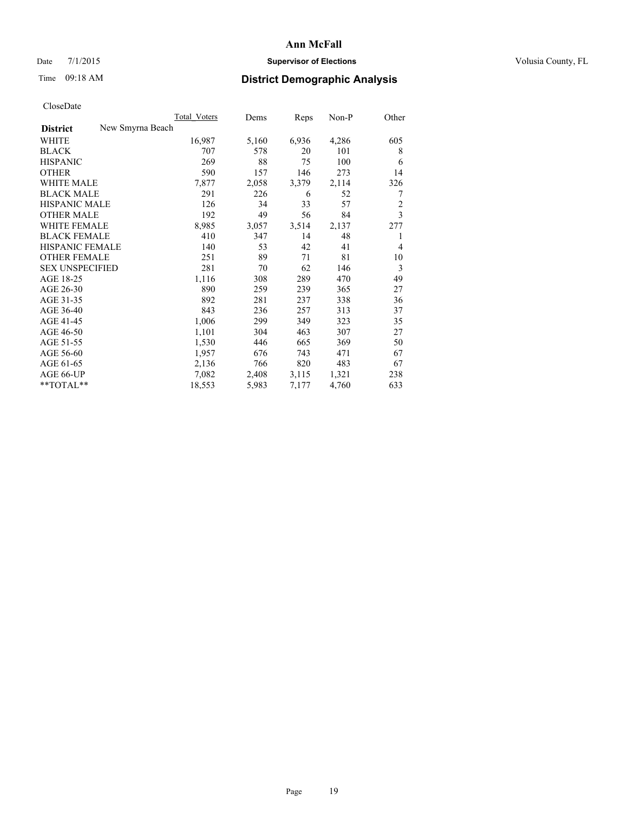# Date 7/1/2015 **Supervisor of Elections Supervisor of Elections** Volusia County, FL

# Time 09:18 AM **District Demographic Analysis**

|                        | Total Voters     | Dems  | Reps  | Non-P | Other          |
|------------------------|------------------|-------|-------|-------|----------------|
| <b>District</b>        | New Smyrna Beach |       |       |       |                |
| WHITE                  | 16,987           | 5,160 | 6,936 | 4,286 | 605            |
| <b>BLACK</b>           | 707              | 578   | 20    | 101   | 8              |
| <b>HISPANIC</b>        | 269              | 88    | 75    | 100   | 6              |
| <b>OTHER</b>           | 590              | 157   | 146   | 273   | 14             |
| <b>WHITE MALE</b>      | 7,877            | 2,058 | 3,379 | 2,114 | 326            |
| <b>BLACK MALE</b>      | 291              | 226   | 6     | 52    | 7              |
| <b>HISPANIC MALE</b>   | 126              | 34    | 33    | 57    | $\overline{2}$ |
| <b>OTHER MALE</b>      | 192              | 49    | 56    | 84    | $\overline{3}$ |
| <b>WHITE FEMALE</b>    | 8,985            | 3,057 | 3,514 | 2,137 | 277            |
| <b>BLACK FEMALE</b>    | 410              | 347   | 14    | 48    | 1              |
| HISPANIC FEMALE        | 140              | 53    | 42    | 41    | 4              |
| <b>OTHER FEMALE</b>    | 251              | 89    | 71    | 81    | 10             |
| <b>SEX UNSPECIFIED</b> | 281              | 70    | 62    | 146   | 3              |
| AGE 18-25              | 1,116            | 308   | 289   | 470   | 49             |
| AGE 26-30              | 890              | 259   | 239   | 365   | 27             |
| AGE 31-35              | 892              | 281   | 237   | 338   | 36             |
| AGE 36-40              | 843              | 236   | 257   | 313   | 37             |
| AGE 41-45              | 1,006            | 299   | 349   | 323   | 35             |
| AGE 46-50              | 1,101            | 304   | 463   | 307   | 27             |
| AGE 51-55              | 1,530            | 446   | 665   | 369   | 50             |
| AGE 56-60              | 1,957            | 676   | 743   | 471   | 67             |
| AGE 61-65              | 2,136            | 766   | 820   | 483   | 67             |
| AGE 66-UP              | 7,082            | 2,408 | 3,115 | 1,321 | 238            |
| $*$ $TOTAI.**$         | 18,553           | 5,983 | 7,177 | 4,760 | 633            |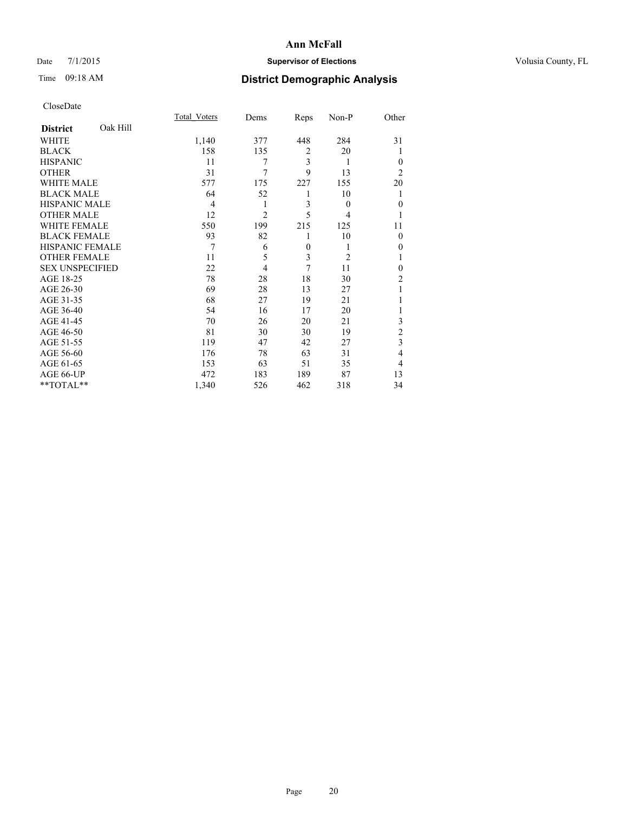# Date 7/1/2015 **Supervisor of Elections Supervisor of Elections** Volusia County, FL

# Time 09:18 AM **District Demographic Analysis**

|                        |          | <b>Total Voters</b> | Dems           | Reps           | Non-P          | Other          |
|------------------------|----------|---------------------|----------------|----------------|----------------|----------------|
| <b>District</b>        | Oak Hill |                     |                |                |                |                |
| WHITE                  |          | 1,140               | 377            | 448            | 284            | 31             |
| <b>BLACK</b>           |          | 158                 | 135            | $\overline{2}$ | 20             |                |
| <b>HISPANIC</b>        |          | 11                  | 7              | 3              | 1              | $\theta$       |
| <b>OTHER</b>           |          | 31                  | $\overline{7}$ | 9              | 13             | $\overline{2}$ |
| WHITE MALE             |          | 577                 | 175            | 227            | 155            | 20             |
| <b>BLACK MALE</b>      |          | 64                  | 52             | 1              | 10             | 1              |
| <b>HISPANIC MALE</b>   |          | 4                   | 1              | 3              | $\theta$       | $\mathbf{0}$   |
| <b>OTHER MALE</b>      |          | 12                  | $\overline{2}$ | 5              | 4              | 1              |
| <b>WHITE FEMALE</b>    |          | 550                 | 199            | 215            | 125            | 11             |
| <b>BLACK FEMALE</b>    |          | 93                  | 82             | 1              | 10             | $\theta$       |
| HISPANIC FEMALE        |          | 7                   | 6              | $\overline{0}$ | 1              | 0              |
| <b>OTHER FEMALE</b>    |          | 11                  | 5              | 3              | $\overline{2}$ |                |
| <b>SEX UNSPECIFIED</b> |          | 22                  | $\overline{4}$ | 7              | 11             | $\theta$       |
| AGE 18-25              |          | 78                  | 28             | 18             | 30             | $\overline{2}$ |
| AGE 26-30              |          | 69                  | 28             | 13             | 27             |                |
| AGE 31-35              |          | 68                  | 27             | 19             | 21             |                |
| AGE 36-40              |          | 54                  | 16             | 17             | 20             |                |
| AGE 41-45              |          | 70                  | 26             | 20             | 21             | 3              |
| AGE 46-50              |          | 81                  | 30             | 30             | 19             | $\overline{c}$ |
| AGE 51-55              |          | 119                 | 47             | 42             | 27             | 3              |
| AGE 56-60              |          | 176                 | 78             | 63             | 31             | 4              |
| AGE 61-65              |          | 153                 | 63             | 51             | 35             | 4              |
| AGE 66-UP              |          | 472                 | 183            | 189            | 87             | 13             |
| **TOTAL**              |          | 1,340               | 526            | 462            | 318            | 34             |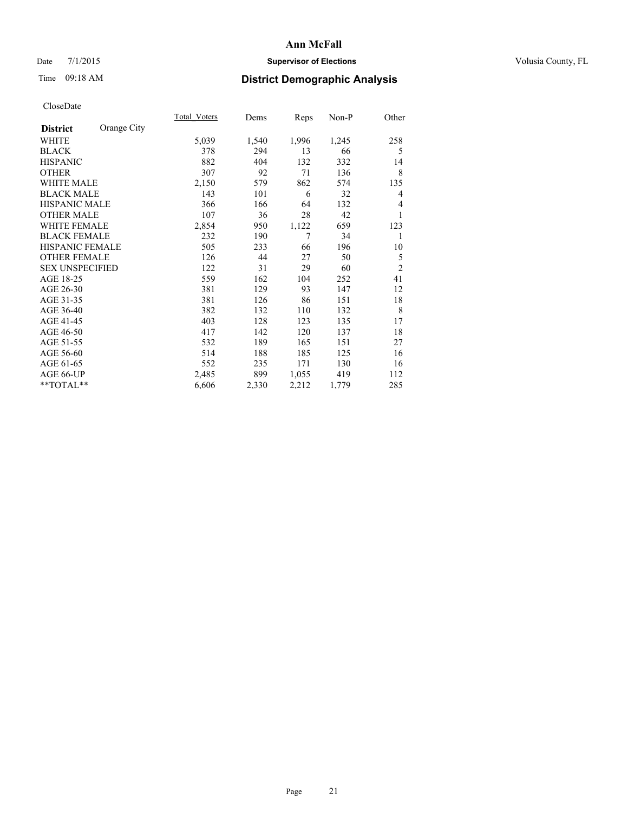# Date 7/1/2015 **Supervisor of Elections Supervisor of Elections** Volusia County, FL

# Time 09:18 AM **District Demographic Analysis**

|                        |             | Total Voters | Dems  | <b>Reps</b> | Non-P | Other          |
|------------------------|-------------|--------------|-------|-------------|-------|----------------|
| <b>District</b>        | Orange City |              |       |             |       |                |
| WHITE                  |             | 5,039        | 1,540 | 1,996       | 1,245 | 258            |
| <b>BLACK</b>           |             | 378          | 294   | 13          | 66    | 5              |
| <b>HISPANIC</b>        |             | 882          | 404   | 132         | 332   | 14             |
| <b>OTHER</b>           |             | 307          | 92    | 71          | 136   | 8              |
| <b>WHITE MALE</b>      |             | 2,150        | 579   | 862         | 574   | 135            |
| <b>BLACK MALE</b>      |             | 143          | 101   | 6           | 32    | 4              |
| <b>HISPANIC MALE</b>   |             | 366          | 166   | 64          | 132   | 4              |
| <b>OTHER MALE</b>      |             | 107          | 36    | 28          | 42    | 1              |
| WHITE FEMALE           |             | 2,854        | 950   | 1,122       | 659   | 123            |
| <b>BLACK FEMALE</b>    |             | 232          | 190   | 7           | 34    | 1              |
| HISPANIC FEMALE        |             | 505          | 233   | 66          | 196   | 10             |
| <b>OTHER FEMALE</b>    |             | 126          | 44    | 27          | 50    | 5              |
| <b>SEX UNSPECIFIED</b> |             | 122          | 31    | 29          | 60    | $\overline{2}$ |
| AGE 18-25              |             | 559          | 162   | 104         | 252   | 41             |
| AGE 26-30              |             | 381          | 129   | 93          | 147   | 12             |
| AGE 31-35              |             | 381          | 126   | 86          | 151   | 18             |
| AGE 36-40              |             | 382          | 132   | 110         | 132   | 8              |
| AGE 41-45              |             | 403          | 128   | 123         | 135   | 17             |
| AGE 46-50              |             | 417          | 142   | 120         | 137   | 18             |
| AGE 51-55              |             | 532          | 189   | 165         | 151   | 27             |
| AGE 56-60              |             | 514          | 188   | 185         | 125   | 16             |
| AGE 61-65              |             | 552          | 235   | 171         | 130   | 16             |
| AGE 66-UP              |             | 2,485        | 899   | 1,055       | 419   | 112            |
| **TOTAL**              |             | 6,606        | 2,330 | 2,212       | 1,779 | 285            |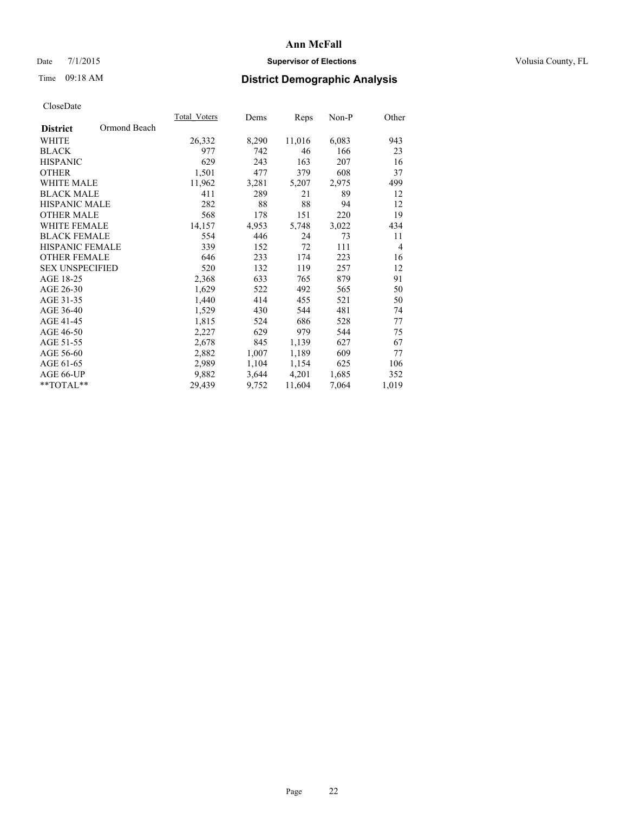# Date 7/1/2015 **Supervisor of Elections Supervisor of Elections** Volusia County, FL

# Time 09:18 AM **District Demographic Analysis**

|                        |              | Total Voters | Dems  | Reps   | Non-P | Other          |
|------------------------|--------------|--------------|-------|--------|-------|----------------|
| <b>District</b>        | Ormond Beach |              |       |        |       |                |
| WHITE                  |              | 26,332       | 8,290 | 11,016 | 6,083 | 943            |
| <b>BLACK</b>           |              | 977          | 742   | 46     | 166   | 23             |
| <b>HISPANIC</b>        |              | 629          | 243   | 163    | 207   | 16             |
| <b>OTHER</b>           |              | 1,501        | 477   | 379    | 608   | 37             |
| <b>WHITE MALE</b>      |              | 11,962       | 3,281 | 5,207  | 2,975 | 499            |
| <b>BLACK MALE</b>      |              | 411          | 289   | 21     | 89    | 12             |
| <b>HISPANIC MALE</b>   |              | 282          | 88    | 88     | 94    | 12             |
| <b>OTHER MALE</b>      |              | 568          | 178   | 151    | 220   | 19             |
| <b>WHITE FEMALE</b>    |              | 14,157       | 4,953 | 5,748  | 3,022 | 434            |
| <b>BLACK FEMALE</b>    |              | 554          | 446   | 24     | 73    | 11             |
| <b>HISPANIC FEMALE</b> |              | 339          | 152   | 72     | 111   | $\overline{4}$ |
| <b>OTHER FEMALE</b>    |              | 646          | 233   | 174    | 223   | 16             |
| <b>SEX UNSPECIFIED</b> |              | 520          | 132   | 119    | 257   | 12             |
| AGE 18-25              |              | 2,368        | 633   | 765    | 879   | 91             |
| AGE 26-30              |              | 1,629        | 522   | 492    | 565   | 50             |
| AGE 31-35              |              | 1,440        | 414   | 455    | 521   | 50             |
| AGE 36-40              |              | 1,529        | 430   | 544    | 481   | 74             |
| AGE 41-45              |              | 1,815        | 524   | 686    | 528   | 77             |
| AGE 46-50              |              | 2,227        | 629   | 979    | 544   | 75             |
| AGE 51-55              |              | 2,678        | 845   | 1,139  | 627   | 67             |
| AGE 56-60              |              | 2,882        | 1,007 | 1,189  | 609   | 77             |
| AGE 61-65              |              | 2,989        | 1,104 | 1,154  | 625   | 106            |
| AGE 66-UP              |              | 9,882        | 3,644 | 4,201  | 1,685 | 352            |
| $*$ TOTAL $*$          |              | 29,439       | 9,752 | 11,604 | 7,064 | 1,019          |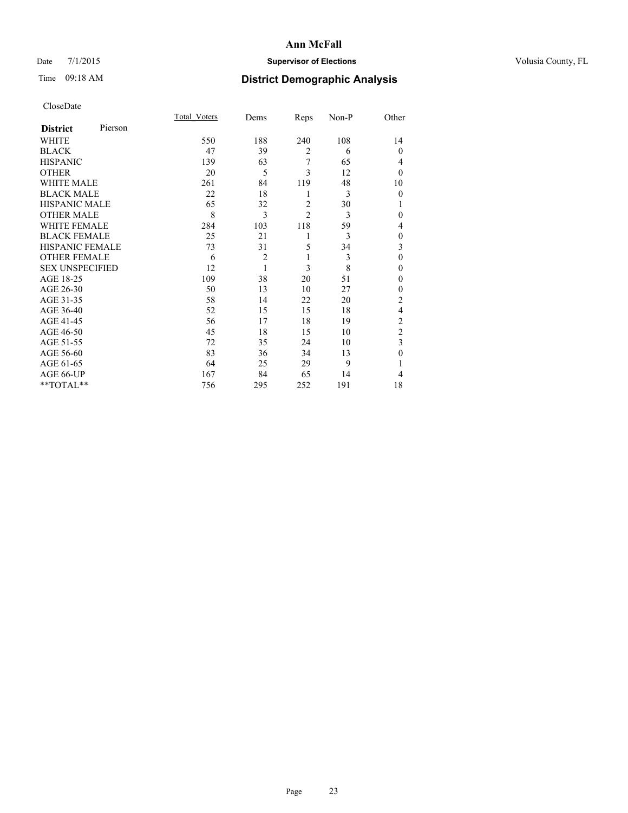# Date 7/1/2015 **Supervisor of Elections Supervisor of Elections** Volusia County, FL

# Time 09:18 AM **District Demographic Analysis**

|                        |         | Total Voters | Dems           | Reps           | Non-P | Other          |
|------------------------|---------|--------------|----------------|----------------|-------|----------------|
| <b>District</b>        | Pierson |              |                |                |       |                |
| WHITE                  |         | 550          | 188            | 240            | 108   | 14             |
| <b>BLACK</b>           |         | 47           | 39             | $\overline{2}$ | 6     | $\theta$       |
| <b>HISPANIC</b>        |         | 139          | 63             | 7              | 65    | 4              |
| <b>OTHER</b>           |         | 20           | 5              | 3              | 12    | $\theta$       |
| WHITE MALE             |         | 261          | 84             | 119            | 48    | 10             |
| <b>BLACK MALE</b>      |         | 22           | 18             | 1              | 3     | $\theta$       |
| <b>HISPANIC MALE</b>   |         | 65           | 32             | $\overline{2}$ | 30    | 1              |
| <b>OTHER MALE</b>      |         | 8            | 3              | $\overline{c}$ | 3     | 0              |
| WHITE FEMALE           |         | 284          | 103            | 118            | 59    | 4              |
| <b>BLACK FEMALE</b>    |         | 25           | 21             | 1              | 3     | $\theta$       |
| HISPANIC FEMALE        |         | 73           | 31             | 5              | 34    | 3              |
| <b>OTHER FEMALE</b>    |         | 6            | $\overline{2}$ | 1              | 3     | $\theta$       |
| <b>SEX UNSPECIFIED</b> |         | 12           | $\mathbf{1}$   | 3              | 8     | $\theta$       |
| AGE 18-25              |         | 109          | 38             | 20             | 51    | 0              |
| AGE 26-30              |         | 50           | 13             | 10             | 27    | 0              |
| AGE 31-35              |         | 58           | 14             | 22             | 20    | $\overline{c}$ |
| AGE 36-40              |         | 52           | 15             | 15             | 18    | 4              |
| AGE 41-45              |         | 56           | 17             | 18             | 19    | $\overline{c}$ |
| AGE 46-50              |         | 45           | 18             | 15             | 10    | $\overline{2}$ |
| AGE 51-55              |         | 72           | 35             | 24             | 10    | 3              |
| AGE 56-60              |         | 83           | 36             | 34             | 13    | $\theta$       |
| AGE 61-65              |         | 64           | 25             | 29             | 9     | 1              |
| AGE 66-UP              |         | 167          | 84             | 65             | 14    | 4              |
| $*$ TOTAL $**$         |         | 756          | 295            | 252            | 191   | 18             |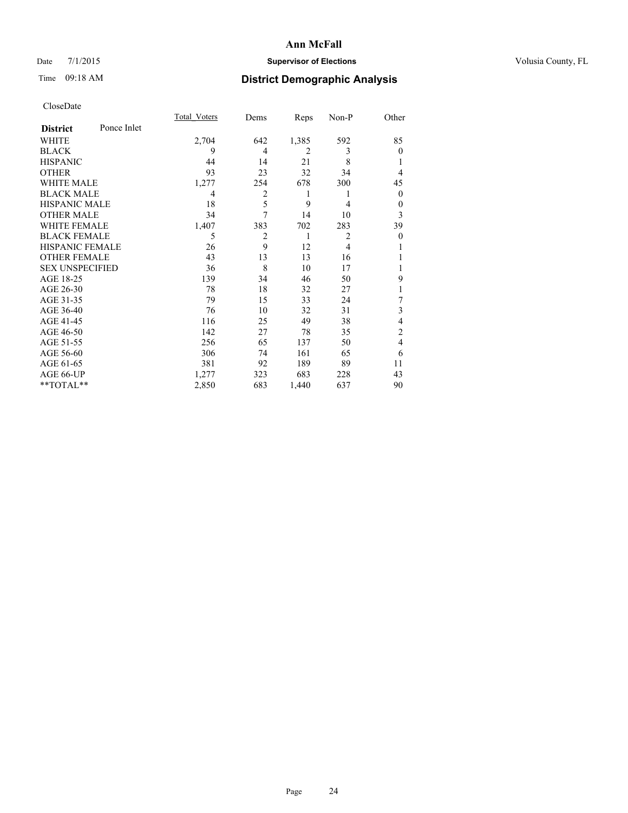# Date 7/1/2015 **Supervisor of Elections Supervisor of Elections** Volusia County, FL

# Time 09:18 AM **District Demographic Analysis**

|                        |             | <b>Total Voters</b> | Dems           | Reps           | Non-P          | Other        |
|------------------------|-------------|---------------------|----------------|----------------|----------------|--------------|
| <b>District</b>        | Ponce Inlet |                     |                |                |                |              |
| WHITE                  |             | 2,704               | 642            | 1,385          | 592            | 85           |
| <b>BLACK</b>           |             | 9                   | 4              | $\overline{2}$ | 3              | $\Omega$     |
| <b>HISPANIC</b>        |             | 44                  | 14             | 21             | 8              |              |
| <b>OTHER</b>           |             | 93                  | 23             | 32             | 34             | 4            |
| WHITE MALE             |             | 1,277               | 254            | 678            | 300            | 45           |
| <b>BLACK MALE</b>      |             | 4                   | $\overline{c}$ | 1              | 1              | $\mathbf{0}$ |
| <b>HISPANIC MALE</b>   |             | 18                  | 5              | 9              | 4              | $\theta$     |
| <b>OTHER MALE</b>      |             | 34                  | $\overline{7}$ | 14             | 10             | 3            |
| <b>WHITE FEMALE</b>    |             | 1,407               | 383            | 702            | 283            | 39           |
| <b>BLACK FEMALE</b>    |             | 5                   | $\overline{2}$ | 1              | $\overline{2}$ | $\theta$     |
| <b>HISPANIC FEMALE</b> |             | 26                  | 9              | 12             | $\overline{4}$ |              |
| <b>OTHER FEMALE</b>    |             | 43                  | 13             | 13             | 16             |              |
| <b>SEX UNSPECIFIED</b> |             | 36                  | 8              | 10             | 17             |              |
| AGE 18-25              |             | 139                 | 34             | 46             | 50             | 9            |
| AGE 26-30              |             | 78                  | 18             | 32             | 27             | 1            |
| AGE 31-35              |             | 79                  | 15             | 33             | 24             | 7            |
| AGE 36-40              |             | 76                  | 10             | 32             | 31             | 3            |
| AGE 41-45              |             | 116                 | 25             | 49             | 38             | 4            |
| AGE 46-50              |             | 142                 | 27             | 78             | 35             | 2            |
| AGE 51-55              |             | 256                 | 65             | 137            | 50             | 4            |
| AGE 56-60              |             | 306                 | 74             | 161            | 65             | 6            |
| AGE 61-65              |             | 381                 | 92             | 189            | 89             | 11           |
| AGE 66-UP              |             | 1,277               | 323            | 683            | 228            | 43           |
| **TOTAL**              |             | 2,850               | 683            | 1,440          | 637            | 90           |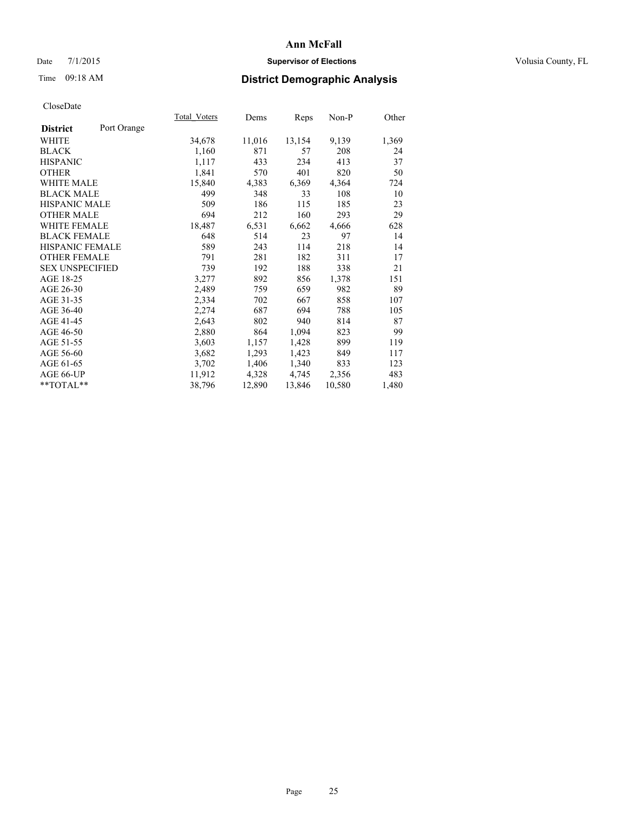# Date 7/1/2015 **Supervisor of Elections Supervisor of Elections** Volusia County, FL

# Time 09:18 AM **District Demographic Analysis**

|                        |             | Total Voters | Dems   | <b>Reps</b> | Non-P  | Other |
|------------------------|-------------|--------------|--------|-------------|--------|-------|
| <b>District</b>        | Port Orange |              |        |             |        |       |
| WHITE                  |             | 34,678       | 11,016 | 13,154      | 9,139  | 1,369 |
| <b>BLACK</b>           |             | 1,160        | 871    | 57          | 208    | 24    |
| <b>HISPANIC</b>        |             | 1,117        | 433    | 234         | 413    | 37    |
| <b>OTHER</b>           |             | 1,841        | 570    | 401         | 820    | 50    |
| WHITE MALE             |             | 15,840       | 4,383  | 6,369       | 4,364  | 724   |
| <b>BLACK MALE</b>      |             | 499          | 348    | 33          | 108    | 10    |
| <b>HISPANIC MALE</b>   |             | 509          | 186    | 115         | 185    | 23    |
| <b>OTHER MALE</b>      |             | 694          | 212    | 160         | 293    | 29    |
| WHITE FEMALE           |             | 18,487       | 6,531  | 6,662       | 4,666  | 628   |
| <b>BLACK FEMALE</b>    |             | 648          | 514    | 23          | 97     | 14    |
| <b>HISPANIC FEMALE</b> |             | 589          | 243    | 114         | 218    | 14    |
| <b>OTHER FEMALE</b>    |             | 791          | 281    | 182         | 311    | 17    |
| <b>SEX UNSPECIFIED</b> |             | 739          | 192    | 188         | 338    | 21    |
| AGE 18-25              |             | 3,277        | 892    | 856         | 1,378  | 151   |
| AGE 26-30              |             | 2,489        | 759    | 659         | 982    | 89    |
| AGE 31-35              |             | 2,334        | 702    | 667         | 858    | 107   |
| AGE 36-40              |             | 2,274        | 687    | 694         | 788    | 105   |
| AGE 41-45              |             | 2,643        | 802    | 940         | 814    | 87    |
| AGE 46-50              |             | 2,880        | 864    | 1,094       | 823    | 99    |
| AGE 51-55              |             | 3,603        | 1,157  | 1,428       | 899    | 119   |
| AGE 56-60              |             | 3,682        | 1,293  | 1,423       | 849    | 117   |
| AGE 61-65              |             | 3,702        | 1,406  | 1,340       | 833    | 123   |
| AGE 66-UP              |             | 11,912       | 4,328  | 4,745       | 2,356  | 483   |
| $*$ TOTAL $*$          |             | 38,796       | 12,890 | 13,846      | 10,580 | 1,480 |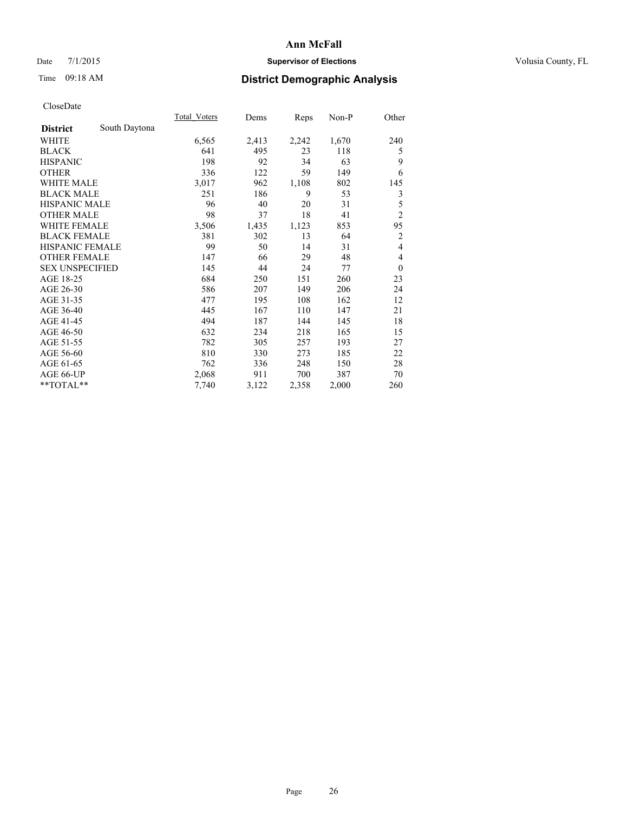# Date 7/1/2015 **Supervisor of Elections Supervisor of Elections** Volusia County, FL

# Time 09:18 AM **District Demographic Analysis**

|                        |               | Total Voters | Dems  | Reps  | $Non-P$ | Other          |
|------------------------|---------------|--------------|-------|-------|---------|----------------|
| <b>District</b>        | South Daytona |              |       |       |         |                |
| WHITE                  |               | 6,565        | 2,413 | 2,242 | 1,670   | 240            |
| <b>BLACK</b>           |               | 641          | 495   | 23    | 118     | 5              |
| <b>HISPANIC</b>        |               | 198          | 92    | 34    | 63      | 9              |
| <b>OTHER</b>           |               | 336          | 122   | 59    | 149     | 6              |
| <b>WHITE MALE</b>      |               | 3,017        | 962   | 1,108 | 802     | 145            |
| <b>BLACK MALE</b>      |               | 251          | 186   | 9     | 53      | 3              |
| <b>HISPANIC MALE</b>   |               | 96           | 40    | 20    | 31      | 5              |
| <b>OTHER MALE</b>      |               | 98           | 37    | 18    | 41      | $\overline{2}$ |
| <b>WHITE FEMALE</b>    |               | 3,506        | 1,435 | 1,123 | 853     | 95             |
| <b>BLACK FEMALE</b>    |               | 381          | 302   | 13    | 64      | $\overline{2}$ |
| <b>HISPANIC FEMALE</b> |               | 99           | 50    | 14    | 31      | $\overline{4}$ |
| <b>OTHER FEMALE</b>    |               | 147          | 66    | 29    | 48      | $\overline{4}$ |
| <b>SEX UNSPECIFIED</b> |               | 145          | 44    | 24    | 77      | $\theta$       |
| AGE 18-25              |               | 684          | 250   | 151   | 260     | 23             |
| AGE 26-30              |               | 586          | 207   | 149   | 206     | 24             |
| AGE 31-35              |               | 477          | 195   | 108   | 162     | 12             |
| AGE 36-40              |               | 445          | 167   | 110   | 147     | 21             |
| AGE 41-45              |               | 494          | 187   | 144   | 145     | 18             |
| AGE 46-50              |               | 632          | 234   | 218   | 165     | 15             |
| AGE 51-55              |               | 782          | 305   | 257   | 193     | 27             |
| AGE 56-60              |               | 810          | 330   | 273   | 185     | 22             |
| AGE 61-65              |               | 762          | 336   | 248   | 150     | 28             |
| AGE 66-UP              |               | 2,068        | 911   | 700   | 387     | 70             |
| **TOTAL**              |               | 7,740        | 3,122 | 2,358 | 2,000   | 260            |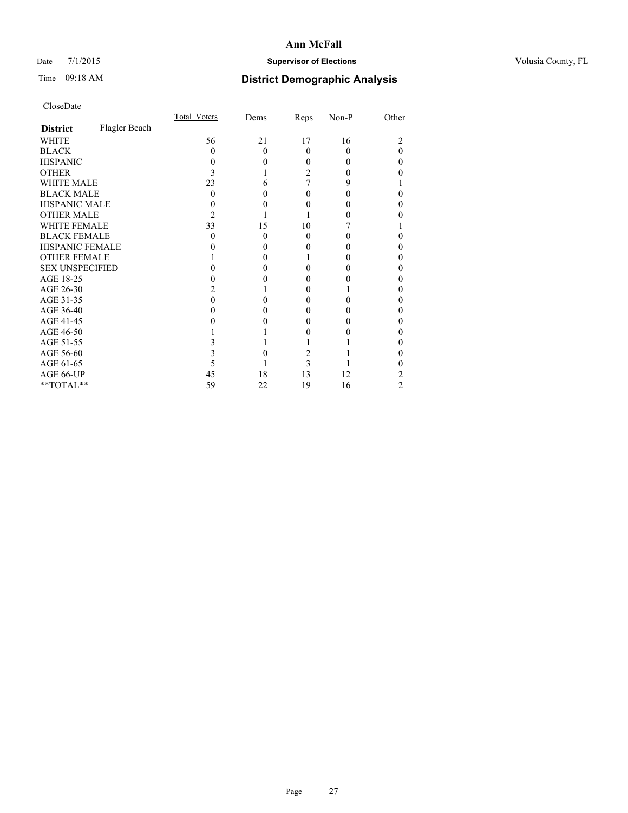# Date 7/1/2015 **Supervisor of Elections Supervisor of Elections** Volusia County, FL

# Time 09:18 AM **District Demographic Analysis**

|                        |               | <b>Total Voters</b> | Dems     | Reps     | Non-P | Other |
|------------------------|---------------|---------------------|----------|----------|-------|-------|
| <b>District</b>        | Flagler Beach |                     |          |          |       |       |
| WHITE                  |               | 56                  | 21       | 17       | 16    | 2     |
| <b>BLACK</b>           |               | 0                   | $\Omega$ | 0        | 0     | 0     |
| <b>HISPANIC</b>        |               | 0                   | 0        | 0        | 0     | 0     |
| OTHER                  |               | 3                   |          | 2        |       |       |
| WHITE MALE             |               | 23                  | 6        | 7        | 9     |       |
| <b>BLACK MALE</b>      |               | 0                   | 0        | 0        |       | 0     |
| <b>HISPANIC MALE</b>   |               |                     | 0        |          |       | 0     |
| <b>OTHER MALE</b>      |               | 2                   |          |          |       |       |
| <b>WHITE FEMALE</b>    |               | 33                  | 15       | 10       |       |       |
| <b>BLACK FEMALE</b>    |               | 0                   | $\Omega$ | $\Omega$ |       | 0     |
| <b>HISPANIC FEMALE</b> |               |                     | 0        |          |       | 0     |
| <b>OTHER FEMALE</b>    |               |                     | 0        |          |       | 0     |
| <b>SEX UNSPECIFIED</b> |               |                     | 0        |          |       | 0     |
| AGE 18-25              |               |                     |          |          |       | 0     |
| AGE 26-30              |               |                     |          | 0        |       | 0     |
| AGE 31-35              |               |                     |          |          |       | 0     |
| AGE 36-40              |               |                     | 0        |          |       | 0     |
| AGE 41-45              |               |                     |          |          |       | 0     |
| AGE 46-50              |               |                     |          |          |       | 0     |
| AGE 51-55              |               |                     |          |          |       |       |
| AGE 56-60              |               |                     |          | 2        |       | 0     |
| AGE 61-65              |               |                     |          | 3        |       |       |
| AGE 66-UP              |               | 45                  | 18       | 13       | 12    | 2     |
| **TOTAL**              |               | 59                  | 22       | 19       | 16    | 2     |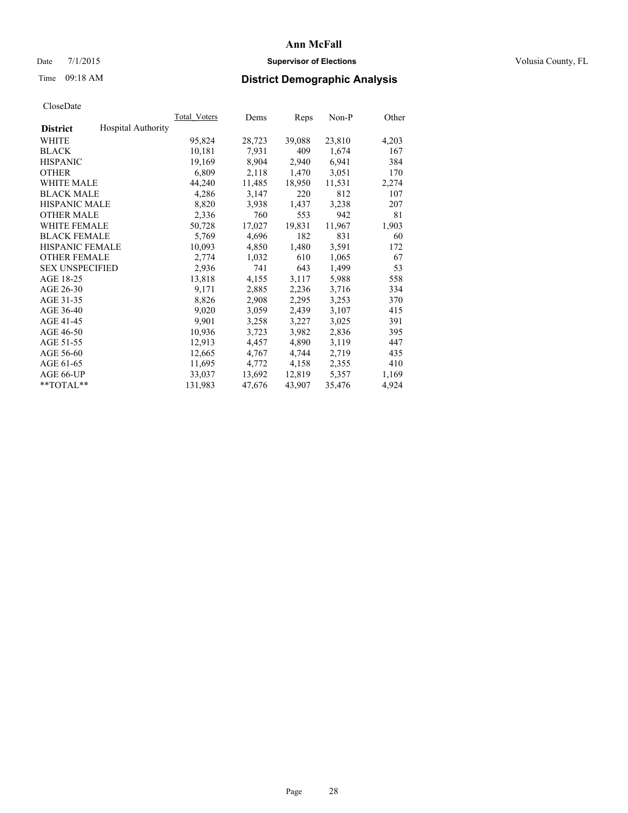# Date 7/1/2015 **Supervisor of Elections Supervisor of Elections** Volusia County, FL

# Time 09:18 AM **District Demographic Analysis**

|                                              | <b>Total Voters</b> | Dems   | Reps   | $Non-P$ | Other |
|----------------------------------------------|---------------------|--------|--------|---------|-------|
| <b>Hospital Authority</b><br><b>District</b> |                     |        |        |         |       |
| WHITE                                        | 95,824              | 28,723 | 39,088 | 23,810  | 4,203 |
| <b>BLACK</b>                                 | 10,181              | 7,931  | 409    | 1,674   | 167   |
| <b>HISPANIC</b>                              | 19,169              | 8,904  | 2,940  | 6,941   | 384   |
| <b>OTHER</b>                                 | 6,809               | 2,118  | 1,470  | 3,051   | 170   |
| WHITE MALE                                   | 44,240              | 11,485 | 18,950 | 11,531  | 2,274 |
| <b>BLACK MALE</b>                            | 4,286               | 3,147  | 220    | 812     | 107   |
| <b>HISPANIC MALE</b>                         | 8,820               | 3.938  | 1,437  | 3,238   | 207   |
| <b>OTHER MALE</b>                            | 2,336               | 760    | 553    | 942     | 81    |
| <b>WHITE FEMALE</b>                          | 50,728              | 17,027 | 19,831 | 11,967  | 1,903 |
| <b>BLACK FEMALE</b>                          | 5,769               | 4,696  | 182    | 831     | 60    |
| HISPANIC FEMALE                              | 10,093              | 4,850  | 1,480  | 3,591   | 172   |
| <b>OTHER FEMALE</b>                          | 2,774               | 1,032  | 610    | 1,065   | 67    |
| <b>SEX UNSPECIFIED</b>                       | 2,936               | 741    | 643    | 1,499   | 53    |
| AGE 18-25                                    | 13,818              | 4,155  | 3,117  | 5,988   | 558   |
| AGE 26-30                                    | 9,171               | 2,885  | 2,236  | 3,716   | 334   |
| AGE 31-35                                    | 8,826               | 2,908  | 2,295  | 3,253   | 370   |
| AGE 36-40                                    | 9,020               | 3,059  | 2,439  | 3,107   | 415   |
| AGE 41-45                                    | 9.901               | 3,258  | 3,227  | 3,025   | 391   |
| AGE 46-50                                    | 10,936              | 3,723  | 3,982  | 2,836   | 395   |
| AGE 51-55                                    | 12,913              | 4,457  | 4,890  | 3,119   | 447   |
| AGE 56-60                                    | 12,665              | 4,767  | 4,744  | 2,719   | 435   |
| AGE 61-65                                    | 11,695              | 4,772  | 4,158  | 2,355   | 410   |
| AGE 66-UP                                    | 33,037              | 13,692 | 12,819 | 5,357   | 1,169 |
| $*$ $TOTAL**$                                | 131,983             | 47,676 | 43,907 | 35,476  | 4,924 |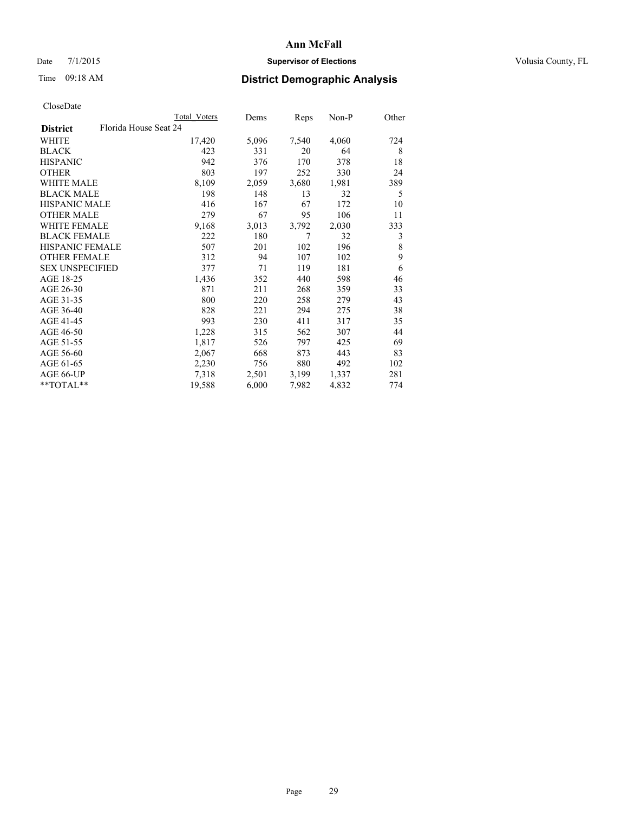# Date 7/1/2015 **Supervisor of Elections Supervisor of Elections** Volusia County, FL

# Time 09:18 AM **District Demographic Analysis**

|                                          | Total Voters | Dems  | Reps  | Non-P | Other |
|------------------------------------------|--------------|-------|-------|-------|-------|
| Florida House Seat 24<br><b>District</b> |              |       |       |       |       |
| WHITE                                    | 17,420       | 5,096 | 7,540 | 4,060 | 724   |
| <b>BLACK</b>                             | 423          | 331   | 20    | 64    | 8     |
| <b>HISPANIC</b>                          | 942          | 376   | 170   | 378   | 18    |
| <b>OTHER</b>                             | 803          | 197   | 252   | 330   | 24    |
| WHITE MALE                               | 8,109        | 2,059 | 3,680 | 1,981 | 389   |
| <b>BLACK MALE</b>                        | 198          | 148   | 13    | 32    | 5     |
| <b>HISPANIC MALE</b>                     | 416          | 167   | 67    | 172   | 10    |
| <b>OTHER MALE</b>                        | 279          | 67    | 95    | 106   | 11    |
| <b>WHITE FEMALE</b>                      | 9,168        | 3,013 | 3,792 | 2,030 | 333   |
| <b>BLACK FEMALE</b>                      | 222          | 180   | 7     | 32    | 3     |
| <b>HISPANIC FEMALE</b>                   | 507          | 201   | 102   | 196   | 8     |
| <b>OTHER FEMALE</b>                      | 312          | 94    | 107   | 102   | 9     |
| <b>SEX UNSPECIFIED</b>                   | 377          | 71    | 119   | 181   | 6     |
| AGE 18-25                                | 1,436        | 352   | 440   | 598   | 46    |
| AGE 26-30                                | 871          | 211   | 268   | 359   | 33    |
| AGE 31-35                                | 800          | 220   | 258   | 279   | 43    |
| AGE 36-40                                | 828          | 221   | 294   | 275   | 38    |
| AGE 41-45                                | 993          | 230   | 411   | 317   | 35    |
| AGE 46-50                                | 1,228        | 315   | 562   | 307   | 44    |
| AGE 51-55                                | 1,817        | 526   | 797   | 425   | 69    |
| AGE 56-60                                | 2,067        | 668   | 873   | 443   | 83    |
| AGE 61-65                                | 2,230        | 756   | 880   | 492   | 102   |
| AGE 66-UP                                | 7,318        | 2,501 | 3,199 | 1,337 | 281   |
| $*$ TOTAL $*$                            | 19,588       | 6,000 | 7,982 | 4,832 | 774   |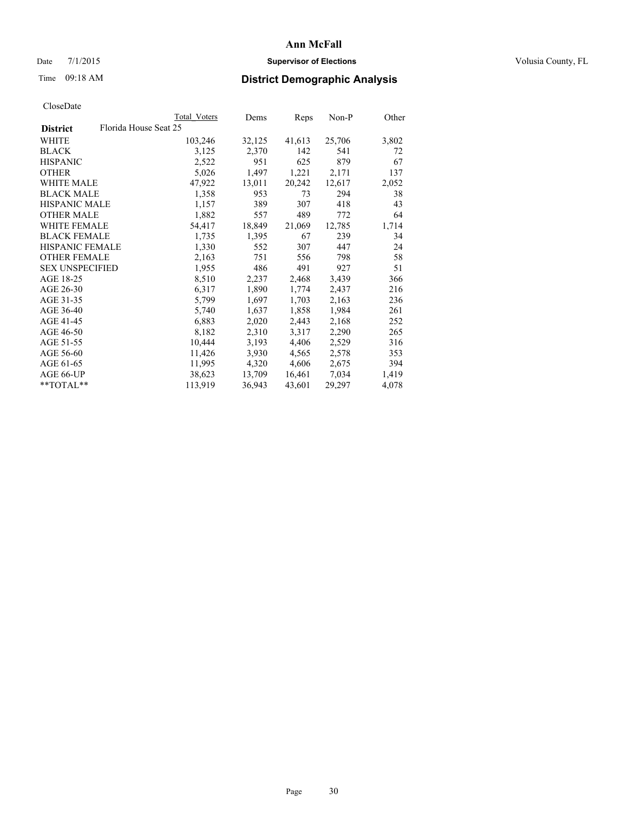# Date 7/1/2015 **Supervisor of Elections Supervisor of Elections** Volusia County, FL

# Time 09:18 AM **District Demographic Analysis**

|                        |                       | Total Voters | Dems   | Reps   | $Non-P$ | Other |
|------------------------|-----------------------|--------------|--------|--------|---------|-------|
| <b>District</b>        | Florida House Seat 25 |              |        |        |         |       |
| WHITE                  |                       | 103,246      | 32,125 | 41,613 | 25,706  | 3,802 |
| <b>BLACK</b>           |                       | 3,125        | 2,370  | 142    | 541     | 72    |
| <b>HISPANIC</b>        |                       | 2,522        | 951    | 625    | 879     | 67    |
| <b>OTHER</b>           |                       | 5,026        | 1,497  | 1,221  | 2,171   | 137   |
| <b>WHITE MALE</b>      |                       | 47,922       | 13,011 | 20,242 | 12,617  | 2,052 |
| <b>BLACK MALE</b>      |                       | 1,358        | 953    | 73     | 294     | 38    |
| <b>HISPANIC MALE</b>   |                       | 1,157        | 389    | 307    | 418     | 43    |
| <b>OTHER MALE</b>      |                       | 1,882        | 557    | 489    | 772     | 64    |
| <b>WHITE FEMALE</b>    |                       | 54,417       | 18,849 | 21,069 | 12,785  | 1,714 |
| <b>BLACK FEMALE</b>    |                       | 1,735        | 1,395  | 67     | 239     | 34    |
| HISPANIC FEMALE        |                       | 1,330        | 552    | 307    | 447     | 24    |
| <b>OTHER FEMALE</b>    |                       | 2,163        | 751    | 556    | 798     | 58    |
| <b>SEX UNSPECIFIED</b> |                       | 1,955        | 486    | 491    | 927     | 51    |
| AGE 18-25              |                       | 8,510        | 2,237  | 2,468  | 3,439   | 366   |
| AGE 26-30              |                       | 6,317        | 1,890  | 1,774  | 2,437   | 216   |
| AGE 31-35              |                       | 5,799        | 1,697  | 1,703  | 2,163   | 236   |
| AGE 36-40              |                       | 5,740        | 1,637  | 1,858  | 1,984   | 261   |
| AGE 41-45              |                       | 6,883        | 2,020  | 2,443  | 2,168   | 252   |
| AGE 46-50              |                       | 8,182        | 2,310  | 3,317  | 2,290   | 265   |
| AGE 51-55              |                       | 10,444       | 3,193  | 4,406  | 2,529   | 316   |
| AGE 56-60              |                       | 11,426       | 3,930  | 4,565  | 2,578   | 353   |
| AGE 61-65              |                       | 11,995       | 4,320  | 4,606  | 2,675   | 394   |
| AGE 66-UP              |                       | 38,623       | 13,709 | 16,461 | 7,034   | 1,419 |
| $*$ $TOTAL**$          |                       | 113,919      | 36,943 | 43,601 | 29,297  | 4,078 |
|                        |                       |              |        |        |         |       |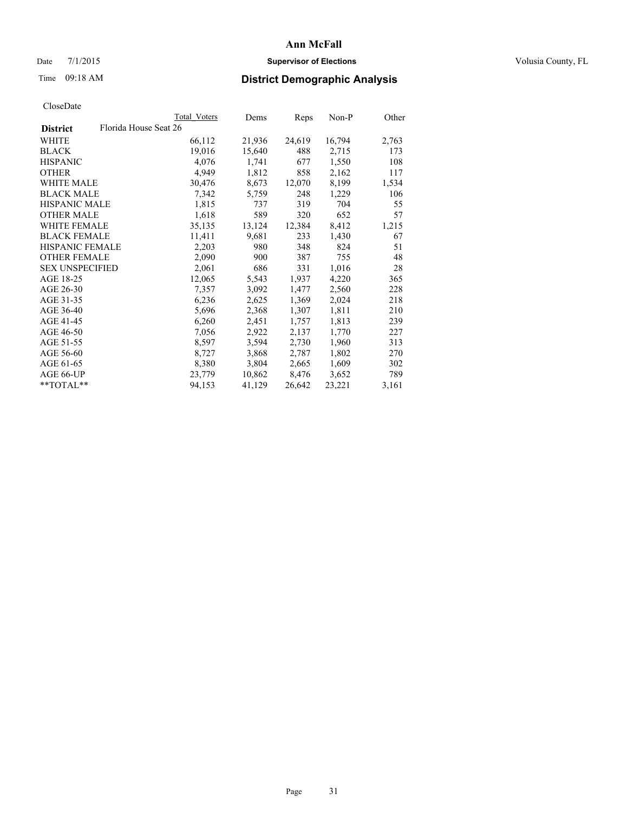# Date 7/1/2015 **Supervisor of Elections Supervisor of Elections** Volusia County, FL

# Time 09:18 AM **District Demographic Analysis**

|                        | Total Voters          | Dems   | <b>Reps</b> | $Non-P$ | Other |
|------------------------|-----------------------|--------|-------------|---------|-------|
| <b>District</b>        | Florida House Seat 26 |        |             |         |       |
| WHITE                  | 66,112                | 21,936 | 24,619      | 16,794  | 2,763 |
| <b>BLACK</b>           | 19,016                | 15,640 | 488         | 2,715   | 173   |
| <b>HISPANIC</b>        | 4,076                 | 1,741  | 677         | 1,550   | 108   |
| OTHER                  | 4,949                 | 1,812  | 858         | 2,162   | 117   |
| WHITE MALE             | 30,476                | 8,673  | 12,070      | 8,199   | 1,534 |
| <b>BLACK MALE</b>      | 7,342                 | 5,759  | 248         | 1,229   | 106   |
| <b>HISPANIC MALE</b>   | 1,815                 | 737    | 319         | 704     | 55    |
| <b>OTHER MALE</b>      | 1,618                 | 589    | 320         | 652     | 57    |
| <b>WHITE FEMALE</b>    | 35,135                | 13,124 | 12,384      | 8,412   | 1,215 |
| <b>BLACK FEMALE</b>    | 11,411                | 9,681  | 233         | 1,430   | 67    |
| HISPANIC FEMALE        | 2,203                 | 980    | 348         | 824     | 51    |
| <b>OTHER FEMALE</b>    | 2,090                 | 900    | 387         | 755     | 48    |
| <b>SEX UNSPECIFIED</b> | 2,061                 | 686    | 331         | 1,016   | 28    |
| AGE 18-25              | 12,065                | 5,543  | 1,937       | 4,220   | 365   |
| AGE 26-30              | 7,357                 | 3,092  | 1,477       | 2,560   | 228   |
| AGE 31-35              | 6,236                 | 2,625  | 1,369       | 2,024   | 218   |
| AGE 36-40              | 5,696                 | 2,368  | 1,307       | 1,811   | 210   |
| AGE 41-45              | 6,260                 | 2,451  | 1,757       | 1,813   | 239   |
| AGE 46-50              | 7,056                 | 2,922  | 2,137       | 1,770   | 227   |
| AGE 51-55              | 8,597                 | 3,594  | 2,730       | 1,960   | 313   |
| AGE 56-60              | 8,727                 | 3,868  | 2,787       | 1,802   | 270   |
| AGE 61-65              | 8,380                 | 3,804  | 2,665       | 1,609   | 302   |
| AGE 66-UP              | 23,779                | 10,862 | 8,476       | 3,652   | 789   |
| $*$ $TOTAI.**$         | 94,153                | 41,129 | 26,642      | 23,221  | 3,161 |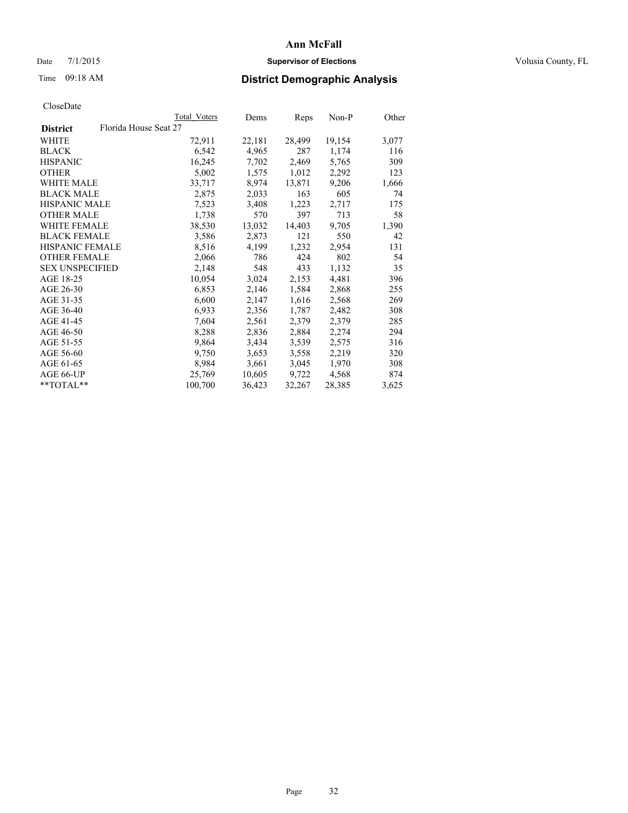# Date 7/1/2015 **Supervisor of Elections Supervisor of Elections** Volusia County, FL

# Time 09:18 AM **District Demographic Analysis**

|                        | <b>Total Voters</b>   | Dems   | Reps   | Non-P  | Other |
|------------------------|-----------------------|--------|--------|--------|-------|
| <b>District</b>        | Florida House Seat 27 |        |        |        |       |
| WHITE                  | 72,911                | 22,181 | 28,499 | 19,154 | 3,077 |
| <b>BLACK</b>           | 6,542                 | 4,965  | 287    | 1,174  | 116   |
| <b>HISPANIC</b>        | 16,245                | 7,702  | 2,469  | 5,765  | 309   |
| <b>OTHER</b>           | 5,002                 | 1,575  | 1,012  | 2,292  | 123   |
| <b>WHITE MALE</b>      | 33,717                | 8,974  | 13,871 | 9,206  | 1,666 |
| <b>BLACK MALE</b>      | 2,875                 | 2,033  | 163    | 605    | 74    |
| <b>HISPANIC MALE</b>   | 7,523                 | 3,408  | 1,223  | 2,717  | 175   |
| OTHER MALE             | 1,738                 | 570    | 397    | 713    | 58    |
| <b>WHITE FEMALE</b>    | 38,530                | 13,032 | 14,403 | 9,705  | 1,390 |
| <b>BLACK FEMALE</b>    | 3,586                 | 2,873  | 121    | 550    | 42    |
| HISPANIC FEMALE        | 8,516                 | 4,199  | 1,232  | 2,954  | 131   |
| <b>OTHER FEMALE</b>    | 2,066                 | 786    | 424    | 802    | 54    |
| <b>SEX UNSPECIFIED</b> | 2,148                 | 548    | 433    | 1,132  | 35    |
| AGE 18-25              | 10,054                | 3,024  | 2,153  | 4,481  | 396   |
| AGE 26-30              | 6,853                 | 2,146  | 1,584  | 2,868  | 255   |
| AGE 31-35              | 6,600                 | 2,147  | 1,616  | 2,568  | 269   |
| AGE 36-40              | 6,933                 | 2,356  | 1,787  | 2,482  | 308   |
| AGE 41-45              | 7,604                 | 2,561  | 2,379  | 2,379  | 285   |
| AGE 46-50              | 8,288                 | 2,836  | 2,884  | 2,274  | 294   |
| AGE 51-55              | 9,864                 | 3,434  | 3,539  | 2,575  | 316   |
| AGE 56-60              | 9,750                 | 3,653  | 3,558  | 2,219  | 320   |
| AGE 61-65              | 8,984                 | 3,661  | 3,045  | 1,970  | 308   |
| AGE 66-UP              | 25,769                | 10,605 | 9,722  | 4,568  | 874   |
| $*$ TOTAL $*$          | 100,700               | 36,423 | 32,267 | 28,385 | 3,625 |
|                        |                       |        |        |        |       |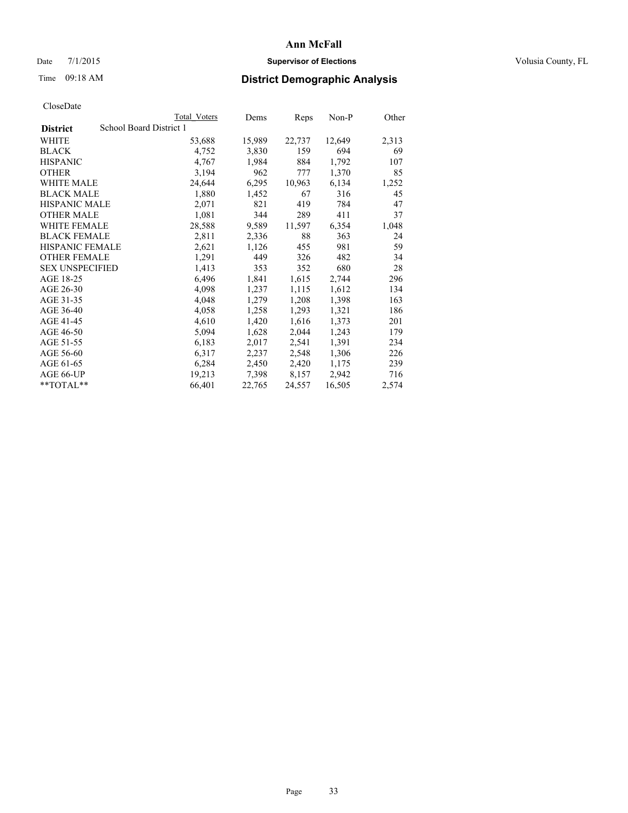# Date 7/1/2015 **Supervisor of Elections Supervisor of Elections** Volusia County, FL

# Time 09:18 AM **District Demographic Analysis**

|                        |                         | <b>Total Voters</b> | Dems   | Reps   | Non-P  | Other |
|------------------------|-------------------------|---------------------|--------|--------|--------|-------|
| <b>District</b>        | School Board District 1 |                     |        |        |        |       |
| WHITE                  |                         | 53,688              | 15,989 | 22,737 | 12,649 | 2,313 |
| <b>BLACK</b>           |                         | 4,752               | 3,830  | 159    | 694    | 69    |
| <b>HISPANIC</b>        |                         | 4,767               | 1,984  | 884    | 1,792  | 107   |
| <b>OTHER</b>           |                         | 3,194               | 962    | 777    | 1,370  | 85    |
| WHITE MALE             |                         | 24,644              | 6,295  | 10,963 | 6,134  | 1,252 |
| <b>BLACK MALE</b>      |                         | 1,880               | 1,452  | 67     | 316    | 45    |
| <b>HISPANIC MALE</b>   |                         | 2,071               | 821    | 419    | 784    | 47    |
| <b>OTHER MALE</b>      |                         | 1,081               | 344    | 289    | 411    | 37    |
| <b>WHITE FEMALE</b>    |                         | 28,588              | 9,589  | 11,597 | 6,354  | 1,048 |
| <b>BLACK FEMALE</b>    |                         | 2,811               | 2,336  | 88     | 363    | 24    |
| <b>HISPANIC FEMALE</b> |                         | 2,621               | 1,126  | 455    | 981    | 59    |
| <b>OTHER FEMALE</b>    |                         | 1,291               | 449    | 326    | 482    | 34    |
| <b>SEX UNSPECIFIED</b> |                         | 1,413               | 353    | 352    | 680    | 28    |
| AGE 18-25              |                         | 6,496               | 1,841  | 1,615  | 2,744  | 296   |
| AGE 26-30              |                         | 4,098               | 1,237  | 1,115  | 1,612  | 134   |
| AGE 31-35              |                         | 4,048               | 1,279  | 1,208  | 1,398  | 163   |
| AGE 36-40              |                         | 4,058               | 1,258  | 1,293  | 1,321  | 186   |
| AGE 41-45              |                         | 4,610               | 1,420  | 1,616  | 1,373  | 201   |
| AGE 46-50              |                         | 5,094               | 1,628  | 2,044  | 1,243  | 179   |
| AGE 51-55              |                         | 6,183               | 2,017  | 2,541  | 1,391  | 234   |
| AGE 56-60              |                         | 6,317               | 2,237  | 2,548  | 1,306  | 226   |
| AGE 61-65              |                         | 6,284               | 2,450  | 2,420  | 1,175  | 239   |
| AGE 66-UP              |                         | 19,213              | 7,398  | 8,157  | 2,942  | 716   |
| **TOTAL**              |                         | 66,401              | 22,765 | 24,557 | 16,505 | 2,574 |
|                        |                         |                     |        |        |        |       |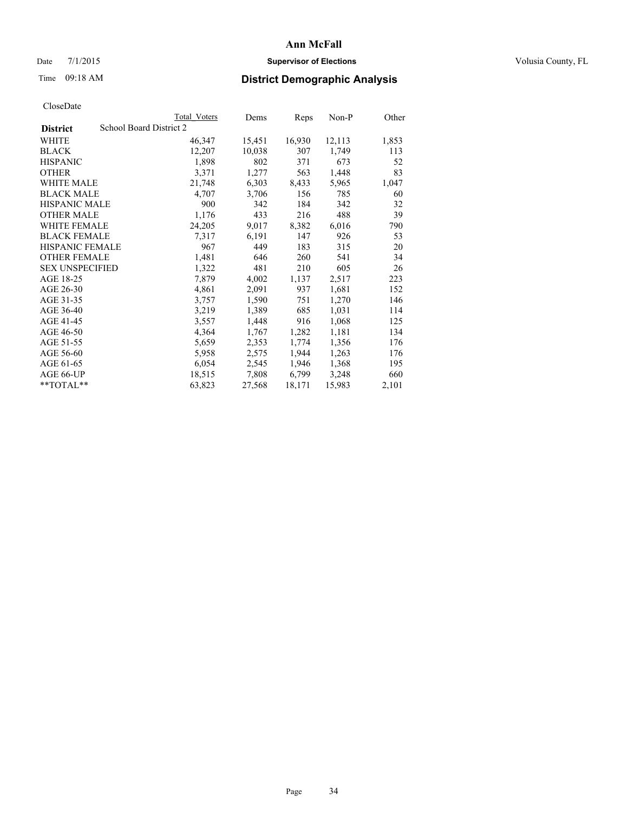# Date 7/1/2015 **Supervisor of Elections Supervisor of Elections** Volusia County, FL

# Time 09:18 AM **District Demographic Analysis**

|                                            | <b>Total Voters</b> | Dems   | Reps   | Non-P  | Other |
|--------------------------------------------|---------------------|--------|--------|--------|-------|
| School Board District 2<br><b>District</b> |                     |        |        |        |       |
| WHITE                                      | 46,347              | 15,451 | 16,930 | 12,113 | 1,853 |
| <b>BLACK</b>                               | 12,207              | 10,038 | 307    | 1,749  | 113   |
| <b>HISPANIC</b>                            | 1,898               | 802    | 371    | 673    | 52    |
| <b>OTHER</b>                               | 3,371               | 1,277  | 563    | 1,448  | 83    |
| <b>WHITE MALE</b>                          | 21,748              | 6,303  | 8,433  | 5,965  | 1,047 |
| <b>BLACK MALE</b>                          | 4,707               | 3,706  | 156    | 785    | 60    |
| <b>HISPANIC MALE</b>                       | 900                 | 342    | 184    | 342    | 32    |
| <b>OTHER MALE</b>                          | 1,176               | 433    | 216    | 488    | 39    |
| <b>WHITE FEMALE</b>                        | 24,205              | 9,017  | 8,382  | 6,016  | 790   |
| <b>BLACK FEMALE</b>                        | 7.317               | 6,191  | 147    | 926    | 53    |
| HISPANIC FEMALE                            | 967                 | 449    | 183    | 315    | 20    |
| <b>OTHER FEMALE</b>                        | 1,481               | 646    | 260    | 541    | 34    |
| <b>SEX UNSPECIFIED</b>                     | 1,322               | 481    | 210    | 605    | 26    |
| AGE 18-25                                  | 7,879               | 4,002  | 1,137  | 2,517  | 223   |
| AGE 26-30                                  | 4,861               | 2,091  | 937    | 1,681  | 152   |
| AGE 31-35                                  | 3,757               | 1,590  | 751    | 1,270  | 146   |
| AGE 36-40                                  | 3,219               | 1,389  | 685    | 1,031  | 114   |
| AGE 41-45                                  | 3,557               | 1,448  | 916    | 1,068  | 125   |
| AGE 46-50                                  | 4,364               | 1,767  | 1,282  | 1,181  | 134   |
| AGE 51-55                                  | 5,659               | 2,353  | 1,774  | 1,356  | 176   |
| AGE 56-60                                  | 5,958               | 2,575  | 1,944  | 1,263  | 176   |
| AGE 61-65                                  | 6,054               | 2,545  | 1,946  | 1,368  | 195   |
| AGE 66-UP                                  | 18,515              | 7,808  | 6,799  | 3,248  | 660   |
| $*$ $TOTAL**$                              | 63,823              | 27,568 | 18,171 | 15,983 | 2,101 |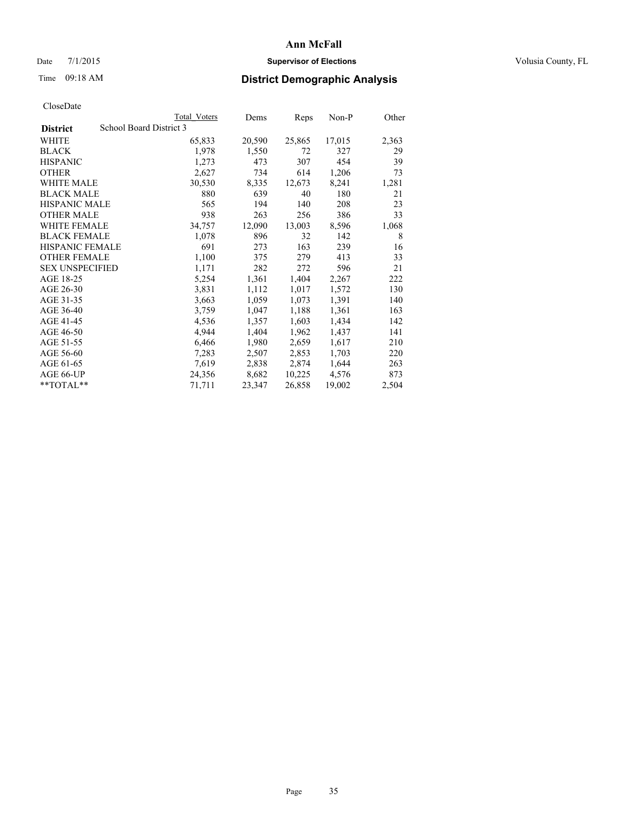# Date 7/1/2015 **Supervisor of Elections Supervisor of Elections** Volusia County, FL

# Time 09:18 AM **District Demographic Analysis**

|                        | <b>Total Voters</b>     | Dems   | <b>Reps</b> | $Non-P$ | Other |
|------------------------|-------------------------|--------|-------------|---------|-------|
| <b>District</b>        | School Board District 3 |        |             |         |       |
| WHITE                  | 65,833                  | 20,590 | 25,865      | 17,015  | 2,363 |
| <b>BLACK</b>           | 1,978                   | 1,550  | 72          | 327     | 29    |
| <b>HISPANIC</b>        | 1,273                   | 473    | 307         | 454     | 39    |
| <b>OTHER</b>           | 2,627                   | 734    | 614         | 1,206   | 73    |
| <b>WHITE MALE</b>      | 30,530                  | 8,335  | 12,673      | 8,241   | 1,281 |
| <b>BLACK MALE</b>      | 880                     | 639    | 40          | 180     | 21    |
| <b>HISPANIC MALE</b>   | 565                     | 194    | 140         | 208     | 23    |
| <b>OTHER MALE</b>      | 938                     | 263    | 256         | 386     | 33    |
| WHITE FEMALE           | 34,757                  | 12,090 | 13,003      | 8,596   | 1,068 |
| <b>BLACK FEMALE</b>    | 1,078                   | 896    | 32          | 142     | 8     |
| <b>HISPANIC FEMALE</b> | 691                     | 273    | 163         | 239     | 16    |
| <b>OTHER FEMALE</b>    | 1,100                   | 375    | 279         | 413     | 33    |
| <b>SEX UNSPECIFIED</b> | 1,171                   | 282    | 272         | 596     | 21    |
| AGE 18-25              | 5,254                   | 1,361  | 1,404       | 2,267   | 222   |
| AGE 26-30              | 3,831                   | 1,112  | 1,017       | 1,572   | 130   |
| AGE 31-35              | 3,663                   | 1,059  | 1,073       | 1,391   | 140   |
| AGE 36-40              | 3,759                   | 1,047  | 1,188       | 1,361   | 163   |
| AGE 41-45              | 4,536                   | 1,357  | 1,603       | 1,434   | 142   |
| AGE 46-50              | 4,944                   | 1,404  | 1,962       | 1,437   | 141   |
| AGE 51-55              | 6,466                   | 1,980  | 2,659       | 1,617   | 210   |
| AGE 56-60              | 7,283                   | 2,507  | 2,853       | 1,703   | 220   |
| AGE 61-65              | 7,619                   | 2,838  | 2,874       | 1,644   | 263   |
| AGE 66-UP              | 24,356                  | 8,682  | 10,225      | 4,576   | 873   |
| $*$ $TOTAI.**$         | 71,711                  | 23,347 | 26,858      | 19,002  | 2,504 |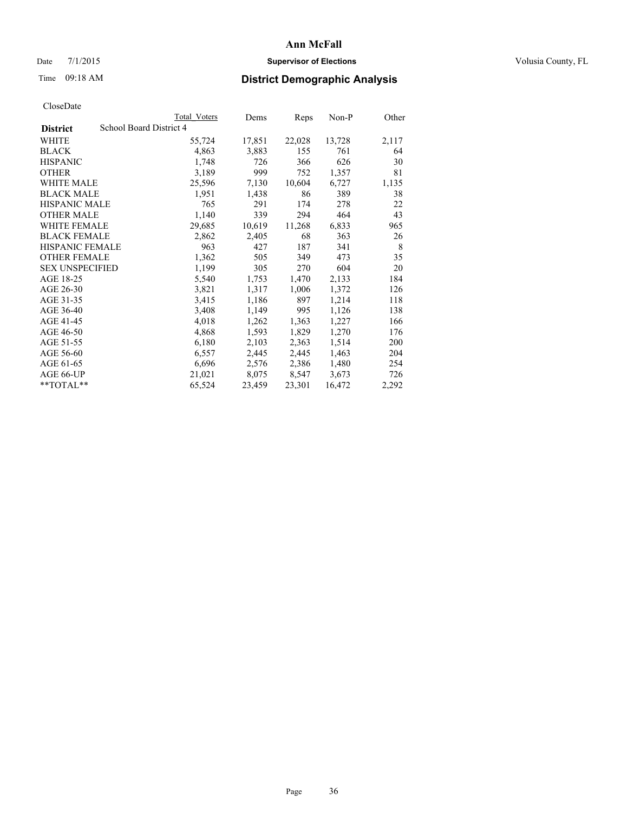# Date 7/1/2015 **Supervisor of Elections Supervisor of Elections** Volusia County, FL

# Time 09:18 AM **District Demographic Analysis**

|                        |                         | Total Voters | Dems   | Reps   | Non-P  | Other |
|------------------------|-------------------------|--------------|--------|--------|--------|-------|
| <b>District</b>        | School Board District 4 |              |        |        |        |       |
| WHITE                  |                         | 55,724       | 17,851 | 22,028 | 13,728 | 2,117 |
| <b>BLACK</b>           |                         | 4,863        | 3,883  | 155    | 761    | 64    |
| <b>HISPANIC</b>        |                         | 1,748        | 726    | 366    | 626    | 30    |
| <b>OTHER</b>           |                         | 3,189        | 999    | 752    | 1,357  | 81    |
| WHITE MALE             |                         | 25,596       | 7,130  | 10,604 | 6,727  | 1,135 |
| <b>BLACK MALE</b>      |                         | 1,951        | 1,438  | 86     | 389    | 38    |
| <b>HISPANIC MALE</b>   |                         | 765          | 291    | 174    | 278    | 22    |
| <b>OTHER MALE</b>      |                         | 1,140        | 339    | 294    | 464    | 43    |
| <b>WHITE FEMALE</b>    |                         | 29,685       | 10,619 | 11,268 | 6,833  | 965   |
| <b>BLACK FEMALE</b>    |                         | 2,862        | 2,405  | 68     | 363    | 26    |
| <b>HISPANIC FEMALE</b> |                         | 963          | 427    | 187    | 341    | 8     |
| <b>OTHER FEMALE</b>    |                         | 1,362        | 505    | 349    | 473    | 35    |
| <b>SEX UNSPECIFIED</b> |                         | 1,199        | 305    | 270    | 604    | 20    |
| AGE 18-25              |                         | 5,540        | 1,753  | 1,470  | 2,133  | 184   |
| AGE 26-30              |                         | 3,821        | 1,317  | 1,006  | 1,372  | 126   |
| AGE 31-35              |                         | 3,415        | 1,186  | 897    | 1,214  | 118   |
| AGE 36-40              |                         | 3,408        | 1,149  | 995    | 1,126  | 138   |
| AGE 41-45              |                         | 4,018        | 1,262  | 1,363  | 1,227  | 166   |
| AGE 46-50              |                         | 4,868        | 1,593  | 1,829  | 1,270  | 176   |
| AGE 51-55              |                         | 6,180        | 2,103  | 2,363  | 1,514  | 200   |
| AGE 56-60              |                         | 6,557        | 2,445  | 2,445  | 1,463  | 204   |
| AGE 61-65              |                         | 6,696        | 2,576  | 2,386  | 1,480  | 254   |
| AGE 66-UP              |                         | 21,021       | 8,075  | 8,547  | 3,673  | 726   |
| **TOTAL**              |                         | 65,524       | 23,459 | 23,301 | 16,472 | 2,292 |
|                        |                         |              |        |        |        |       |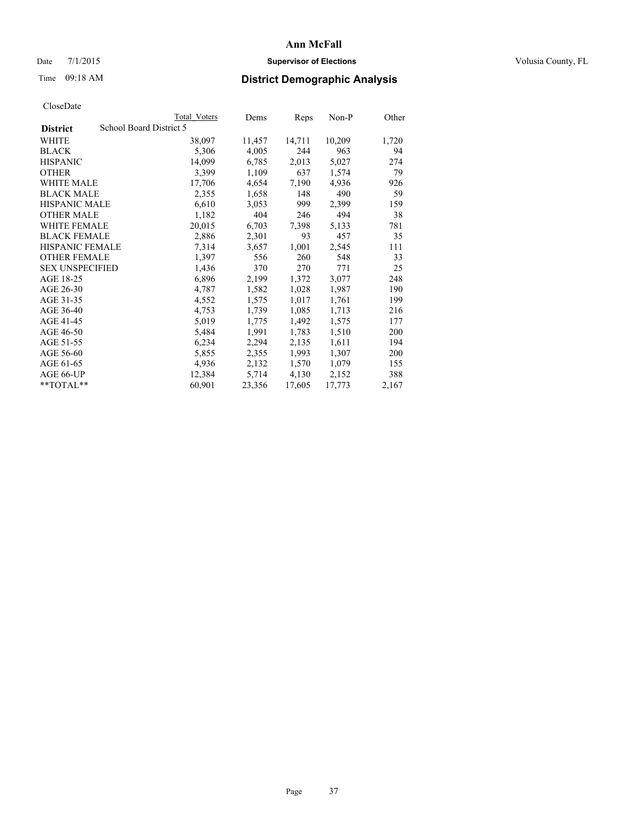### Date 7/1/2015 **Supervisor of Elections Supervisor of Elections** Volusia County, FL

# Time 09:18 AM **District Demographic Analysis**

|                                            | <b>Total Voters</b> | Dems   | Reps   | Non-P  | Other |
|--------------------------------------------|---------------------|--------|--------|--------|-------|
| School Board District 5<br><b>District</b> |                     |        |        |        |       |
| WHITE                                      | 38,097              | 11,457 | 14,711 | 10,209 | 1,720 |
| <b>BLACK</b>                               | 5,306               | 4,005  | 244    | 963    | 94    |
| <b>HISPANIC</b>                            | 14,099              | 6,785  | 2,013  | 5,027  | 274   |
| <b>OTHER</b>                               | 3,399               | 1,109  | 637    | 1,574  | 79    |
| <b>WHITE MALE</b>                          | 17,706              | 4,654  | 7,190  | 4,936  | 926   |
| <b>BLACK MALE</b>                          | 2,355               | 1,658  | 148    | 490    | 59    |
| <b>HISPANIC MALE</b>                       | 6,610               | 3,053  | 999    | 2,399  | 159   |
| <b>OTHER MALE</b>                          | 1,182               | 404    | 246    | 494    | 38    |
| <b>WHITE FEMALE</b>                        | 20,015              | 6,703  | 7.398  | 5,133  | 781   |
| <b>BLACK FEMALE</b>                        | 2,886               | 2,301  | 93     | 457    | 35    |
| HISPANIC FEMALE                            | 7,314               | 3,657  | 1,001  | 2,545  | 111   |
| <b>OTHER FEMALE</b>                        | 1,397               | 556    | 260    | 548    | 33    |
| <b>SEX UNSPECIFIED</b>                     | 1,436               | 370    | 270    | 771    | 25    |
| AGE 18-25                                  | 6,896               | 2,199  | 1,372  | 3,077  | 248   |
| AGE 26-30                                  | 4,787               | 1,582  | 1,028  | 1,987  | 190   |
| AGE 31-35                                  | 4,552               | 1,575  | 1,017  | 1,761  | 199   |
| AGE 36-40                                  | 4,753               | 1,739  | 1,085  | 1,713  | 216   |
| AGE 41-45                                  | 5,019               | 1,775  | 1,492  | 1,575  | 177   |
| AGE 46-50                                  | 5,484               | 1,991  | 1,783  | 1,510  | 200   |
| AGE 51-55                                  | 6,234               | 2,294  | 2,135  | 1,611  | 194   |
| AGE 56-60                                  | 5,855               | 2,355  | 1,993  | 1,307  | 200   |
| AGE 61-65                                  | 4,936               | 2,132  | 1,570  | 1,079  | 155   |
| AGE 66-UP                                  | 12,384              | 5,714  | 4,130  | 2,152  | 388   |
| **TOTAL**                                  | 60,901              | 23,356 | 17,605 | 17,773 | 2,167 |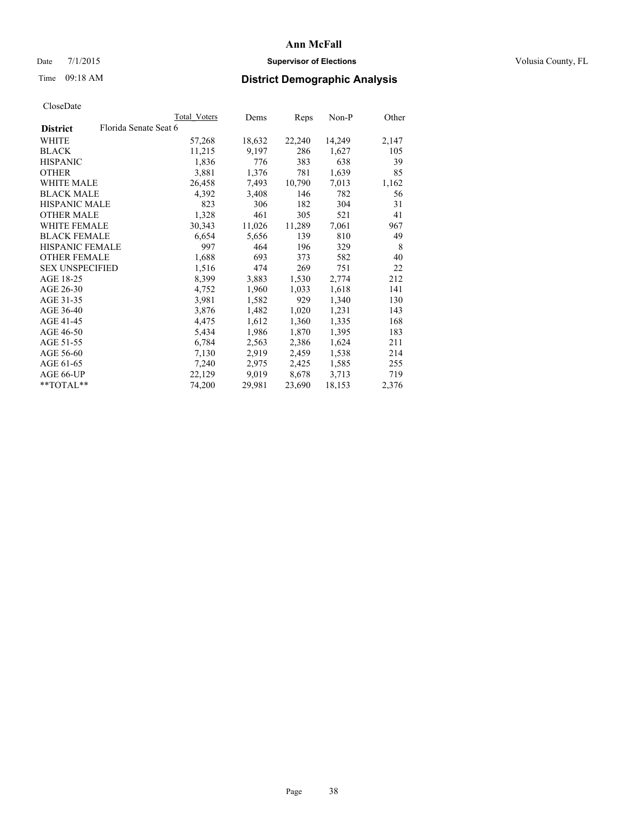# **Ann McFall** Date 7/1/2015 **Supervisor of Elections Supervisor of Elections** Volusia County, FL

# Time 09:18 AM **District Demographic Analysis**

|                        |                       | Total Voters | Dems   | <b>Reps</b> | $Non-P$ | Other |
|------------------------|-----------------------|--------------|--------|-------------|---------|-------|
| <b>District</b>        | Florida Senate Seat 6 |              |        |             |         |       |
| WHITE                  |                       | 57,268       | 18,632 | 22,240      | 14,249  | 2,147 |
| <b>BLACK</b>           |                       | 11,215       | 9,197  | 286         | 1,627   | 105   |
| <b>HISPANIC</b>        |                       | 1,836        | 776    | 383         | 638     | 39    |
| OTHER                  |                       | 3,881        | 1,376  | 781         | 1,639   | 85    |
| WHITE MALE             |                       | 26,458       | 7.493  | 10,790      | 7,013   | 1,162 |
| <b>BLACK MALE</b>      |                       | 4,392        | 3,408  | 146         | 782     | 56    |
| <b>HISPANIC MALE</b>   |                       | 823          | 306    | 182         | 304     | 31    |
| <b>OTHER MALE</b>      |                       | 1,328        | 461    | 305         | 521     | 41    |
| <b>WHITE FEMALE</b>    |                       | 30,343       | 11,026 | 11,289      | 7,061   | 967   |
| <b>BLACK FEMALE</b>    |                       | 6,654        | 5,656  | 139         | 810     | 49    |
| <b>HISPANIC FEMALE</b> |                       | 997          | 464    | 196         | 329     | 8     |
| <b>OTHER FEMALE</b>    |                       | 1,688        | 693    | 373         | 582     | 40    |
| <b>SEX UNSPECIFIED</b> |                       | 1,516        | 474    | 269         | 751     | 22    |
| AGE 18-25              |                       | 8,399        | 3,883  | 1,530       | 2,774   | 212   |
| AGE 26-30              |                       | 4,752        | 1,960  | 1,033       | 1,618   | 141   |
| AGE 31-35              |                       | 3,981        | 1,582  | 929         | 1,340   | 130   |
| AGE 36-40              |                       | 3,876        | 1,482  | 1,020       | 1,231   | 143   |
| AGE 41-45              |                       | 4,475        | 1,612  | 1,360       | 1,335   | 168   |
| AGE 46-50              |                       | 5,434        | 1,986  | 1,870       | 1,395   | 183   |
| AGE 51-55              |                       | 6,784        | 2,563  | 2,386       | 1,624   | 211   |
| AGE 56-60              |                       | 7,130        | 2,919  | 2,459       | 1,538   | 214   |
| AGE 61-65              |                       | 7,240        | 2,975  | 2,425       | 1,585   | 255   |
| AGE 66-UP              |                       | 22,129       | 9,019  | 8,678       | 3,713   | 719   |
| $*$ TOTAL $*$          |                       | 74,200       | 29,981 | 23,690      | 18,153  | 2,376 |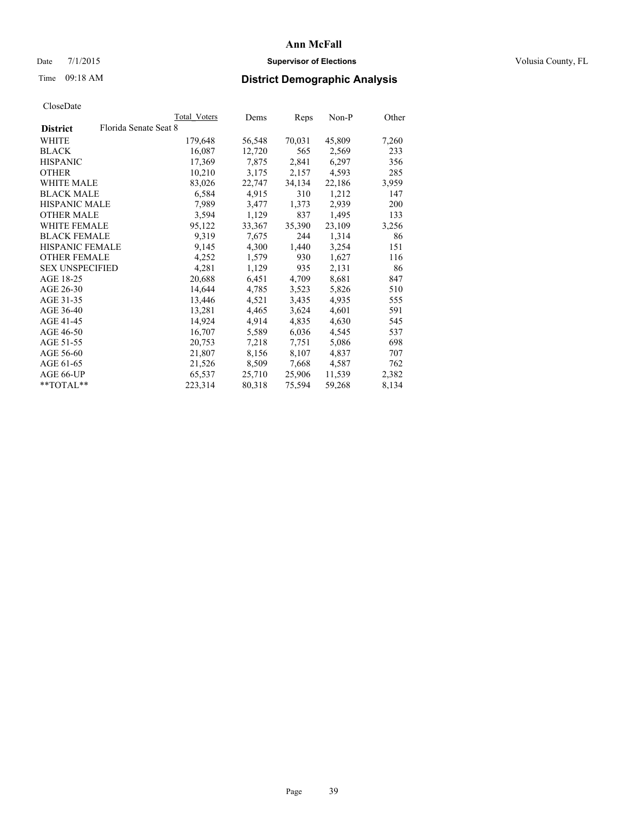### Date 7/1/2015 **Supervisor of Elections Supervisor of Elections** Volusia County, FL

# Time 09:18 AM **District Demographic Analysis**

|                        |                       | Total Voters | Dems   | Reps   | Non-P  | Other |
|------------------------|-----------------------|--------------|--------|--------|--------|-------|
| <b>District</b>        | Florida Senate Seat 8 |              |        |        |        |       |
| WHITE                  |                       | 179,648      | 56,548 | 70,031 | 45,809 | 7,260 |
| <b>BLACK</b>           |                       | 16,087       | 12,720 | 565    | 2,569  | 233   |
| <b>HISPANIC</b>        |                       | 17,369       | 7,875  | 2,841  | 6,297  | 356   |
| <b>OTHER</b>           |                       | 10,210       | 3,175  | 2,157  | 4,593  | 285   |
| WHITE MALE             |                       | 83,026       | 22,747 | 34,134 | 22,186 | 3,959 |
| <b>BLACK MALE</b>      |                       | 6,584        | 4,915  | 310    | 1,212  | 147   |
| <b>HISPANIC MALE</b>   |                       | 7,989        | 3,477  | 1,373  | 2,939  | 200   |
| <b>OTHER MALE</b>      |                       | 3,594        | 1,129  | 837    | 1,495  | 133   |
| <b>WHITE FEMALE</b>    |                       | 95,122       | 33,367 | 35,390 | 23,109 | 3,256 |
| <b>BLACK FEMALE</b>    |                       | 9.319        | 7,675  | 244    | 1,314  | 86    |
| <b>HISPANIC FEMALE</b> |                       | 9,145        | 4,300  | 1,440  | 3,254  | 151   |
| <b>OTHER FEMALE</b>    |                       | 4,252        | 1,579  | 930    | 1,627  | 116   |
| <b>SEX UNSPECIFIED</b> |                       | 4,281        | 1,129  | 935    | 2,131  | 86    |
| AGE 18-25              |                       | 20,688       | 6,451  | 4,709  | 8,681  | 847   |
| AGE 26-30              |                       | 14,644       | 4,785  | 3,523  | 5,826  | 510   |
| AGE 31-35              |                       | 13,446       | 4,521  | 3,435  | 4,935  | 555   |
| AGE 36-40              |                       | 13,281       | 4,465  | 3,624  | 4,601  | 591   |
| AGE 41-45              |                       | 14,924       | 4,914  | 4,835  | 4,630  | 545   |
| AGE 46-50              |                       | 16,707       | 5,589  | 6,036  | 4,545  | 537   |
| AGE 51-55              |                       | 20,753       | 7,218  | 7.751  | 5,086  | 698   |
| AGE 56-60              |                       | 21,807       | 8,156  | 8,107  | 4,837  | 707   |
| AGE 61-65              |                       | 21,526       | 8,509  | 7,668  | 4,587  | 762   |
| AGE 66-UP              |                       | 65,537       | 25,710 | 25,906 | 11,539 | 2,382 |
| $*$ $TOTAL**$          |                       | 223,314      | 80,318 | 75,594 | 59,268 | 8,134 |
|                        |                       |              |        |        |        |       |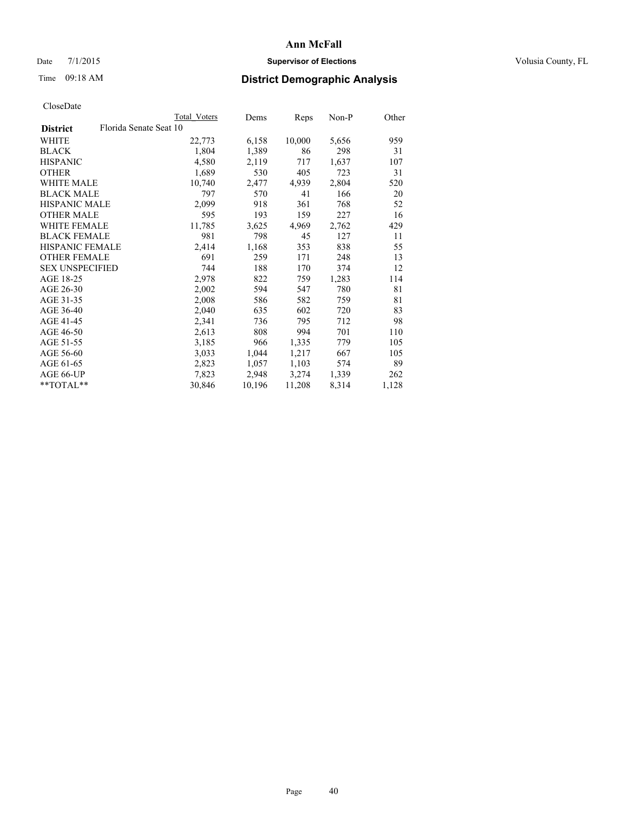### Date 7/1/2015 **Supervisor of Elections Supervisor of Elections** Volusia County, FL

# Time 09:18 AM **District Demographic Analysis**

| Total Voters | Dems                   | Reps   | Non-P | Other |
|--------------|------------------------|--------|-------|-------|
|              |                        |        |       |       |
| 22,773       | 6,158                  | 10,000 | 5,656 | 959   |
| 1,804        | 1,389                  | 86     | 298   | 31    |
| 4,580        | 2,119                  | 717    | 1,637 | 107   |
| 1,689        | 530                    | 405    | 723   | 31    |
| 10,740       | 2,477                  | 4,939  | 2,804 | 520   |
| 797          | 570                    | 41     | 166   | 20    |
| 2,099        | 918                    | 361    | 768   | 52    |
| 595          | 193                    | 159    | 227   | 16    |
| 11,785       | 3,625                  | 4,969  | 2,762 | 429   |
| 981          | 798                    | 45     | 127   | 11    |
| 2,414        | 1,168                  | 353    | 838   | 55    |
| 691          | 259                    | 171    | 248   | 13    |
| 744          | 188                    | 170    | 374   | 12    |
| 2,978        | 822                    | 759    | 1,283 | 114   |
| 2,002        | 594                    | 547    | 780   | 81    |
| 2,008        | 586                    | 582    | 759   | 81    |
| 2,040        | 635                    | 602    | 720   | 83    |
| 2,341        | 736                    | 795    | 712   | 98    |
| 2,613        | 808                    | 994    | 701   | 110   |
| 3,185        | 966                    | 1,335  | 779   | 105   |
| 3,033        | 1,044                  | 1,217  | 667   | 105   |
| 2,823        | 1,057                  | 1,103  | 574   | 89    |
| 7,823        | 2,948                  | 3,274  | 1,339 | 262   |
| 30,846       | 10,196                 | 11,208 | 8,314 | 1,128 |
|              | Florida Senate Seat 10 |        |       |       |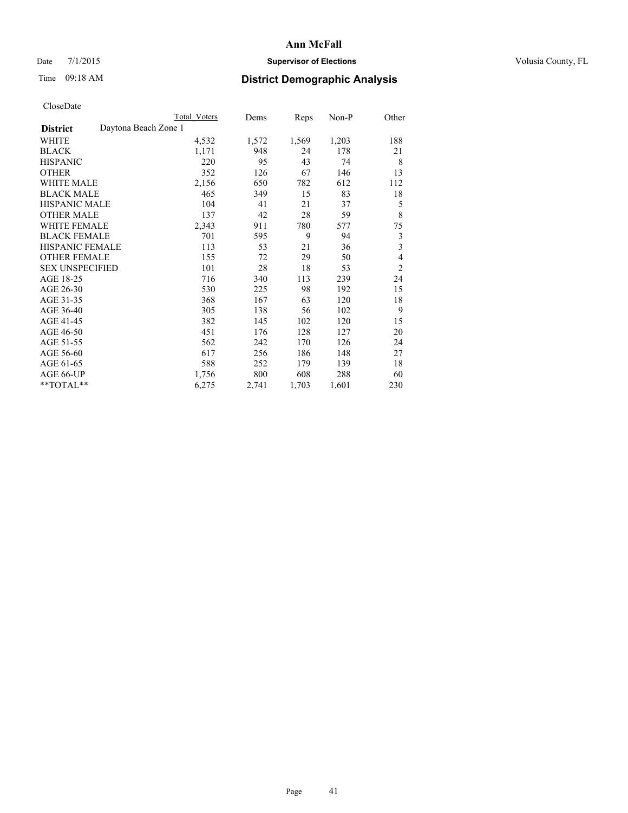### Date 7/1/2015 **Supervisor of Elections Supervisor of Elections** Volusia County, FL

# Time 09:18 AM **District Demographic Analysis**

|                                         | <b>Total Voters</b> | Dems  | Reps  | Non-P | Other          |
|-----------------------------------------|---------------------|-------|-------|-------|----------------|
| Daytona Beach Zone 1<br><b>District</b> |                     |       |       |       |                |
| WHITE                                   | 4,532               | 1,572 | 1,569 | 1,203 | 188            |
| <b>BLACK</b>                            | 1,171               | 948   | 24    | 178   | 21             |
| <b>HISPANIC</b>                         | 220                 | 95    | 43    | 74    | 8              |
| <b>OTHER</b>                            | 352                 | 126   | 67    | 146   | 13             |
| WHITE MALE                              | 2,156               | 650   | 782   | 612   | 112            |
| <b>BLACK MALE</b>                       | 465                 | 349   | 15    | 83    | 18             |
| <b>HISPANIC MALE</b>                    | 104                 | 41    | 21    | 37    | 5              |
| <b>OTHER MALE</b>                       | 137                 | 42    | 28    | 59    | 8              |
| WHITE FEMALE                            | 2,343               | 911   | 780   | 577   | 75             |
| <b>BLACK FEMALE</b>                     | 701                 | 595   | 9     | 94    | 3              |
| HISPANIC FEMALE                         | 113                 | 53    | 21    | 36    | 3              |
| <b>OTHER FEMALE</b>                     | 155                 | 72    | 29    | 50    | 4              |
| <b>SEX UNSPECIFIED</b>                  | 101                 | 28    | 18    | 53    | $\overline{2}$ |
| AGE 18-25                               | 716                 | 340   | 113   | 239   | 24             |
| AGE 26-30                               | 530                 | 225   | 98    | 192   | 15             |
| AGE 31-35                               | 368                 | 167   | 63    | 120   | 18             |
| AGE 36-40                               | 305                 | 138   | 56    | 102   | 9              |
| AGE 41-45                               | 382                 | 145   | 102   | 120   | 15             |
| AGE 46-50                               | 451                 | 176   | 128   | 127   | 20             |
| AGE 51-55                               | 562                 | 242   | 170   | 126   | 24             |
| AGE 56-60                               | 617                 | 256   | 186   | 148   | 27             |
| AGE 61-65                               | 588                 | 252   | 179   | 139   | 18             |
| AGE 66-UP                               | 1,756               | 800   | 608   | 288   | 60             |
| **TOTAL**                               | 6,275               | 2,741 | 1,703 | 1,601 | 230            |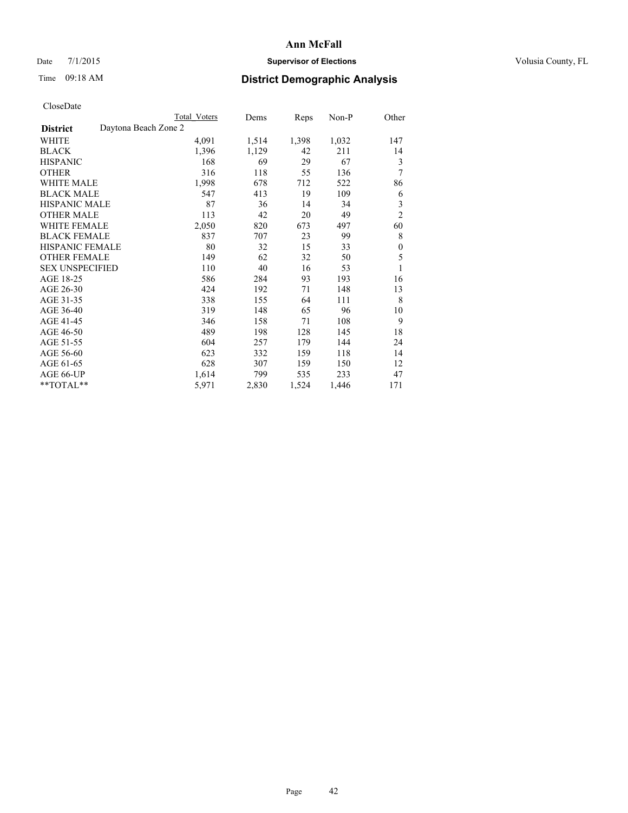### Date 7/1/2015 **Supervisor of Elections Supervisor of Elections** Volusia County, FL

# Time 09:18 AM **District Demographic Analysis**

|                                         | <b>Total Voters</b> | Dems  | Reps  | Non-P | Other          |
|-----------------------------------------|---------------------|-------|-------|-------|----------------|
| Daytona Beach Zone 2<br><b>District</b> |                     |       |       |       |                |
| WHITE                                   | 4,091               | 1,514 | 1,398 | 1,032 | 147            |
| <b>BLACK</b>                            | 1,396               | 1,129 | 42    | 211   | 14             |
| <b>HISPANIC</b>                         | 168                 | 69    | 29    | 67    | 3              |
| <b>OTHER</b>                            | 316                 | 118   | 55    | 136   | 7              |
| <b>WHITE MALE</b>                       | 1,998               | 678   | 712   | 522   | 86             |
| <b>BLACK MALE</b>                       | 547                 | 413   | 19    | 109   | 6              |
| <b>HISPANIC MALE</b>                    | 87                  | 36    | 14    | 34    | 3              |
| <b>OTHER MALE</b>                       | 113                 | 42    | 20    | 49    | $\overline{c}$ |
| <b>WHITE FEMALE</b>                     | 2,050               | 820   | 673   | 497   | 60             |
| <b>BLACK FEMALE</b>                     | 837                 | 707   | 23    | 99    | 8              |
| <b>HISPANIC FEMALE</b>                  | 80                  | 32    | 15    | 33    | $\theta$       |
| <b>OTHER FEMALE</b>                     | 149                 | 62    | 32    | 50    | 5              |
| <b>SEX UNSPECIFIED</b>                  | 110                 | 40    | 16    | 53    | 1              |
| AGE 18-25                               | 586                 | 284   | 93    | 193   | 16             |
| AGE 26-30                               | 424                 | 192   | 71    | 148   | 13             |
| AGE 31-35                               | 338                 | 155   | 64    | 111   | 8              |
| AGE 36-40                               | 319                 | 148   | 65    | 96    | 10             |
| AGE 41-45                               | 346                 | 158   | 71    | 108   | 9              |
| AGE 46-50                               | 489                 | 198   | 128   | 145   | 18             |
| AGE 51-55                               | 604                 | 257   | 179   | 144   | 24             |
| AGE 56-60                               | 623                 | 332   | 159   | 118   | 14             |
| AGE 61-65                               | 628                 | 307   | 159   | 150   | 12             |
| AGE 66-UP                               | 1,614               | 799   | 535   | 233   | 47             |
| **TOTAL**                               | 5,971               | 2,830 | 1,524 | 1,446 | 171            |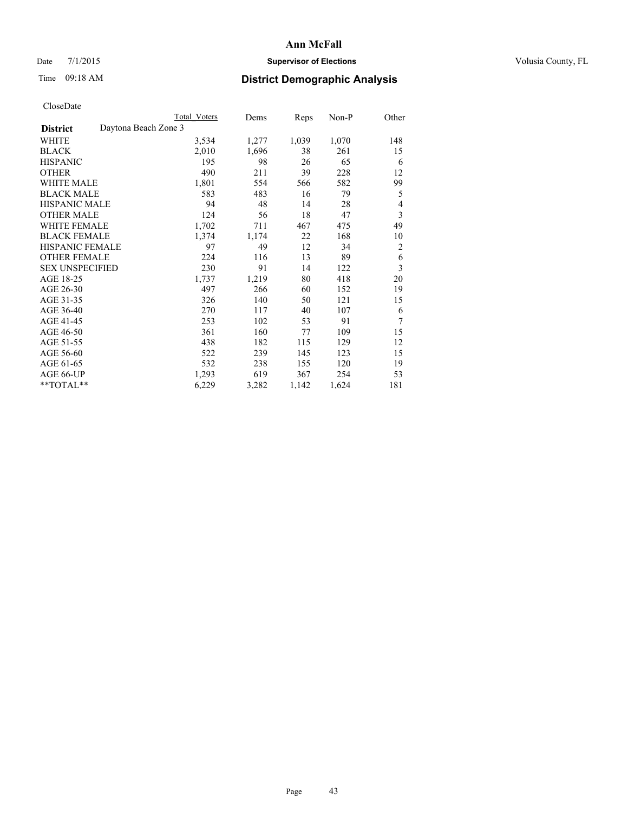### Date 7/1/2015 **Supervisor of Elections Supervisor of Elections** Volusia County, FL

# Time 09:18 AM **District Demographic Analysis**

|                                         | Total Voters | Dems  | Reps  | Non-P | Other          |
|-----------------------------------------|--------------|-------|-------|-------|----------------|
| Daytona Beach Zone 3<br><b>District</b> |              |       |       |       |                |
| WHITE                                   | 3,534        | 1,277 | 1,039 | 1,070 | 148            |
| BLACK                                   | 2,010        | 1,696 | 38    | 261   | 15             |
| <b>HISPANIC</b>                         | 195          | 98    | 26    | 65    | 6              |
| <b>OTHER</b>                            | 490          | 211   | 39    | 228   | 12             |
| WHITE MALE                              | 1,801        | 554   | 566   | 582   | 99             |
| <b>BLACK MALE</b>                       | 583          | 483   | 16    | 79    | 5              |
| <b>HISPANIC MALE</b>                    | 94           | 48    | 14    | 28    | 4              |
| <b>OTHER MALE</b>                       | 124          | 56    | 18    | 47    | 3              |
| <b>WHITE FEMALE</b>                     | 1,702        | 711   | 467   | 475   | 49             |
| <b>BLACK FEMALE</b>                     | 1,374        | 1,174 | 22    | 168   | 10             |
| HISPANIC FEMALE                         | 97           | 49    | 12    | 34    | $\overline{c}$ |
| <b>OTHER FEMALE</b>                     | 224          | 116   | 13    | 89    | 6              |
| <b>SEX UNSPECIFIED</b>                  | 230          | 91    | 14    | 122   | 3              |
| AGE 18-25                               | 1,737        | 1,219 | 80    | 418   | 20             |
| AGE 26-30                               | 497          | 266   | 60    | 152   | 19             |
| AGE 31-35                               | 326          | 140   | 50    | 121   | 15             |
| AGE 36-40                               | 270          | 117   | 40    | 107   | 6              |
| AGE 41-45                               | 253          | 102   | 53    | 91    | 7              |
| AGE 46-50                               | 361          | 160   | 77    | 109   | 15             |
| AGE 51-55                               | 438          | 182   | 115   | 129   | 12             |
| AGE 56-60                               | 522          | 239   | 145   | 123   | 15             |
| AGE 61-65                               | 532          | 238   | 155   | 120   | 19             |
| AGE 66-UP                               | 1,293        | 619   | 367   | 254   | 53             |
| **TOTAL**                               | 6,229        | 3,282 | 1,142 | 1,624 | 181            |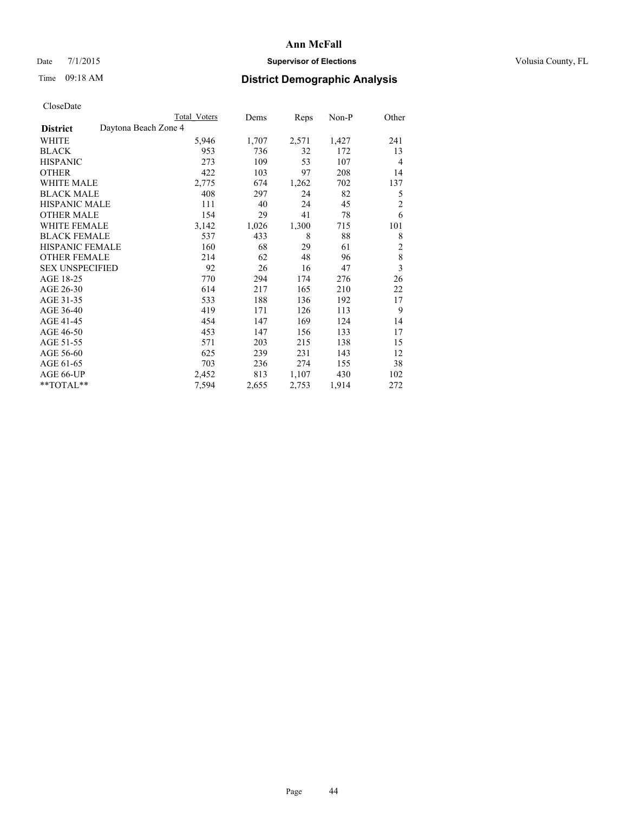### Date 7/1/2015 **Supervisor of Elections Supervisor of Elections** Volusia County, FL

# Time 09:18 AM **District Demographic Analysis**

|                                         | <b>Total Voters</b> | Dems  | Reps  | Non-P | Other                   |
|-----------------------------------------|---------------------|-------|-------|-------|-------------------------|
| Daytona Beach Zone 4<br><b>District</b> |                     |       |       |       |                         |
| WHITE                                   | 5,946               | 1,707 | 2,571 | 1,427 | 241                     |
| <b>BLACK</b>                            | 953                 | 736   | 32    | 172   | 13                      |
| <b>HISPANIC</b>                         | 273                 | 109   | 53    | 107   | 4                       |
| <b>OTHER</b>                            | 422                 | 103   | 97    | 208   | 14                      |
| WHITE MALE                              | 2,775               | 674   | 1,262 | 702   | 137                     |
| <b>BLACK MALE</b>                       | 408                 | 297   | 24    | 82    | 5                       |
| HISPANIC MALE                           | 111                 | 40    | 24    | 45    | $\overline{c}$          |
| <b>OTHER MALE</b>                       | 154                 | 29    | 41    | 78    | 6                       |
| WHITE FEMALE                            | 3,142               | 1,026 | 1,300 | 715   | 101                     |
| <b>BLACK FEMALE</b>                     | 537                 | 433   | 8     | 88    | 8                       |
| <b>HISPANIC FEMALE</b>                  | 160                 | 68    | 29    | 61    | $\overline{c}$          |
| <b>OTHER FEMALE</b>                     | 214                 | 62    | 48    | 96    | 8                       |
| <b>SEX UNSPECIFIED</b>                  | 92                  | 26    | 16    | 47    | $\overline{\mathbf{3}}$ |
| AGE 18-25                               | 770                 | 294   | 174   | 276   | 26                      |
| AGE 26-30                               | 614                 | 217   | 165   | 210   | 22                      |
| AGE 31-35                               | 533                 | 188   | 136   | 192   | 17                      |
| AGE 36-40                               | 419                 | 171   | 126   | 113   | 9                       |
| AGE 41-45                               | 454                 | 147   | 169   | 124   | 14                      |
| AGE 46-50                               | 453                 | 147   | 156   | 133   | 17                      |
| AGE 51-55                               | 571                 | 203   | 215   | 138   | 15                      |
| AGE 56-60                               | 625                 | 239   | 231   | 143   | 12                      |
| AGE 61-65                               | 703                 | 236   | 274   | 155   | 38                      |
| AGE 66-UP                               | 2,452               | 813   | 1,107 | 430   | 102                     |
| **TOTAL**                               | 7,594               | 2,655 | 2,753 | 1,914 | 272                     |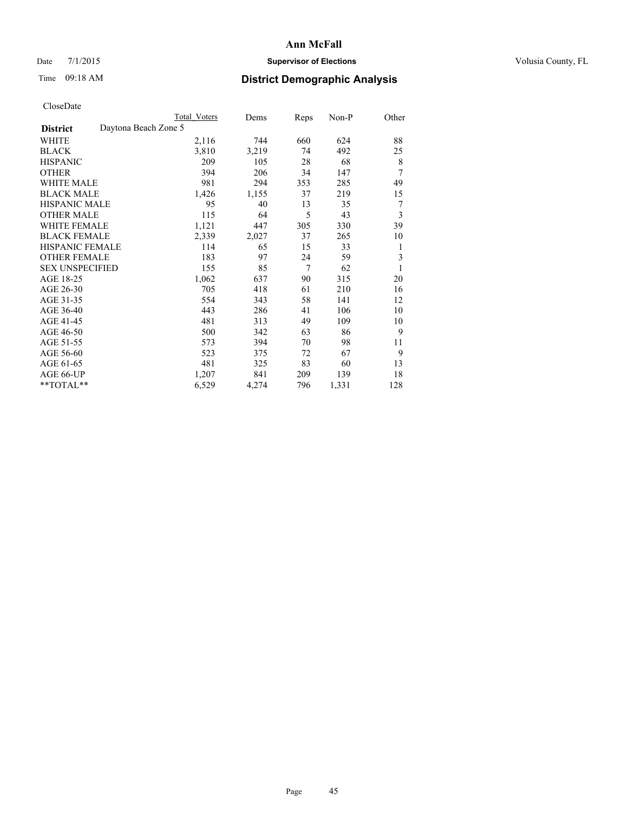### Date 7/1/2015 **Supervisor of Elections Supervisor of Elections** Volusia County, FL

# Time 09:18 AM **District Demographic Analysis**

|                        |                      | <b>Total Voters</b> | Dems  | Reps | Non-P | Other |
|------------------------|----------------------|---------------------|-------|------|-------|-------|
| <b>District</b>        | Daytona Beach Zone 5 |                     |       |      |       |       |
| WHITE                  |                      | 2,116               | 744   | 660  | 624   | 88    |
| <b>BLACK</b>           |                      | 3,810               | 3,219 | 74   | 492   | 25    |
| <b>HISPANIC</b>        |                      | 209                 | 105   | 28   | 68    | 8     |
| <b>OTHER</b>           |                      | 394                 | 206   | 34   | 147   | 7     |
| WHITE MALE             |                      | 981                 | 294   | 353  | 285   | 49    |
| <b>BLACK MALE</b>      |                      | 1,426               | 1,155 | 37   | 219   | 15    |
| <b>HISPANIC MALE</b>   |                      | 95                  | 40    | 13   | 35    | 7     |
| <b>OTHER MALE</b>      |                      | 115                 | 64    | 5    | 43    | 3     |
| <b>WHITE FEMALE</b>    |                      | 1,121               | 447   | 305  | 330   | 39    |
| <b>BLACK FEMALE</b>    |                      | 2,339               | 2,027 | 37   | 265   | 10    |
| <b>HISPANIC FEMALE</b> |                      | 114                 | 65    | 15   | 33    | 1     |
| <b>OTHER FEMALE</b>    |                      | 183                 | 97    | 24   | 59    | 3     |
| <b>SEX UNSPECIFIED</b> |                      | 155                 | 85    | 7    | 62    | 1     |
| AGE 18-25              |                      | 1,062               | 637   | 90   | 315   | 20    |
| AGE 26-30              |                      | 705                 | 418   | 61   | 210   | 16    |
| AGE 31-35              |                      | 554                 | 343   | 58   | 141   | 12    |
| AGE 36-40              |                      | 443                 | 286   | 41   | 106   | 10    |
| AGE 41-45              |                      | 481                 | 313   | 49   | 109   | 10    |
| AGE 46-50              |                      | 500                 | 342   | 63   | 86    | 9     |
| AGE 51-55              |                      | 573                 | 394   | 70   | 98    | 11    |
| AGE 56-60              |                      | 523                 | 375   | 72   | 67    | 9     |
| AGE 61-65              |                      | 481                 | 325   | 83   | 60    | 13    |
| AGE 66-UP              |                      | 1,207               | 841   | 209  | 139   | 18    |
| **TOTAL**              |                      | 6,529               | 4,274 | 796  | 1,331 | 128   |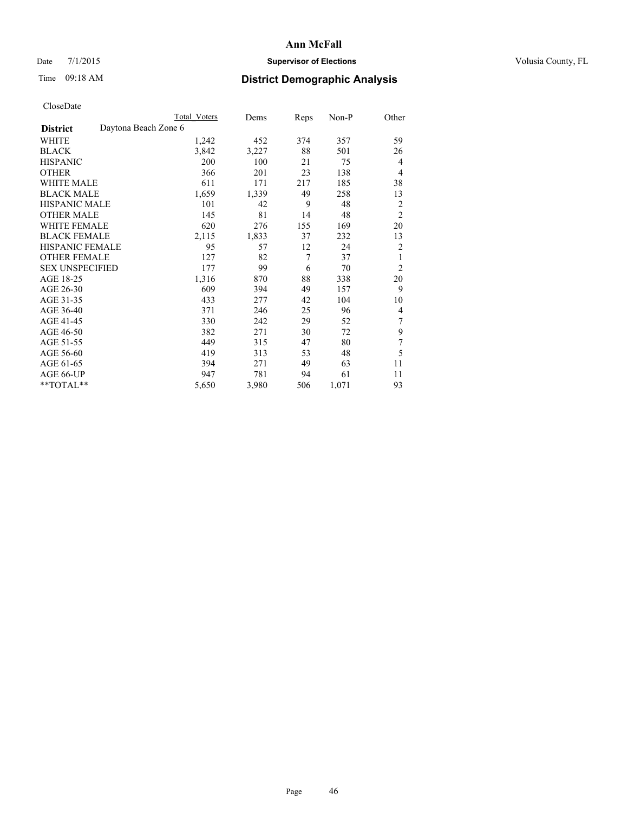### Date 7/1/2015 **Supervisor of Elections Supervisor of Elections** Volusia County, FL

|                                         | Total Voters | Dems  | <b>Reps</b> | Non-P | Other          |
|-----------------------------------------|--------------|-------|-------------|-------|----------------|
| Daytona Beach Zone 6<br><b>District</b> |              |       |             |       |                |
| WHITE                                   | 1,242        | 452   | 374         | 357   | 59             |
| <b>BLACK</b>                            | 3,842        | 3,227 | 88          | 501   | 26             |
| <b>HISPANIC</b>                         | 200          | 100   | 21          | 75    | $\overline{4}$ |
| <b>OTHER</b>                            | 366          | 201   | 23          | 138   | 4              |
| <b>WHITE MALE</b>                       | 611          | 171   | 217         | 185   | 38             |
| <b>BLACK MALE</b>                       | 1,659        | 1,339 | 49          | 258   | 13             |
| <b>HISPANIC MALE</b>                    | 101          | 42    | 9           | 48    | 2              |
| <b>OTHER MALE</b>                       | 145          | 81    | 14          | 48    | $\overline{2}$ |
| <b>WHITE FEMALE</b>                     | 620          | 276   | 155         | 169   | 20             |
| <b>BLACK FEMALE</b>                     | 2,115        | 1,833 | 37          | 232   | 13             |
| HISPANIC FEMALE                         | 95           | 57    | 12          | 24    | $\overline{2}$ |
| <b>OTHER FEMALE</b>                     | 127          | 82    | 7           | 37    | 1              |
| <b>SEX UNSPECIFIED</b>                  | 177          | 99    | 6           | 70    | $\overline{2}$ |
| AGE 18-25                               | 1,316        | 870   | 88          | 338   | 20             |
| AGE 26-30                               | 609          | 394   | 49          | 157   | 9              |
| AGE 31-35                               | 433          | 277   | 42          | 104   | 10             |
| AGE 36-40                               | 371          | 246   | 25          | 96    | 4              |
| AGE 41-45                               | 330          | 242   | 29          | 52    | 7              |
| AGE 46-50                               | 382          | 271   | 30          | 72    | 9              |
| AGE 51-55                               | 449          | 315   | 47          | 80    | 7              |
| AGE 56-60                               | 419          | 313   | 53          | 48    | 5              |
| AGE 61-65                               | 394          | 271   | 49          | 63    | 11             |
| AGE 66-UP                               | 947          | 781   | 94          | 61    | 11             |
| **TOTAL**                               | 5,650        | 3,980 | 506         | 1,071 | 93             |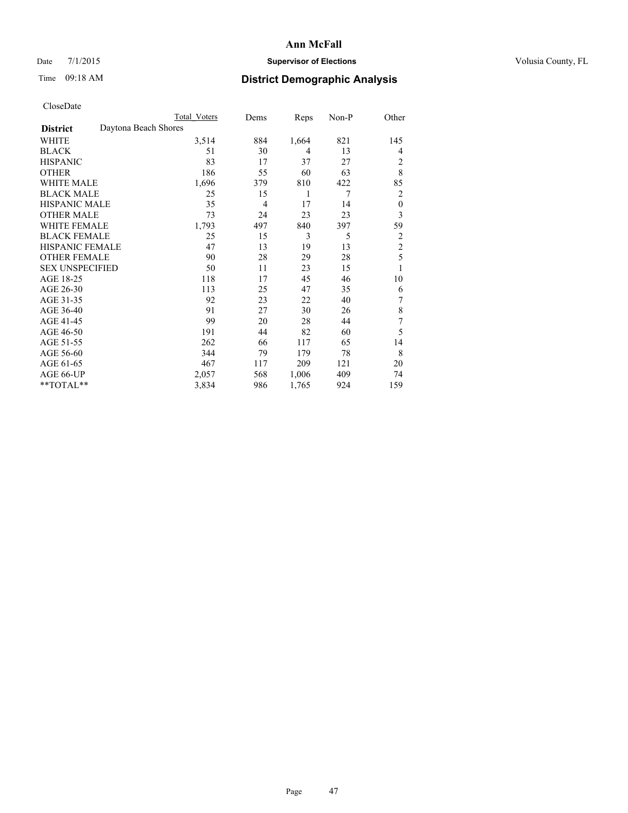### Date 7/1/2015 **Supervisor of Elections Supervisor of Elections** Volusia County, FL

# Time 09:18 AM **District Demographic Analysis**

|                        | Total Voters         | Dems | Reps           | Non-P | Other            |
|------------------------|----------------------|------|----------------|-------|------------------|
| <b>District</b>        | Daytona Beach Shores |      |                |       |                  |
| WHITE                  | 3,514                | 884  | 1,664          | 821   | 145              |
| <b>BLACK</b>           | 51                   | 30   | $\overline{4}$ | 13    | 4                |
| <b>HISPANIC</b>        | 83                   | 17   | 37             | 27    | 2                |
| <b>OTHER</b>           | 186                  | 55   | 60             | 63    | 8                |
| WHITE MALE             | 1,696                | 379  | 810            | 422   | 85               |
| <b>BLACK MALE</b>      | 25                   | 15   | 1              | 7     | 2                |
| <b>HISPANIC MALE</b>   | 35                   | 4    | 17             | 14    | $\boldsymbol{0}$ |
| <b>OTHER MALE</b>      | 73                   | 24   | 23             | 23    | 3                |
| WHITE FEMALE           | 1,793                | 497  | 840            | 397   | 59               |
| <b>BLACK FEMALE</b>    | 25                   | 15   | 3              | 5     | 2                |
| <b>HISPANIC FEMALE</b> | 47                   | 13   | 19             | 13    | $\overline{c}$   |
| <b>OTHER FEMALE</b>    | 90                   | 28   | 29             | 28    | 5                |
| <b>SEX UNSPECIFIED</b> | 50                   | 11   | 23             | 15    | 1                |
| AGE 18-25              | 118                  | 17   | 45             | 46    | 10               |
| AGE 26-30              | 113                  | 25   | 47             | 35    | 6                |
| AGE 31-35              | 92                   | 23   | 22             | 40    | 7                |
| AGE 36-40              | 91                   | 27   | 30             | 26    | 8                |
| AGE 41-45              | 99                   | 20   | 28             | 44    | 7                |
| AGE 46-50              | 191                  | 44   | 82             | 60    | 5                |
| AGE 51-55              | 262                  | 66   | 117            | 65    | 14               |
| AGE 56-60              | 344                  | 79   | 179            | 78    | 8                |
| AGE 61-65              | 467                  | 117  | 209            | 121   | 20               |
| AGE 66-UP              | 2,057                | 568  | 1,006          | 409   | 74               |
| **TOTAL**              | 3,834                | 986  | 1,765          | 924   | 159              |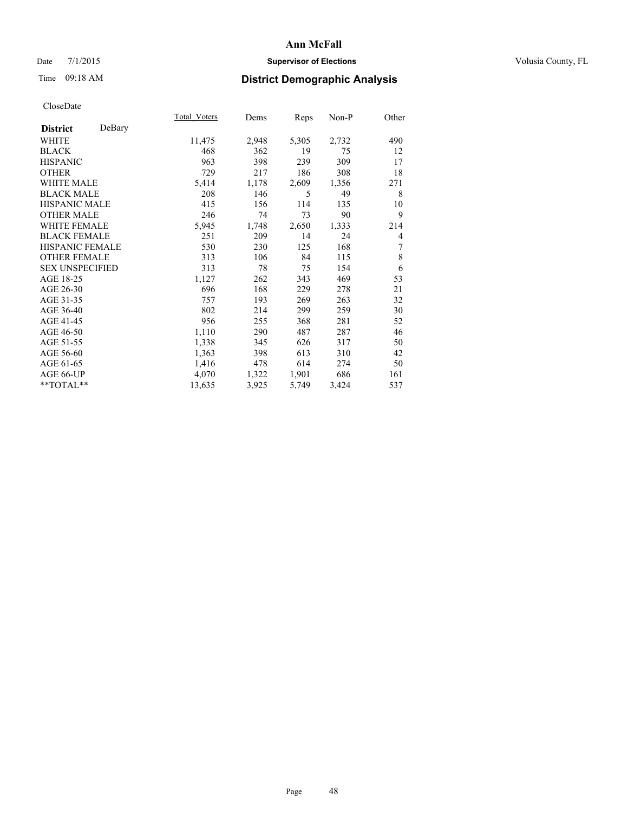### Date 7/1/2015 **Supervisor of Elections Supervisor of Elections** Volusia County, FL

# Time 09:18 AM **District Demographic Analysis**

|                        |        | Total Voters | Dems  | <u>Reps</u> | Non-P | Other |
|------------------------|--------|--------------|-------|-------------|-------|-------|
| <b>District</b>        | DeBary |              |       |             |       |       |
| WHITE                  |        | 11,475       | 2,948 | 5,305       | 2,732 | 490   |
| <b>BLACK</b>           |        | 468          | 362   | 19          | 75    | 12    |
| <b>HISPANIC</b>        |        | 963          | 398   | 239         | 309   | 17    |
| <b>OTHER</b>           |        | 729          | 217   | 186         | 308   | 18    |
| <b>WHITE MALE</b>      |        | 5,414        | 1,178 | 2,609       | 1,356 | 271   |
| <b>BLACK MALE</b>      |        | 208          | 146   | 5           | 49    | 8     |
| <b>HISPANIC MALE</b>   |        | 415          | 156   | 114         | 135   | 10    |
| <b>OTHER MALE</b>      |        | 246          | 74    | 73          | 90    | 9     |
| <b>WHITE FEMALE</b>    |        | 5,945        | 1,748 | 2,650       | 1,333 | 214   |
| <b>BLACK FEMALE</b>    |        | 251          | 209   | 14          | 24    | 4     |
| <b>HISPANIC FEMALE</b> |        | 530          | 230   | 125         | 168   | 7     |
| <b>OTHER FEMALE</b>    |        | 313          | 106   | 84          | 115   | 8     |
| <b>SEX UNSPECIFIED</b> |        | 313          | 78    | 75          | 154   | 6     |
| AGE 18-25              |        | 1,127        | 262   | 343         | 469   | 53    |
| AGE 26-30              |        | 696          | 168   | 229         | 278   | 21    |
| AGE 31-35              |        | 757          | 193   | 269         | 263   | 32    |
| AGE 36-40              |        | 802          | 214   | 299         | 259   | 30    |
| AGE 41-45              |        | 956          | 255   | 368         | 281   | 52    |
| AGE 46-50              |        | 1,110        | 290   | 487         | 287   | 46    |
| AGE 51-55              |        | 1,338        | 345   | 626         | 317   | 50    |
| AGE 56-60              |        | 1,363        | 398   | 613         | 310   | 42    |
| AGE 61-65              |        | 1,416        | 478   | 614         | 274   | 50    |
| AGE 66-UP              |        | 4,070        | 1,322 | 1,901       | 686   | 161   |
| **TOTAL**              |        | 13,635       | 3,925 | 5,749       | 3,424 | 537   |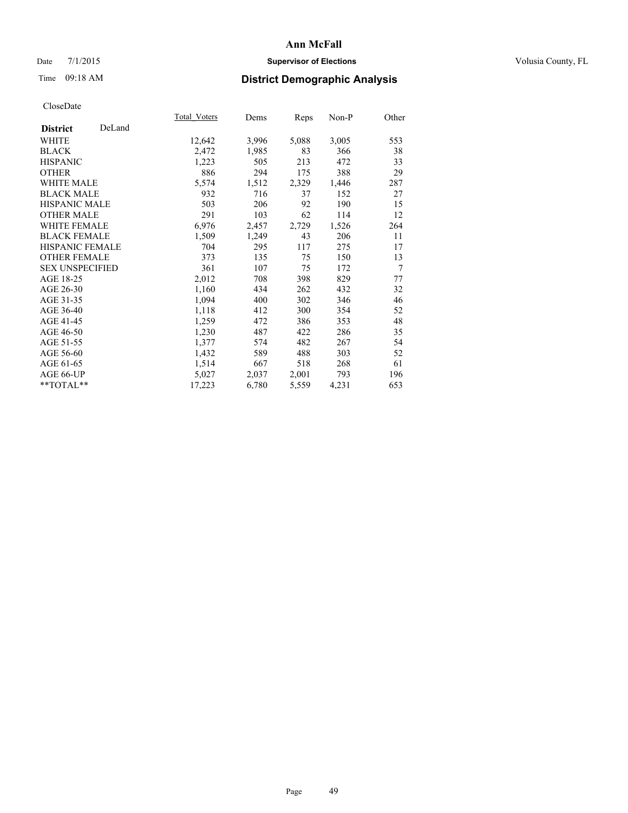### Date 7/1/2015 **Supervisor of Elections Supervisor of Elections** Volusia County, FL

# Time 09:18 AM **District Demographic Analysis**

|                        |        | Total Voters | Dems  | <b>Reps</b> | Non-P | Other |
|------------------------|--------|--------------|-------|-------------|-------|-------|
| <b>District</b>        | DeLand |              |       |             |       |       |
| WHITE                  |        | 12,642       | 3,996 | 5,088       | 3,005 | 553   |
| <b>BLACK</b>           |        | 2,472        | 1,985 | 83          | 366   | 38    |
| <b>HISPANIC</b>        |        | 1,223        | 505   | 213         | 472   | 33    |
| OTHER                  |        | 886          | 294   | 175         | 388   | 29    |
| WHITE MALE             |        | 5,574        | 1,512 | 2,329       | 1,446 | 287   |
| <b>BLACK MALE</b>      |        | 932          | 716   | 37          | 152   | 27    |
| <b>HISPANIC MALE</b>   |        | 503          | 206   | 92          | 190   | 15    |
| <b>OTHER MALE</b>      |        | 291          | 103   | 62          | 114   | 12    |
| <b>WHITE FEMALE</b>    |        | 6,976        | 2,457 | 2,729       | 1,526 | 264   |
| <b>BLACK FEMALE</b>    |        | 1,509        | 1,249 | 43          | 206   | 11    |
| <b>HISPANIC FEMALE</b> |        | 704          | 295   | 117         | 275   | 17    |
| <b>OTHER FEMALE</b>    |        | 373          | 135   | 75          | 150   | 13    |
| <b>SEX UNSPECIFIED</b> |        | 361          | 107   | 75          | 172   | 7     |
| AGE 18-25              |        | 2,012        | 708   | 398         | 829   | 77    |
| AGE 26-30              |        | 1,160        | 434   | 262         | 432   | 32    |
| AGE 31-35              |        | 1,094        | 400   | 302         | 346   | 46    |
| AGE 36-40              |        | 1,118        | 412   | 300         | 354   | 52    |
| AGE 41-45              |        | 1,259        | 472   | 386         | 353   | 48    |
| AGE 46-50              |        | 1,230        | 487   | 422         | 286   | 35    |
| AGE 51-55              |        | 1,377        | 574   | 482         | 267   | 54    |
| AGE 56-60              |        | 1,432        | 589   | 488         | 303   | 52    |
| AGE 61-65              |        | 1,514        | 667   | 518         | 268   | 61    |
| AGE 66-UP              |        | 5,027        | 2,037 | 2,001       | 793   | 196   |
| **TOTAL**              |        | 17,223       | 6,780 | 5,559       | 4,231 | 653   |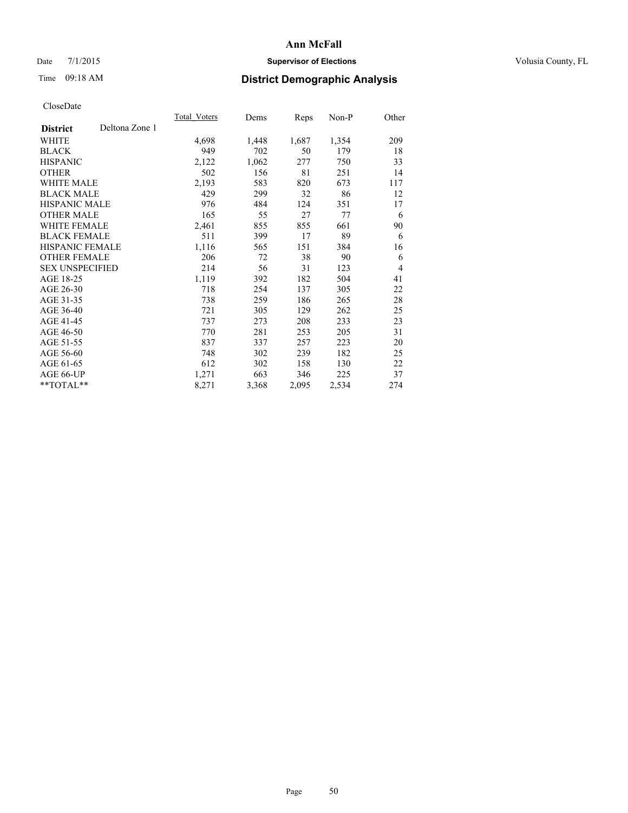### Date 7/1/2015 **Supervisor of Elections Supervisor of Elections** Volusia County, FL

# Time 09:18 AM **District Demographic Analysis**

|                        |                | <b>Total Voters</b> | Dems  | <b>Reps</b> | Non-P | Other          |
|------------------------|----------------|---------------------|-------|-------------|-------|----------------|
| <b>District</b>        | Deltona Zone 1 |                     |       |             |       |                |
| WHITE                  |                | 4,698               | 1,448 | 1,687       | 1,354 | 209            |
| <b>BLACK</b>           |                | 949                 | 702   | 50          | 179   | 18             |
| <b>HISPANIC</b>        |                | 2,122               | 1,062 | 277         | 750   | 33             |
| <b>OTHER</b>           |                | 502                 | 156   | 81          | 251   | 14             |
| WHITE MALE             |                | 2,193               | 583   | 820         | 673   | 117            |
| <b>BLACK MALE</b>      |                | 429                 | 299   | 32          | 86    | 12             |
| <b>HISPANIC MALE</b>   |                | 976                 | 484   | 124         | 351   | 17             |
| OTHER MALE             |                | 165                 | 55    | 27          | 77    | 6              |
| <b>WHITE FEMALE</b>    |                | 2,461               | 855   | 855         | 661   | 90             |
| <b>BLACK FEMALE</b>    |                | 511                 | 399   | 17          | 89    | 6              |
| HISPANIC FEMALE        |                | 1,116               | 565   | 151         | 384   | 16             |
| <b>OTHER FEMALE</b>    |                | 206                 | 72    | 38          | 90    | 6              |
| <b>SEX UNSPECIFIED</b> |                | 214                 | 56    | 31          | 123   | $\overline{4}$ |
| AGE 18-25              |                | 1,119               | 392   | 182         | 504   | 41             |
| AGE 26-30              |                | 718                 | 254   | 137         | 305   | 22             |
| AGE 31-35              |                | 738                 | 259   | 186         | 265   | 28             |
| AGE 36-40              |                | 721                 | 305   | 129         | 262   | 25             |
| AGE 41-45              |                | 737                 | 273   | 208         | 233   | 23             |
| AGE 46-50              |                | 770                 | 281   | 253         | 205   | 31             |
| AGE 51-55              |                | 837                 | 337   | 257         | 223   | 20             |
| AGE 56-60              |                | 748                 | 302   | 239         | 182   | 25             |
| AGE 61-65              |                | 612                 | 302   | 158         | 130   | 22             |
| AGE 66-UP              |                | 1,271               | 663   | 346         | 225   | 37             |
| **TOTAL**              |                | 8,271               | 3,368 | 2,095       | 2,534 | 274            |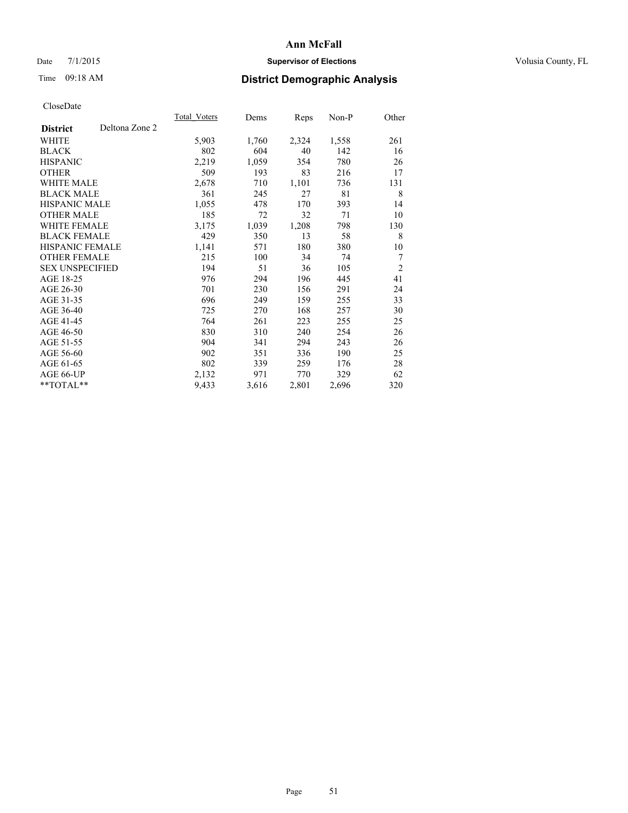### Date 7/1/2015 **Supervisor of Elections Supervisor of Elections** Volusia County, FL

# Time 09:18 AM **District Demographic Analysis**

|                                   | Total Voters | Dems  | <b>Reps</b> | Non-P | Other          |
|-----------------------------------|--------------|-------|-------------|-------|----------------|
| Deltona Zone 2<br><b>District</b> |              |       |             |       |                |
| WHITE                             | 5,903        | 1,760 | 2,324       | 1,558 | 261            |
| <b>BLACK</b>                      | 802          | 604   | 40          | 142   | 16             |
| <b>HISPANIC</b>                   | 2,219        | 1,059 | 354         | 780   | 26             |
| <b>OTHER</b>                      | 509          | 193   | 83          | 216   | 17             |
| <b>WHITE MALE</b>                 | 2,678        | 710   | 1,101       | 736   | 131            |
| <b>BLACK MALE</b>                 | 361          | 245   | 27          | 81    | 8              |
| <b>HISPANIC MALE</b>              | 1,055        | 478   | 170         | 393   | 14             |
| <b>OTHER MALE</b>                 | 185          | 72    | 32          | 71    | 10             |
| WHITE FEMALE                      | 3,175        | 1,039 | 1,208       | 798   | 130            |
| <b>BLACK FEMALE</b>               | 429          | 350   | 13          | 58    | 8              |
| <b>HISPANIC FEMALE</b>            | 1,141        | 571   | 180         | 380   | 10             |
| <b>OTHER FEMALE</b>               | 215          | 100   | 34          | 74    | $\overline{7}$ |
| <b>SEX UNSPECIFIED</b>            | 194          | 51    | 36          | 105   | $\overline{2}$ |
| AGE 18-25                         | 976          | 294   | 196         | 445   | 41             |
| AGE 26-30                         | 701          | 230   | 156         | 291   | 24             |
| AGE 31-35                         | 696          | 249   | 159         | 255   | 33             |
| AGE 36-40                         | 725          | 270   | 168         | 257   | 30             |
| AGE 41-45                         | 764          | 261   | 223         | 255   | 25             |
| AGE 46-50                         | 830          | 310   | 240         | 254   | 26             |
| AGE 51-55                         | 904          | 341   | 294         | 243   | 26             |
| AGE 56-60                         | 902          | 351   | 336         | 190   | 25             |
| AGE 61-65                         | 802          | 339   | 259         | 176   | 28             |
| AGE 66-UP                         | 2,132        | 971   | 770         | 329   | 62             |
| **TOTAL**                         | 9,433        | 3,616 | 2,801       | 2,696 | 320            |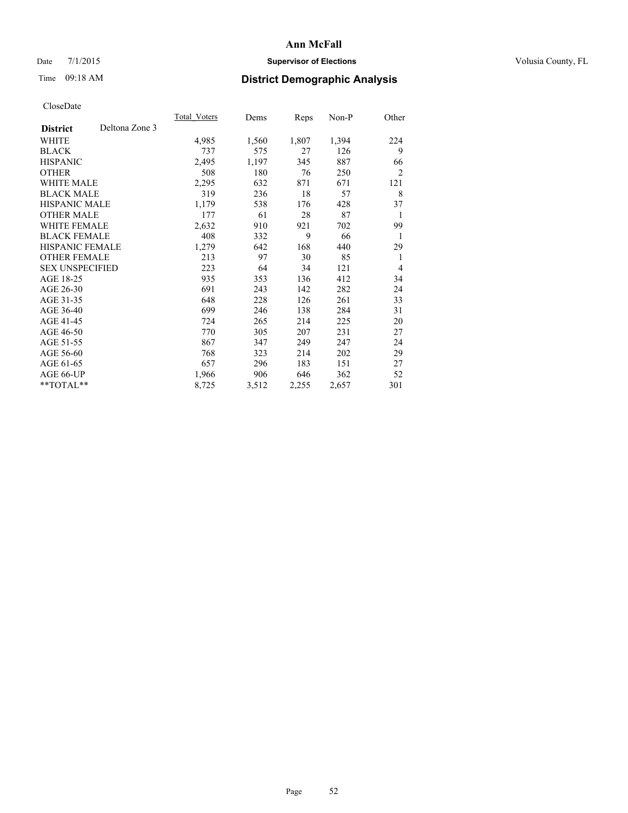### Date 7/1/2015 **Supervisor of Elections Supervisor of Elections** Volusia County, FL

# Time 09:18 AM **District Demographic Analysis**

|                        |                | Total Voters | Dems  | <b>Reps</b> | Non-P | Other          |
|------------------------|----------------|--------------|-------|-------------|-------|----------------|
| <b>District</b>        | Deltona Zone 3 |              |       |             |       |                |
| WHITE                  |                | 4,985        | 1,560 | 1,807       | 1,394 | 224            |
| <b>BLACK</b>           |                | 737          | 575   | 27          | 126   | 9              |
| <b>HISPANIC</b>        |                | 2,495        | 1,197 | 345         | 887   | 66             |
| <b>OTHER</b>           |                | 508          | 180   | 76          | 250   | $\overline{2}$ |
| <b>WHITE MALE</b>      |                | 2,295        | 632   | 871         | 671   | 121            |
| <b>BLACK MALE</b>      |                | 319          | 236   | 18          | 57    | 8              |
| <b>HISPANIC MALE</b>   |                | 1,179        | 538   | 176         | 428   | 37             |
| OTHER MALE             |                | 177          | 61    | 28          | 87    | 1              |
| <b>WHITE FEMALE</b>    |                | 2,632        | 910   | 921         | 702   | 99             |
| <b>BLACK FEMALE</b>    |                | 408          | 332   | 9           | 66    | 1              |
| HISPANIC FEMALE        |                | 1,279        | 642   | 168         | 440   | 29             |
| <b>OTHER FEMALE</b>    |                | 213          | 97    | 30          | 85    | 1              |
| <b>SEX UNSPECIFIED</b> |                | 223          | 64    | 34          | 121   | $\overline{4}$ |
| AGE 18-25              |                | 935          | 353   | 136         | 412   | 34             |
| AGE 26-30              |                | 691          | 243   | 142         | 282   | 24             |
| AGE 31-35              |                | 648          | 228   | 126         | 261   | 33             |
| AGE 36-40              |                | 699          | 246   | 138         | 284   | 31             |
| AGE 41-45              |                | 724          | 265   | 214         | 225   | 20             |
| AGE 46-50              |                | 770          | 305   | 207         | 231   | 27             |
| AGE 51-55              |                | 867          | 347   | 249         | 247   | 24             |
| AGE 56-60              |                | 768          | 323   | 214         | 202   | 29             |
| AGE 61-65              |                | 657          | 296   | 183         | 151   | 27             |
| AGE 66-UP              |                | 1,966        | 906   | 646         | 362   | 52             |
| **TOTAL**              |                | 8,725        | 3,512 | 2,255       | 2,657 | 301            |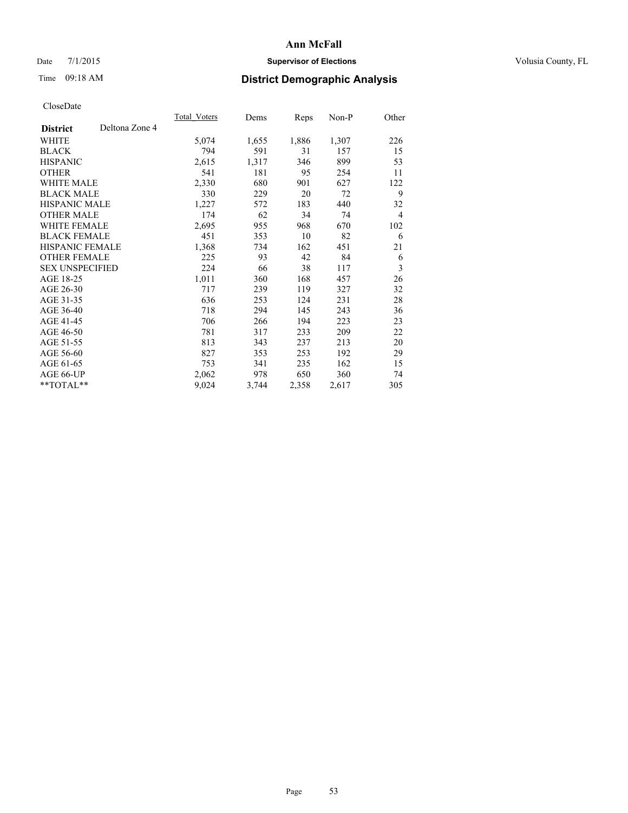### Date 7/1/2015 **Supervisor of Elections Supervisor of Elections** Volusia County, FL

# Time 09:18 AM **District Demographic Analysis**

|                                   | Total Voters | Dems  | <b>Reps</b> | Non-P | Other          |
|-----------------------------------|--------------|-------|-------------|-------|----------------|
| Deltona Zone 4<br><b>District</b> |              |       |             |       |                |
| WHITE                             | 5,074        | 1,655 | 1,886       | 1,307 | 226            |
| <b>BLACK</b>                      | 794          | 591   | 31          | 157   | 15             |
| <b>HISPANIC</b>                   | 2,615        | 1,317 | 346         | 899   | 53             |
| <b>OTHER</b>                      | 541          | 181   | 95          | 254   | 11             |
| <b>WHITE MALE</b>                 | 2,330        | 680   | 901         | 627   | 122            |
| <b>BLACK MALE</b>                 | 330          | 229   | 20          | 72    | 9              |
| <b>HISPANIC MALE</b>              | 1,227        | 572   | 183         | 440   | 32             |
| <b>OTHER MALE</b>                 | 174          | 62    | 34          | 74    | $\overline{4}$ |
| <b>WHITE FEMALE</b>               | 2,695        | 955   | 968         | 670   | 102            |
| <b>BLACK FEMALE</b>               | 451          | 353   | 10          | 82    | 6              |
| <b>HISPANIC FEMALE</b>            | 1,368        | 734   | 162         | 451   | 21             |
| <b>OTHER FEMALE</b>               | 225          | 93    | 42          | 84    | 6              |
| <b>SEX UNSPECIFIED</b>            | 224          | 66    | 38          | 117   | 3              |
| AGE 18-25                         | 1,011        | 360   | 168         | 457   | 26             |
| AGE 26-30                         | 717          | 239   | 119         | 327   | 32             |
| AGE 31-35                         | 636          | 253   | 124         | 231   | 28             |
| AGE 36-40                         | 718          | 294   | 145         | 243   | 36             |
| AGE 41-45                         | 706          | 266   | 194         | 223   | 23             |
| AGE 46-50                         | 781          | 317   | 233         | 209   | 22             |
| AGE 51-55                         | 813          | 343   | 237         | 213   | 20             |
| AGE 56-60                         | 827          | 353   | 253         | 192   | 29             |
| AGE 61-65                         | 753          | 341   | 235         | 162   | 15             |
| AGE 66-UP                         | 2,062        | 978   | 650         | 360   | 74             |
| **TOTAL**                         | 9,024        | 3,744 | 2,358       | 2,617 | 305            |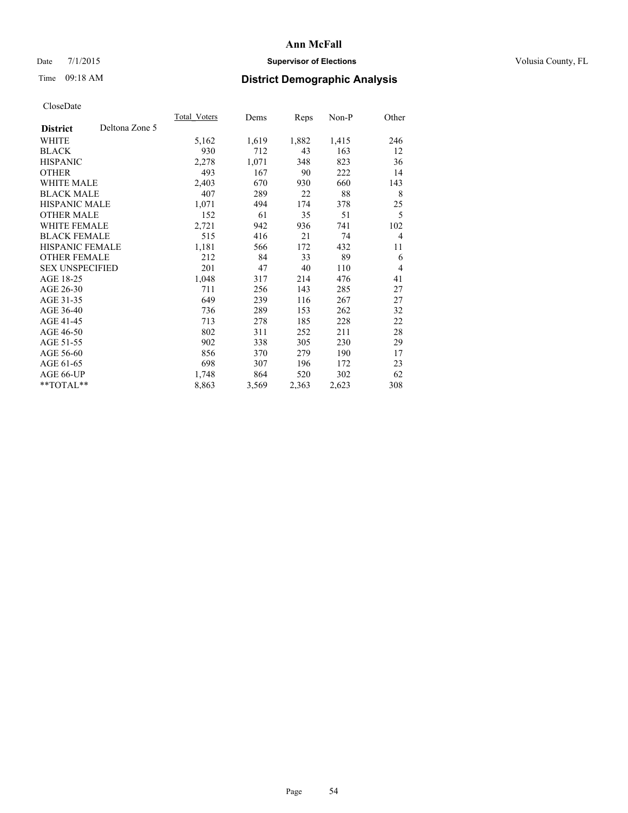### Date 7/1/2015 **Supervisor of Elections Supervisor of Elections** Volusia County, FL

# Time 09:18 AM **District Demographic Analysis**

|                        |                | Total Voters | Dems  | <b>Reps</b> | Non-P | Other          |
|------------------------|----------------|--------------|-------|-------------|-------|----------------|
| <b>District</b>        | Deltona Zone 5 |              |       |             |       |                |
| WHITE                  |                | 5,162        | 1,619 | 1,882       | 1,415 | 246            |
| <b>BLACK</b>           |                | 930          | 712   | 43          | 163   | 12             |
| <b>HISPANIC</b>        |                | 2,278        | 1,071 | 348         | 823   | 36             |
| <b>OTHER</b>           |                | 493          | 167   | 90          | 222   | 14             |
| <b>WHITE MALE</b>      |                | 2,403        | 670   | 930         | 660   | 143            |
| <b>BLACK MALE</b>      |                | 407          | 289   | 22          | 88    | 8              |
| <b>HISPANIC MALE</b>   |                | 1,071        | 494   | 174         | 378   | 25             |
| OTHER MALE             |                | 152          | 61    | 35          | 51    | 5              |
| <b>WHITE FEMALE</b>    |                | 2,721        | 942   | 936         | 741   | 102            |
| <b>BLACK FEMALE</b>    |                | 515          | 416   | 21          | 74    | $\overline{4}$ |
| HISPANIC FEMALE        |                | 1,181        | 566   | 172         | 432   | 11             |
| <b>OTHER FEMALE</b>    |                | 212          | 84    | 33          | 89    | 6              |
| <b>SEX UNSPECIFIED</b> |                | 201          | 47    | 40          | 110   | $\overline{4}$ |
| AGE 18-25              |                | 1,048        | 317   | 214         | 476   | 41             |
| AGE 26-30              |                | 711          | 256   | 143         | 285   | 27             |
| AGE 31-35              |                | 649          | 239   | 116         | 267   | 27             |
| AGE 36-40              |                | 736          | 289   | 153         | 262   | 32             |
| AGE 41-45              |                | 713          | 278   | 185         | 228   | 22             |
| AGE 46-50              |                | 802          | 311   | 252         | 211   | 28             |
| AGE 51-55              |                | 902          | 338   | 305         | 230   | 29             |
| AGE 56-60              |                | 856          | 370   | 279         | 190   | 17             |
| AGE 61-65              |                | 698          | 307   | 196         | 172   | 23             |
| AGE 66-UP              |                | 1,748        | 864   | 520         | 302   | 62             |
| **TOTAL**              |                | 8,863        | 3,569 | 2,363       | 2,623 | 308            |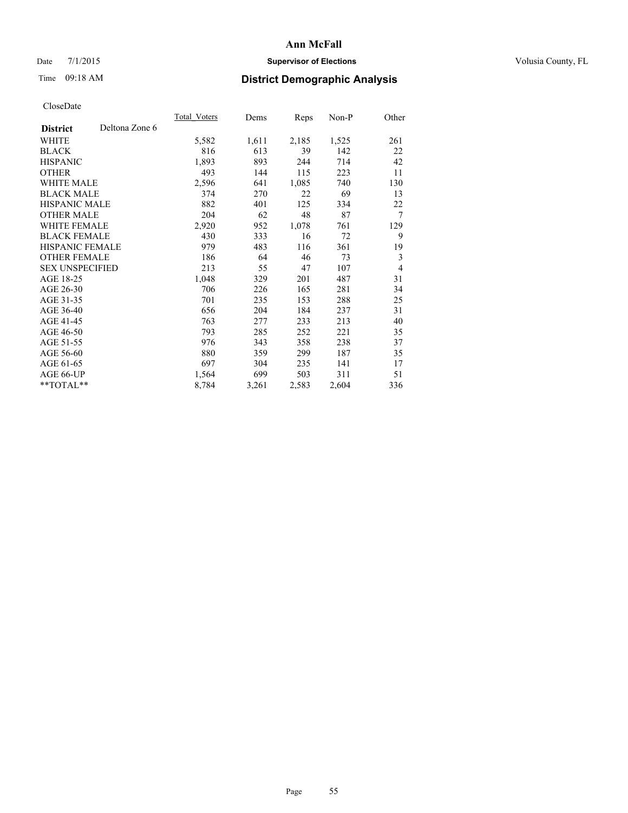### Date 7/1/2015 **Supervisor of Elections Supervisor of Elections** Volusia County, FL

# Time 09:18 AM **District Demographic Analysis**

|                        |                | <b>Total Voters</b> | Dems  | Reps  | Non-P | Other          |
|------------------------|----------------|---------------------|-------|-------|-------|----------------|
| <b>District</b>        | Deltona Zone 6 |                     |       |       |       |                |
| WHITE                  |                | 5,582               | 1,611 | 2,185 | 1,525 | 261            |
| <b>BLACK</b>           |                | 816                 | 613   | 39    | 142   | 22             |
| <b>HISPANIC</b>        |                | 1,893               | 893   | 244   | 714   | 42             |
| <b>OTHER</b>           |                | 493                 | 144   | 115   | 223   | 11             |
| WHITE MALE             |                | 2,596               | 641   | 1,085 | 740   | 130            |
| <b>BLACK MALE</b>      |                | 374                 | 270   | 22    | 69    | 13             |
| <b>HISPANIC MALE</b>   |                | 882                 | 401   | 125   | 334   | 22             |
| <b>OTHER MALE</b>      |                | 204                 | 62    | 48    | 87    | 7              |
| WHITE FEMALE           |                | 2,920               | 952   | 1,078 | 761   | 129            |
| <b>BLACK FEMALE</b>    |                | 430                 | 333   | 16    | 72    | 9              |
| HISPANIC FEMALE        |                | 979                 | 483   | 116   | 361   | 19             |
| <b>OTHER FEMALE</b>    |                | 186                 | 64    | 46    | 73    | 3              |
| <b>SEX UNSPECIFIED</b> |                | 213                 | 55    | 47    | 107   | $\overline{4}$ |
| AGE 18-25              |                | 1,048               | 329   | 201   | 487   | 31             |
| AGE 26-30              |                | 706                 | 226   | 165   | 281   | 34             |
| AGE 31-35              |                | 701                 | 235   | 153   | 288   | 25             |
| AGE 36-40              |                | 656                 | 204   | 184   | 237   | 31             |
| AGE 41-45              |                | 763                 | 277   | 233   | 213   | 40             |
| AGE 46-50              |                | 793                 | 285   | 252   | 221   | 35             |
| AGE 51-55              |                | 976                 | 343   | 358   | 238   | 37             |
| AGE 56-60              |                | 880                 | 359   | 299   | 187   | 35             |
| AGE 61-65              |                | 697                 | 304   | 235   | 141   | 17             |
| AGE 66-UP              |                | 1,564               | 699   | 503   | 311   | 51             |
| **TOTAL**              |                | 8,784               | 3,261 | 2,583 | 2,604 | 336            |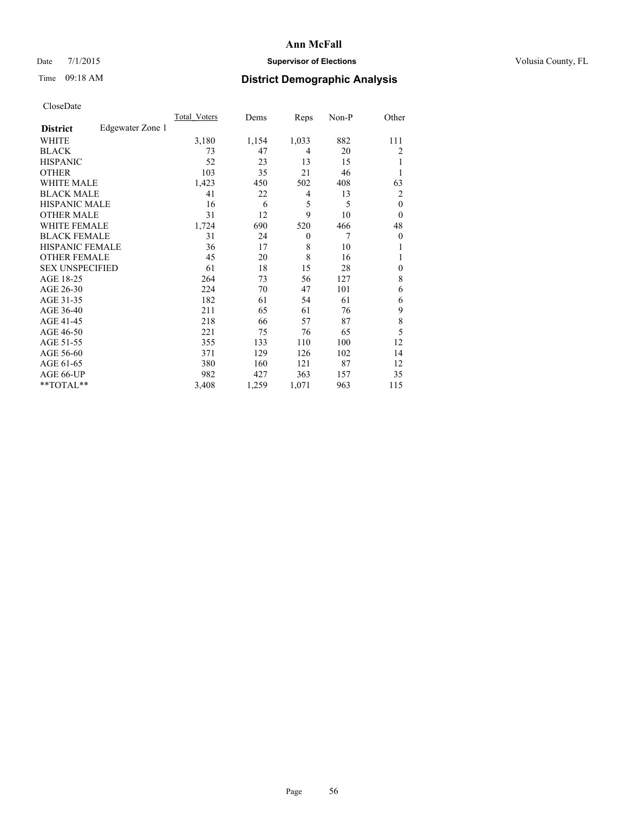# Date 7/1/2015 **Supervisor of Elections Supervisor of Elections** Volusia County, FL

# Time 09:18 AM **District Demographic Analysis**

|                        |                  | Total Voters | Dems  | Reps           | Non-P | Other        |
|------------------------|------------------|--------------|-------|----------------|-------|--------------|
| <b>District</b>        | Edgewater Zone 1 |              |       |                |       |              |
| WHITE                  |                  | 3,180        | 1,154 | 1,033          | 882   | 111          |
| <b>BLACK</b>           |                  | 73           | 47    | $\overline{4}$ | 20    | 2            |
| <b>HISPANIC</b>        |                  | 52           | 23    | 13             | 15    | 1            |
| <b>OTHER</b>           |                  | 103          | 35    | 21             | 46    |              |
| WHITE MALE             |                  | 1,423        | 450   | 502            | 408   | 63           |
| <b>BLACK MALE</b>      |                  | 41           | 22    | 4              | 13    | 2            |
| <b>HISPANIC MALE</b>   |                  | 16           | 6     | 5              | 5     | $\mathbf{0}$ |
| <b>OTHER MALE</b>      |                  | 31           | 12    | 9              | 10    | $\theta$     |
| WHITE FEMALE           |                  | 1,724        | 690   | 520            | 466   | 48           |
| <b>BLACK FEMALE</b>    |                  | 31           | 24    | $\theta$       | 7     | $\theta$     |
| <b>HISPANIC FEMALE</b> |                  | 36           | 17    | 8              | 10    |              |
| <b>OTHER FEMALE</b>    |                  | 45           | 20    | 8              | 16    |              |
| <b>SEX UNSPECIFIED</b> |                  | 61           | 18    | 15             | 28    | $\mathbf{0}$ |
| AGE 18-25              |                  | 264          | 73    | 56             | 127   | 8            |
| AGE 26-30              |                  | 224          | 70    | 47             | 101   | 6            |
| AGE 31-35              |                  | 182          | 61    | 54             | 61    | 6            |
| AGE 36-40              |                  | 211          | 65    | 61             | 76    | 9            |
| AGE 41-45              |                  | 218          | 66    | 57             | 87    | 8            |
| AGE 46-50              |                  | 221          | 75    | 76             | 65    | 5            |
| AGE 51-55              |                  | 355          | 133   | 110            | 100   | 12           |
| AGE 56-60              |                  | 371          | 129   | 126            | 102   | 14           |
| AGE 61-65              |                  | 380          | 160   | 121            | 87    | 12           |
| AGE 66-UP              |                  | 982          | 427   | 363            | 157   | 35           |
| **TOTAL**              |                  | 3,408        | 1,259 | 1,071          | 963   | 115          |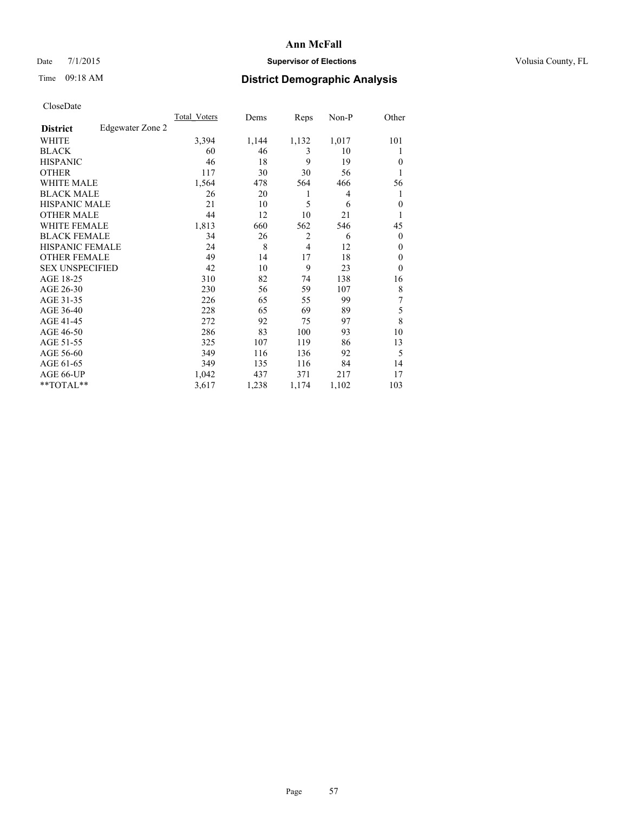### Date 7/1/2015 **Supervisor of Elections Supervisor of Elections** Volusia County, FL

# Time 09:18 AM **District Demographic Analysis**

|                        |                  | <b>Total Voters</b> | Dems  | Reps           | Non-P | Other          |
|------------------------|------------------|---------------------|-------|----------------|-------|----------------|
| <b>District</b>        | Edgewater Zone 2 |                     |       |                |       |                |
| WHITE                  |                  | 3,394               | 1,144 | 1,132          | 1,017 | 101            |
| <b>BLACK</b>           |                  | 60                  | 46    | 3              | 10    |                |
| <b>HISPANIC</b>        |                  | 46                  | 18    | 9              | 19    | $\theta$       |
| <b>OTHER</b>           |                  | 117                 | 30    | 30             | 56    |                |
| WHITE MALE             |                  | 1,564               | 478   | 564            | 466   | 56             |
| <b>BLACK MALE</b>      |                  | 26                  | 20    | 1              | 4     | 1              |
| <b>HISPANIC MALE</b>   |                  | 21                  | 10    | 5              | 6     | $\mathbf{0}$   |
| <b>OTHER MALE</b>      |                  | 44                  | 12    | 10             | 21    | 1              |
| <b>WHITE FEMALE</b>    |                  | 1,813               | 660   | 562            | 546   | 45             |
| <b>BLACK FEMALE</b>    |                  | 34                  | 26    | $\overline{2}$ | 6     | $\overline{0}$ |
| <b>HISPANIC FEMALE</b> |                  | 24                  | 8     | $\overline{4}$ | 12    | $\theta$       |
| <b>OTHER FEMALE</b>    |                  | 49                  | 14    | 17             | 18    | $\theta$       |
| <b>SEX UNSPECIFIED</b> |                  | 42                  | 10    | 9              | 23    | $\theta$       |
| AGE 18-25              |                  | 310                 | 82    | 74             | 138   | 16             |
| AGE 26-30              |                  | 230                 | 56    | 59             | 107   | 8              |
| AGE 31-35              |                  | 226                 | 65    | 55             | 99    | 7              |
| AGE 36-40              |                  | 228                 | 65    | 69             | 89    | 5              |
| AGE 41-45              |                  | 272                 | 92    | 75             | 97    | 8              |
| AGE 46-50              |                  | 286                 | 83    | 100            | 93    | 10             |
| AGE 51-55              |                  | 325                 | 107   | 119            | 86    | 13             |
| AGE 56-60              |                  | 349                 | 116   | 136            | 92    | 5              |
| AGE 61-65              |                  | 349                 | 135   | 116            | 84    | 14             |
| AGE 66-UP              |                  | 1,042               | 437   | 371            | 217   | 17             |
| **TOTAL**              |                  | 3,617               | 1,238 | 1,174          | 1,102 | 103            |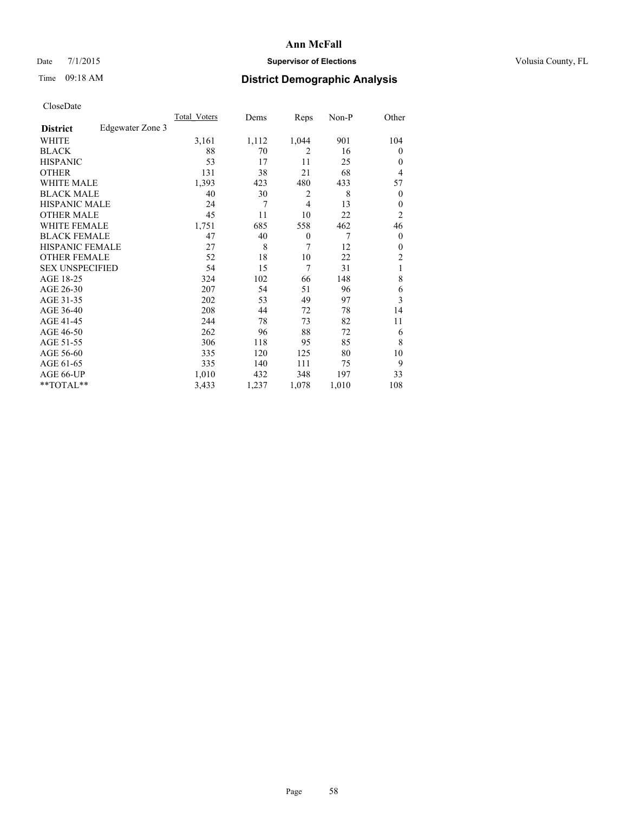### Date 7/1/2015 **Supervisor of Elections Supervisor of Elections** Volusia County, FL

# Time 09:18 AM **District Demographic Analysis**

|                        |                  | Total Voters | Dems  | Reps           | Non-P | Other            |
|------------------------|------------------|--------------|-------|----------------|-------|------------------|
| <b>District</b>        | Edgewater Zone 3 |              |       |                |       |                  |
| WHITE                  |                  | 3,161        | 1,112 | 1,044          | 901   | 104              |
| <b>BLACK</b>           |                  | 88           | 70    | $\overline{2}$ | 16    | $\theta$         |
| <b>HISPANIC</b>        |                  | 53           | 17    | 11             | 25    | $\theta$         |
| <b>OTHER</b>           |                  | 131          | 38    | 21             | 68    | 4                |
| WHITE MALE             |                  | 1,393        | 423   | 480            | 433   | 57               |
| <b>BLACK MALE</b>      |                  | 40           | 30    | $\overline{2}$ | 8     | $\boldsymbol{0}$ |
| <b>HISPANIC MALE</b>   |                  | 24           | 7     | $\overline{4}$ | 13    | $\theta$         |
| <b>OTHER MALE</b>      |                  | 45           | 11    | 10             | 22    | 2                |
| WHITE FEMALE           |                  | 1,751        | 685   | 558            | 462   | 46               |
| <b>BLACK FEMALE</b>    |                  | 47           | 40    | $\theta$       | 7     | $\theta$         |
| <b>HISPANIC FEMALE</b> |                  | 27           | 8     | 7              | 12    | $\theta$         |
| <b>OTHER FEMALE</b>    |                  | 52           | 18    | 10             | 22    | 2                |
| <b>SEX UNSPECIFIED</b> |                  | 54           | 15    | 7              | 31    | 1                |
| AGE 18-25              |                  | 324          | 102   | 66             | 148   | 8                |
| AGE 26-30              |                  | 207          | 54    | 51             | 96    | 6                |
| AGE 31-35              |                  | 202          | 53    | 49             | 97    | 3                |
| AGE 36-40              |                  | 208          | 44    | 72             | 78    | 14               |
| AGE 41-45              |                  | 244          | 78    | 73             | 82    | 11               |
| AGE 46-50              |                  | 262          | 96    | 88             | 72    | 6                |
| AGE 51-55              |                  | 306          | 118   | 95             | 85    | 8                |
| AGE 56-60              |                  | 335          | 120   | 125            | 80    | 10               |
| AGE 61-65              |                  | 335          | 140   | 111            | 75    | 9                |
| AGE 66-UP              |                  | 1,010        | 432   | 348            | 197   | 33               |
| **TOTAL**              |                  | 3,433        | 1,237 | 1,078          | 1,010 | 108              |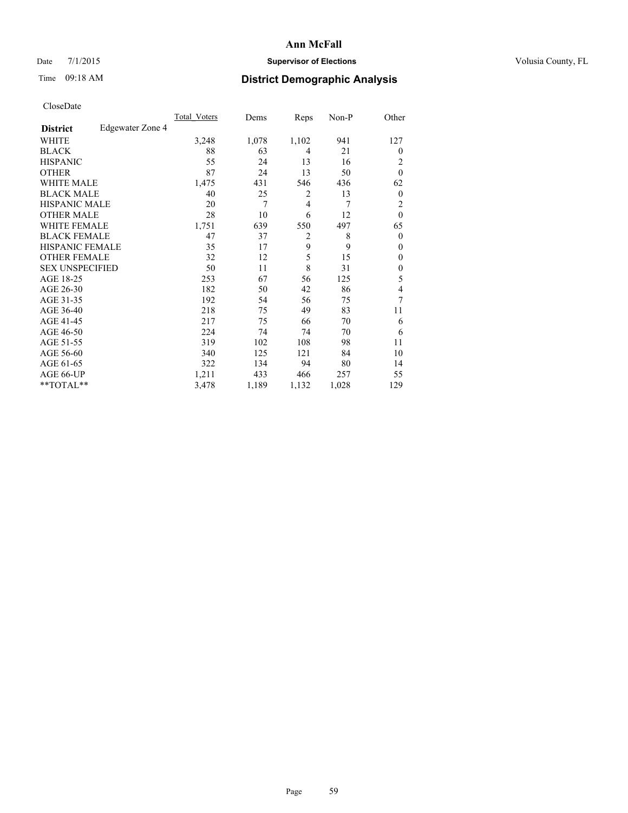### Date 7/1/2015 **Supervisor of Elections Supervisor of Elections** Volusia County, FL

# Time 09:18 AM **District Demographic Analysis**

|                        |                  | Total Voters | Dems  | Reps           | Non-P | Other            |
|------------------------|------------------|--------------|-------|----------------|-------|------------------|
| <b>District</b>        | Edgewater Zone 4 |              |       |                |       |                  |
| WHITE                  |                  | 3,248        | 1,078 | 1,102          | 941   | 127              |
| <b>BLACK</b>           |                  | 88           | 63    | 4              | 21    | $\theta$         |
| <b>HISPANIC</b>        |                  | 55           | 24    | 13             | 16    | 2                |
| <b>OTHER</b>           |                  | 87           | 24    | 13             | 50    | $\theta$         |
| WHITE MALE             |                  | 1,475        | 431   | 546            | 436   | 62               |
| <b>BLACK MALE</b>      |                  | 40           | 25    | 2              | 13    | $\boldsymbol{0}$ |
| <b>HISPANIC MALE</b>   |                  | 20           | 7     | 4              | 7     | 2                |
| <b>OTHER MALE</b>      |                  | 28           | 10    | 6              | 12    | $\mathbf{0}$     |
| <b>WHITE FEMALE</b>    |                  | 1,751        | 639   | 550            | 497   | 65               |
| <b>BLACK FEMALE</b>    |                  | 47           | 37    | $\overline{2}$ | 8     | $\theta$         |
| <b>HISPANIC FEMALE</b> |                  | 35           | 17    | 9              | 9     | $\theta$         |
| <b>OTHER FEMALE</b>    |                  | 32           | 12    | 5              | 15    | $\theta$         |
| <b>SEX UNSPECIFIED</b> |                  | 50           | 11    | 8              | 31    | $\mathbf{0}$     |
| AGE 18-25              |                  | 253          | 67    | 56             | 125   | 5                |
| AGE 26-30              |                  | 182          | 50    | 42             | 86    | 4                |
| AGE 31-35              |                  | 192          | 54    | 56             | 75    | 7                |
| AGE 36-40              |                  | 218          | 75    | 49             | 83    | 11               |
| AGE 41-45              |                  | 217          | 75    | 66             | 70    | 6                |
| AGE 46-50              |                  | 224          | 74    | 74             | 70    | 6                |
| AGE 51-55              |                  | 319          | 102   | 108            | 98    | 11               |
| AGE 56-60              |                  | 340          | 125   | 121            | 84    | 10               |
| AGE 61-65              |                  | 322          | 134   | 94             | 80    | 14               |
| AGE 66-UP              |                  | 1,211        | 433   | 466            | 257   | 55               |
| **TOTAL**              |                  | 3,478        | 1,189 | 1,132          | 1,028 | 129              |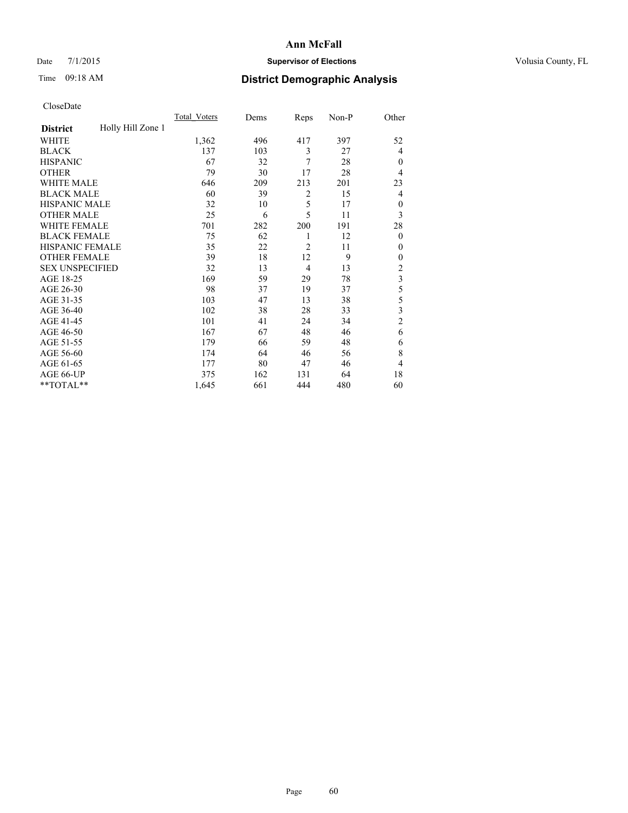### Date 7/1/2015 **Supervisor of Elections Supervisor of Elections** Volusia County, FL

# Time 09:18 AM **District Demographic Analysis**

|                        |                   | <b>Total Voters</b> | Dems | Reps           | Non-P | Other                   |
|------------------------|-------------------|---------------------|------|----------------|-------|-------------------------|
| <b>District</b>        | Holly Hill Zone 1 |                     |      |                |       |                         |
| WHITE                  |                   | 1,362               | 496  | 417            | 397   | 52                      |
| <b>BLACK</b>           |                   | 137                 | 103  | 3              | 27    | 4                       |
| <b>HISPANIC</b>        |                   | 67                  | 32   | 7              | 28    | $\mathbf{0}$            |
| <b>OTHER</b>           |                   | 79                  | 30   | 17             | 28    | 4                       |
| WHITE MALE             |                   | 646                 | 209  | 213            | 201   | 23                      |
| <b>BLACK MALE</b>      |                   | 60                  | 39   | 2              | 15    | 4                       |
| <b>HISPANIC MALE</b>   |                   | 32                  | 10   | 5              | 17    | $\mathbf{0}$            |
| <b>OTHER MALE</b>      |                   | 25                  | 6    | 5              | 11    | 3                       |
| WHITE FEMALE           |                   | 701                 | 282  | 200            | 191   | 28                      |
| <b>BLACK FEMALE</b>    |                   | 75                  | 62   | 1              | 12    | $\mathbf{0}$            |
| <b>HISPANIC FEMALE</b> |                   | 35                  | 22   | $\overline{2}$ | 11    | $\Omega$                |
| <b>OTHER FEMALE</b>    |                   | 39                  | 18   | 12             | 9     | $\Omega$                |
| <b>SEX UNSPECIFIED</b> |                   | 32                  | 13   | 4              | 13    | $\overline{\mathbf{c}}$ |
| AGE 18-25              |                   | 169                 | 59   | 29             | 78    | $\overline{\mathbf{3}}$ |
| AGE 26-30              |                   | 98                  | 37   | 19             | 37    | 5                       |
| AGE 31-35              |                   | 103                 | 47   | 13             | 38    | 5                       |
| AGE 36-40              |                   | 102                 | 38   | 28             | 33    | 3                       |
| AGE 41-45              |                   | 101                 | 41   | 24             | 34    | $\overline{c}$          |
| AGE 46-50              |                   | 167                 | 67   | 48             | 46    | 6                       |
| AGE 51-55              |                   | 179                 | 66   | 59             | 48    | 6                       |
| AGE 56-60              |                   | 174                 | 64   | 46             | 56    | 8                       |
| AGE 61-65              |                   | 177                 | 80   | 47             | 46    | 4                       |
| AGE 66-UP              |                   | 375                 | 162  | 131            | 64    | 18                      |
| **TOTAL**              |                   | 1,645               | 661  | 444            | 480   | 60                      |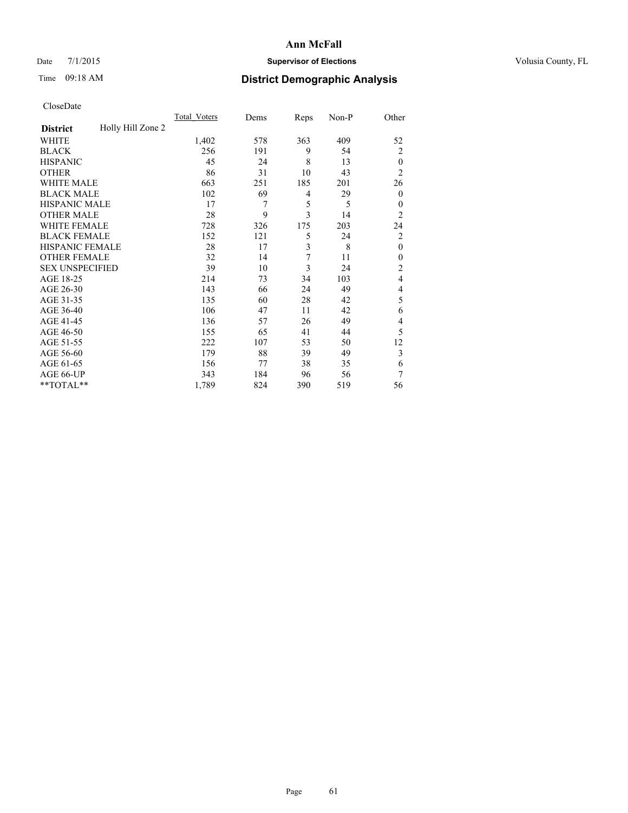### Date 7/1/2015 **Supervisor of Elections Supervisor of Elections** Volusia County, FL

# Time 09:18 AM **District Demographic Analysis**

|                        |                   | <b>Total Voters</b> | Dems | Reps | Non-P | Other            |
|------------------------|-------------------|---------------------|------|------|-------|------------------|
| <b>District</b>        | Holly Hill Zone 2 |                     |      |      |       |                  |
| WHITE                  |                   | 1,402               | 578  | 363  | 409   | 52               |
| <b>BLACK</b>           |                   | 256                 | 191  | 9    | 54    | $\overline{2}$   |
| <b>HISPANIC</b>        |                   | 45                  | 24   | 8    | 13    | $\theta$         |
| <b>OTHER</b>           |                   | 86                  | 31   | 10   | 43    | $\overline{2}$   |
| WHITE MALE             |                   | 663                 | 251  | 185  | 201   | 26               |
| <b>BLACK MALE</b>      |                   | 102                 | 69   | 4    | 29    | $\boldsymbol{0}$ |
| <b>HISPANIC MALE</b>   |                   | 17                  | 7    | 5    | 5     | $\theta$         |
| <b>OTHER MALE</b>      |                   | 28                  | 9    | 3    | 14    | $\overline{2}$   |
| WHITE FEMALE           |                   | 728                 | 326  | 175  | 203   | 24               |
| <b>BLACK FEMALE</b>    |                   | 152                 | 121  | 5    | 24    | $\overline{c}$   |
| <b>HISPANIC FEMALE</b> |                   | 28                  | 17   | 3    | 8     | $\mathbf{0}$     |
| <b>OTHER FEMALE</b>    |                   | 32                  | 14   | 7    | 11    | $\theta$         |
| <b>SEX UNSPECIFIED</b> |                   | 39                  | 10   | 3    | 24    | $\overline{c}$   |
| AGE 18-25              |                   | 214                 | 73   | 34   | 103   | 4                |
| AGE 26-30              |                   | 143                 | 66   | 24   | 49    | 4                |
| AGE 31-35              |                   | 135                 | 60   | 28   | 42    | 5                |
| AGE 36-40              |                   | 106                 | 47   | 11   | 42    | 6                |
| AGE 41-45              |                   | 136                 | 57   | 26   | 49    | 4                |
| AGE 46-50              |                   | 155                 | 65   | 41   | 44    | 5                |
| AGE 51-55              |                   | 222                 | 107  | 53   | 50    | 12               |
| AGE 56-60              |                   | 179                 | 88   | 39   | 49    | 3                |
| AGE 61-65              |                   | 156                 | 77   | 38   | 35    | 6                |
| AGE 66-UP              |                   | 343                 | 184  | 96   | 56    | 7                |
| **TOTAL**              |                   | 1,789               | 824  | 390  | 519   | 56               |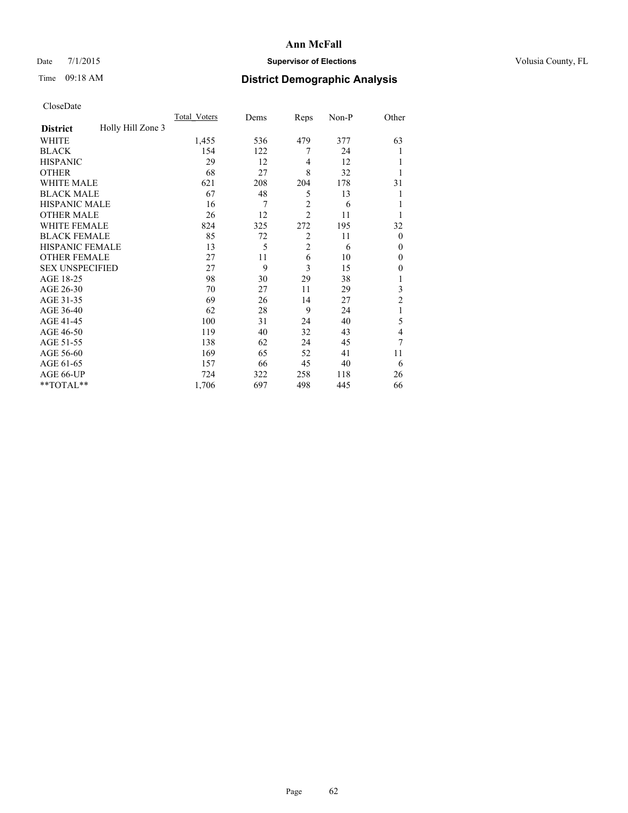### Date 7/1/2015 **Supervisor of Elections Supervisor of Elections** Volusia County, FL

# Time 09:18 AM **District Demographic Analysis**

|                        |                   | <b>Total Voters</b> | Dems | Reps           | Non-P | Other          |
|------------------------|-------------------|---------------------|------|----------------|-------|----------------|
| <b>District</b>        | Holly Hill Zone 3 |                     |      |                |       |                |
| WHITE                  |                   | 1,455               | 536  | 479            | 377   | 63             |
| <b>BLACK</b>           |                   | 154                 | 122  | 7              | 24    |                |
| <b>HISPANIC</b>        |                   | 29                  | 12   | 4              | 12    |                |
| <b>OTHER</b>           |                   | 68                  | 27   | 8              | 32    |                |
| WHITE MALE             |                   | 621                 | 208  | 204            | 178   | 31             |
| <b>BLACK MALE</b>      |                   | 67                  | 48   | 5              | 13    |                |
| <b>HISPANIC MALE</b>   |                   | 16                  | 7    | $\overline{c}$ | 6     |                |
| <b>OTHER MALE</b>      |                   | 26                  | 12   | $\overline{2}$ | 11    |                |
| <b>WHITE FEMALE</b>    |                   | 824                 | 325  | 272            | 195   | 32             |
| <b>BLACK FEMALE</b>    |                   | 85                  | 72   | $\overline{2}$ | 11    | $\overline{0}$ |
| <b>HISPANIC FEMALE</b> |                   | 13                  | 5    | $\overline{c}$ | 6     | $\theta$       |
| <b>OTHER FEMALE</b>    |                   | 27                  | 11   | 6              | 10    | $\theta$       |
| <b>SEX UNSPECIFIED</b> |                   | 27                  | 9    | 3              | 15    | $\mathbf{0}$   |
| AGE 18-25              |                   | 98                  | 30   | 29             | 38    |                |
| AGE 26-30              |                   | 70                  | 27   | 11             | 29    | 3              |
| AGE 31-35              |                   | 69                  | 26   | 14             | 27    | $\overline{c}$ |
| AGE 36-40              |                   | 62                  | 28   | 9              | 24    | 1              |
| AGE 41-45              |                   | 100                 | 31   | 24             | 40    | 5              |
| AGE 46-50              |                   | 119                 | 40   | 32             | 43    | 4              |
| AGE 51-55              |                   | 138                 | 62   | 24             | 45    | 7              |
| AGE 56-60              |                   | 169                 | 65   | 52             | 41    | 11             |
| AGE 61-65              |                   | 157                 | 66   | 45             | 40    | 6              |
| AGE 66-UP              |                   | 724                 | 322  | 258            | 118   | 26             |
| **TOTAL**              |                   | 1,706               | 697  | 498            | 445   | 66             |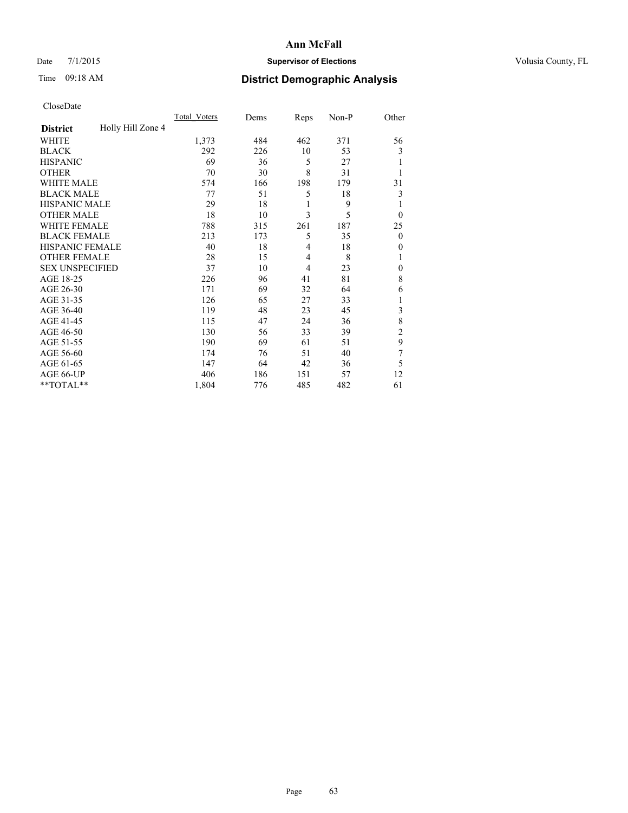### Date 7/1/2015 **Supervisor of Elections Supervisor of Elections** Volusia County, FL

# Time 09:18 AM **District Demographic Analysis**

|                        |                   | <b>Total Voters</b> | Dems | Reps | Non-P | Other          |
|------------------------|-------------------|---------------------|------|------|-------|----------------|
| <b>District</b>        | Holly Hill Zone 4 |                     |      |      |       |                |
| WHITE                  |                   | 1,373               | 484  | 462  | 371   | 56             |
| <b>BLACK</b>           |                   | 292                 | 226  | 10   | 53    | 3              |
| <b>HISPANIC</b>        |                   | 69                  | 36   | 5    | 27    |                |
| <b>OTHER</b>           |                   | 70                  | 30   | 8    | 31    |                |
| <b>WHITE MALE</b>      |                   | 574                 | 166  | 198  | 179   | 31             |
| <b>BLACK MALE</b>      |                   | 77                  | 51   | 5    | 18    | 3              |
| <b>HISPANIC MALE</b>   |                   | 29                  | 18   | 1    | 9     | 1              |
| <b>OTHER MALE</b>      |                   | 18                  | 10   | 3    | 5     | $\overline{0}$ |
| <b>WHITE FEMALE</b>    |                   | 788                 | 315  | 261  | 187   | 25             |
| <b>BLACK FEMALE</b>    |                   | 213                 | 173  | 5    | 35    | $\theta$       |
| <b>HISPANIC FEMALE</b> |                   | 40                  | 18   | 4    | 18    | 0              |
| <b>OTHER FEMALE</b>    |                   | 28                  | 15   | 4    | 8     |                |
| <b>SEX UNSPECIFIED</b> |                   | 37                  | 10   | 4    | 23    | $\mathbf{0}$   |
| AGE 18-25              |                   | 226                 | 96   | 41   | 81    | 8              |
| AGE 26-30              |                   | 171                 | 69   | 32   | 64    | 6              |
| AGE 31-35              |                   | 126                 | 65   | 27   | 33    |                |
| AGE 36-40              |                   | 119                 | 48   | 23   | 45    | 3              |
| AGE 41-45              |                   | 115                 | 47   | 24   | 36    | 8              |
| AGE 46-50              |                   | 130                 | 56   | 33   | 39    | 2              |
| AGE 51-55              |                   | 190                 | 69   | 61   | 51    | 9              |
| AGE 56-60              |                   | 174                 | 76   | 51   | 40    | 7              |
| AGE 61-65              |                   | 147                 | 64   | 42   | 36    | 5              |
| AGE 66-UP              |                   | 406                 | 186  | 151  | 57    | 12             |
| **TOTAL**              |                   | 1,804               | 776  | 485  | 482   | 61             |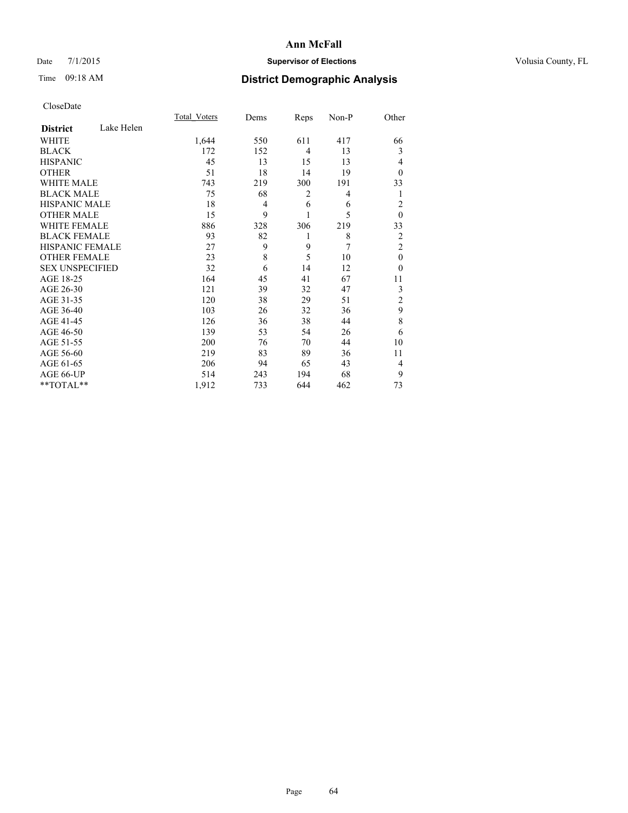### Date 7/1/2015 **Supervisor of Elections Supervisor of Elections** Volusia County, FL

# Time 09:18 AM **District Demographic Analysis**

|                        |            | <b>Total Voters</b> | Dems | Reps           | Non-P | Other          |
|------------------------|------------|---------------------|------|----------------|-------|----------------|
| <b>District</b>        | Lake Helen |                     |      |                |       |                |
| WHITE                  |            | 1,644               | 550  | 611            | 417   | 66             |
| <b>BLACK</b>           |            | 172                 | 152  | $\overline{4}$ | 13    | 3              |
| <b>HISPANIC</b>        |            | 45                  | 13   | 15             | 13    | 4              |
| <b>OTHER</b>           |            | 51                  | 18   | 14             | 19    | $\theta$       |
| WHITE MALE             |            | 743                 | 219  | 300            | 191   | 33             |
| <b>BLACK MALE</b>      |            | 75                  | 68   | 2              | 4     | 1              |
| <b>HISPANIC MALE</b>   |            | 18                  | 4    | 6              | 6     | $\overline{2}$ |
| <b>OTHER MALE</b>      |            | 15                  | 9    | 1              | 5     | $\mathbf{0}$   |
| <b>WHITE FEMALE</b>    |            | 886                 | 328  | 306            | 219   | 33             |
| <b>BLACK FEMALE</b>    |            | 93                  | 82   | 1              | 8     | $\overline{2}$ |
| <b>HISPANIC FEMALE</b> |            | 27                  | 9    | 9              | 7     | $\overline{2}$ |
| <b>OTHER FEMALE</b>    |            | 23                  | 8    | 5              | 10    | $\theta$       |
| <b>SEX UNSPECIFIED</b> |            | 32                  | 6    | 14             | 12    | $\theta$       |
| AGE 18-25              |            | 164                 | 45   | 41             | 67    | 11             |
| AGE 26-30              |            | 121                 | 39   | 32             | 47    | 3              |
| AGE 31-35              |            | 120                 | 38   | 29             | 51    | $\overline{c}$ |
| AGE 36-40              |            | 103                 | 26   | 32             | 36    | 9              |
| AGE 41-45              |            | 126                 | 36   | 38             | 44    | 8              |
| AGE 46-50              |            | 139                 | 53   | 54             | 26    | 6              |
| AGE 51-55              |            | 200                 | 76   | 70             | 44    | 10             |
| AGE 56-60              |            | 219                 | 83   | 89             | 36    | 11             |
| AGE 61-65              |            | 206                 | 94   | 65             | 43    | 4              |
| AGE 66-UP              |            | 514                 | 243  | 194            | 68    | 9              |
| **TOTAL**              |            | 1,912               | 733  | 644            | 462   | 73             |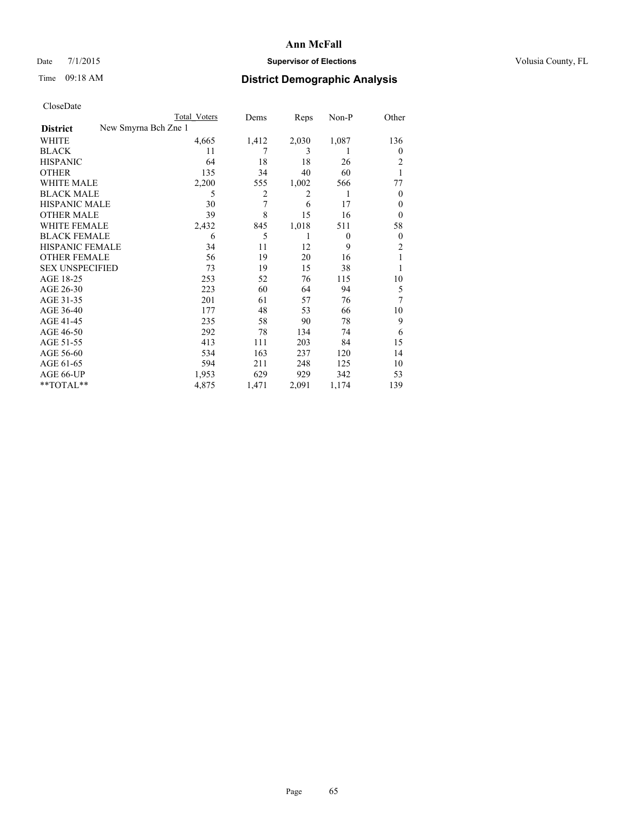# Date 7/1/2015 **Supervisor of Elections Supervisor of Elections** Volusia County, FL

|                        | <b>Total Voters</b>  | Dems  | Reps  | Non-P    | Other          |
|------------------------|----------------------|-------|-------|----------|----------------|
| <b>District</b>        | New Smyrna Bch Zne 1 |       |       |          |                |
| WHITE                  | 4,665                | 1,412 | 2,030 | 1,087    | 136            |
| <b>BLACK</b>           | 11                   | 7     | 3     | 1        | 0              |
| <b>HISPANIC</b>        | 64                   | 18    | 18    | 26       | 2              |
| <b>OTHER</b>           | 135                  | 34    | 40    | 60       |                |
| WHITE MALE             | 2,200                | 555   | 1,002 | 566      | 77             |
| <b>BLACK MALE</b>      | 5                    | 2     | 2     | 1        | $\overline{0}$ |
| <b>HISPANIC MALE</b>   | 30                   | 7     | 6     | 17       | 0              |
| <b>OTHER MALE</b>      | 39                   | 8     | 15    | 16       | $\overline{0}$ |
| <b>WHITE FEMALE</b>    | 2,432                | 845   | 1,018 | 511      | 58             |
| <b>BLACK FEMALE</b>    | 6                    | 5     | 1     | $\theta$ | $\overline{0}$ |
| <b>HISPANIC FEMALE</b> | 34                   | 11    | 12    | 9        | $\overline{c}$ |
| <b>OTHER FEMALE</b>    | 56                   | 19    | 20    | 16       |                |
| <b>SEX UNSPECIFIED</b> | 73                   | 19    | 15    | 38       |                |
| AGE 18-25              | 253                  | 52    | 76    | 115      | 10             |
| AGE 26-30              | 223                  | 60    | 64    | 94       | 5              |
| AGE 31-35              | 201                  | 61    | 57    | 76       | 7              |
| AGE 36-40              | 177                  | 48    | 53    | 66       | 10             |
| AGE 41-45              | 235                  | 58    | 90    | 78       | 9              |
| AGE 46-50              | 292                  | 78    | 134   | 74       | 6              |
| AGE 51-55              | 413                  | 111   | 203   | 84       | 15             |
| AGE 56-60              | 534                  | 163   | 237   | 120      | 14             |
| AGE 61-65              | 594                  | 211   | 248   | 125      | 10             |
| AGE 66-UP              | 1,953                | 629   | 929   | 342      | 53             |
| **TOTAL**              | 4,875                | 1,471 | 2,091 | 1,174    | 139            |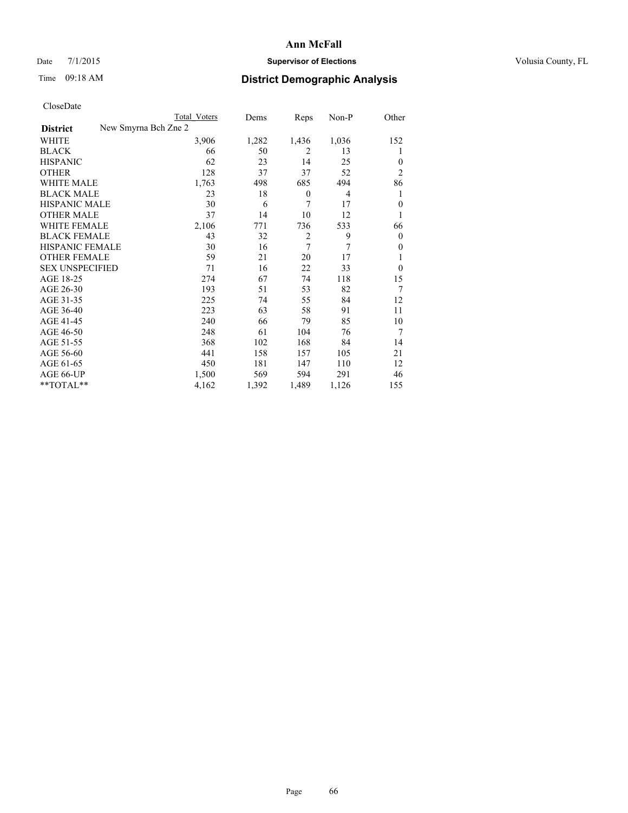# Date 7/1/2015 **Supervisor of Elections Supervisor of Elections** Volusia County, FL

| Total Voters | Dems                 | Reps           | $Non-P$        | Other          |
|--------------|----------------------|----------------|----------------|----------------|
|              |                      |                |                |                |
| 3,906        | 1,282                | 1,436          | 1,036          | 152            |
| 66           | 50                   | $\overline{2}$ | 13             | 1              |
| 62           | 23                   | 14             | 25             | $\overline{0}$ |
| 128          | 37                   | 37             | 52             | $\overline{2}$ |
| 1,763        | 498                  | 685            | 494            | 86             |
| 23           | 18                   | $\theta$       | $\overline{4}$ | 1              |
| 30           | 6                    | 7              | 17             | $\mathbf{0}$   |
| 37           | 14                   | 10             | 12             |                |
| 2,106        | 771                  | 736            | 533            | 66             |
| 43           | 32                   | $\overline{2}$ | 9              | $\theta$       |
| 30           | 16                   | 7              | 7              | $\overline{0}$ |
| 59           | 21                   | 20             | 17             |                |
| 71           | 16                   | 22             | 33             | $\theta$       |
| 274          | 67                   | 74             | 118            | 15             |
| 193          | 51                   | 53             | 82             | 7              |
| 225          | 74                   | 55             | 84             | 12             |
| 223          | 63                   | 58             | 91             | 11             |
| 240          | 66                   | 79             | 85             | 10             |
| 248          | 61                   | 104            | 76             | 7              |
| 368          | 102                  | 168            | 84             | 14             |
| 441          | 158                  | 157            | 105            | 21             |
| 450          | 181                  | 147            | 110            | 12             |
| 1,500        | 569                  | 594            | 291            | 46             |
| 4,162        | 1,392                | 1,489          | 1,126          | 155            |
|              | New Smyrna Bch Zne 2 |                |                |                |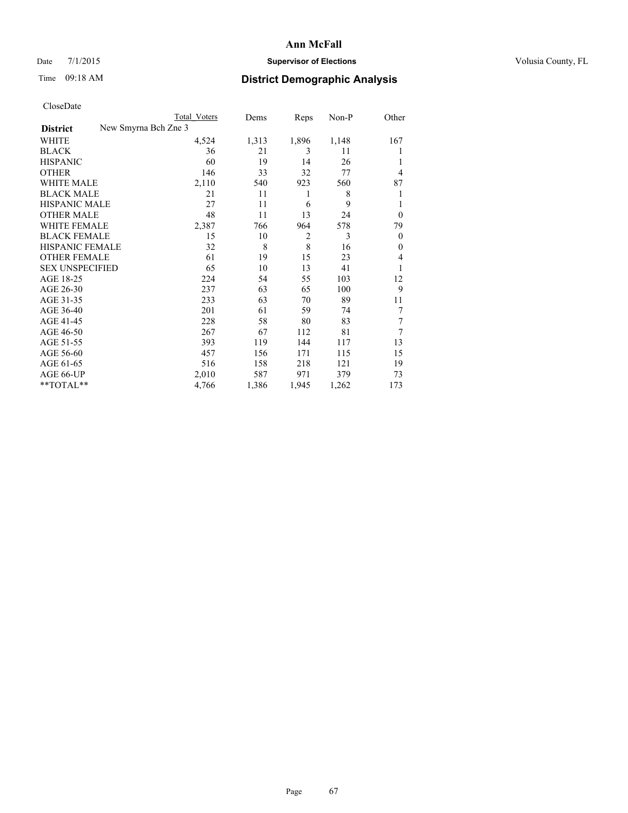# Date 7/1/2015 **Supervisor of Elections Supervisor of Elections** Volusia County, FL

|                        | <b>Total Voters</b>  | Dems  | Reps           | Non-P | Other          |
|------------------------|----------------------|-------|----------------|-------|----------------|
| <b>District</b>        | New Smyrna Bch Zne 3 |       |                |       |                |
| WHITE                  | 4,524                | 1,313 | 1,896          | 1,148 | 167            |
| <b>BLACK</b>           | 36                   | 21    | 3              | 11    |                |
| <b>HISPANIC</b>        | 60                   | 19    | 14             | 26    | 1              |
| <b>OTHER</b>           | 146                  | 33    | 32             | 77    | $\overline{4}$ |
| <b>WHITE MALE</b>      | 2,110                | 540   | 923            | 560   | 87             |
| <b>BLACK MALE</b>      | 21                   | 11    | 1              | 8     | 1              |
| <b>HISPANIC MALE</b>   | 27                   | 11    | 6              | 9     | l              |
| <b>OTHER MALE</b>      | 48                   | 11    | 13             | 24    | $\overline{0}$ |
| <b>WHITE FEMALE</b>    | 2,387                | 766   | 964            | 578   | 79             |
| <b>BLACK FEMALE</b>    | 15                   | 10    | $\overline{2}$ | 3     | $\overline{0}$ |
| <b>HISPANIC FEMALE</b> | 32                   | 8     | 8              | 16    | $\Omega$       |
| <b>OTHER FEMALE</b>    | 61                   | 19    | 15             | 23    | $\overline{4}$ |
| <b>SEX UNSPECIFIED</b> | 65                   | 10    | 13             | 41    | 1              |
| AGE 18-25              | 224                  | 54    | 55             | 103   | 12             |
| AGE 26-30              | 237                  | 63    | 65             | 100   | 9              |
| AGE 31-35              | 233                  | 63    | 70             | 89    | 11             |
| AGE 36-40              | 201                  | 61    | 59             | 74    | 7              |
| AGE 41-45              | 228                  | 58    | 80             | 83    | 7              |
| AGE 46-50              | 267                  | 67    | 112            | 81    | 7              |
| AGE 51-55              | 393                  | 119   | 144            | 117   | 13             |
| AGE 56-60              | 457                  | 156   | 171            | 115   | 15             |
| AGE 61-65              | 516                  | 158   | 218            | 121   | 19             |
| AGE 66-UP              | 2,010                | 587   | 971            | 379   | 73             |
| **TOTAL**              | 4,766                | 1,386 | 1,945          | 1,262 | 173            |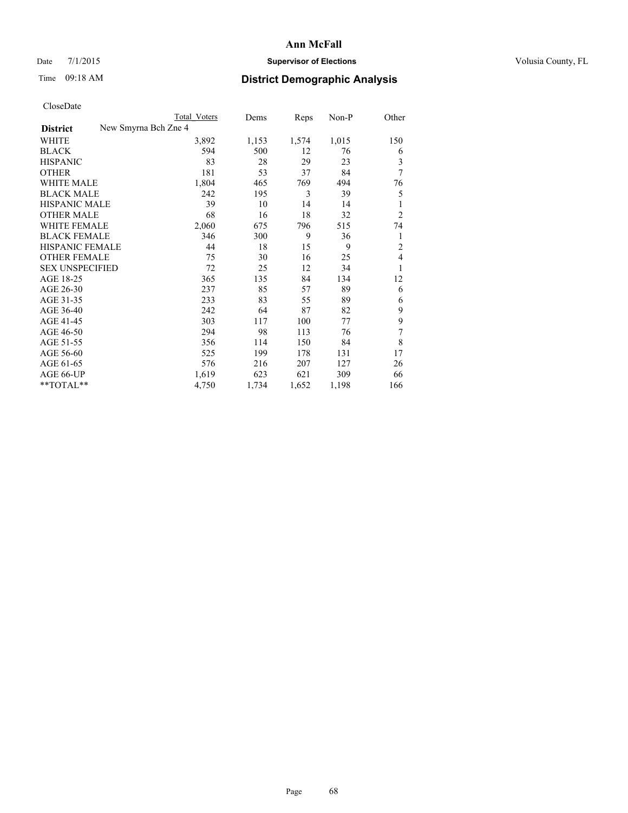### Date 7/1/2015 **Supervisor of Elections Supervisor of Elections** Volusia County, FL

| Total Voters | Dems                 | Reps  | $Non-P$ | Other          |
|--------------|----------------------|-------|---------|----------------|
|              |                      |       |         |                |
| 3,892        | 1,153                | 1,574 | 1,015   | 150            |
| 594          | 500                  | 12    | 76      | 6              |
| 83           | 28                   | 29    | 23      | 3              |
| 181          | 53                   | 37    | 84      | 7              |
| 1,804        | 465                  | 769   | 494     | 76             |
| 242          | 195                  | 3     | 39      | 5              |
| 39           | 10                   | 14    | 14      | 1              |
| 68           | 16                   | 18    | 32      | $\overline{2}$ |
| 2,060        | 675                  | 796   | 515     | 74             |
| 346          | 300                  | 9     | 36      | 1              |
| 44           | 18                   | 15    | 9       | $\overline{2}$ |
| 75           | 30                   | 16    | 25      | $\overline{4}$ |
| 72           | 25                   | 12    | 34      | 1              |
| 365          | 135                  | 84    | 134     | 12             |
| 237          | 85                   | 57    | 89      | 6              |
| 233          | 83                   | 55    | 89      | 6              |
| 242          | 64                   | 87    | 82      | 9              |
| 303          | 117                  | 100   | 77      | 9              |
| 294          | 98                   | 113   | 76      | 7              |
| 356          | 114                  | 150   | 84      | 8              |
| 525          | 199                  | 178   | 131     | 17             |
| 576          | 216                  | 207   | 127     | 26             |
| 1,619        | 623                  | 621   | 309     | 66             |
| 4,750        | 1,734                | 1,652 | 1,198   | 166            |
|              | New Smyrna Bch Zne 4 |       |         |                |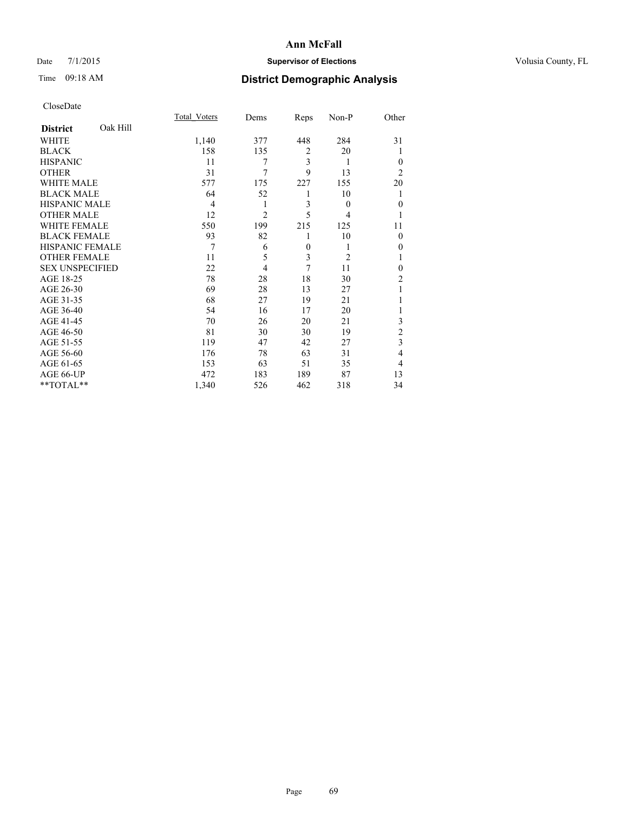### Date 7/1/2015 **Supervisor of Elections Supervisor of Elections** Volusia County, FL

# Time 09:18 AM **District Demographic Analysis**

|                        |          | <b>Total Voters</b> | Dems           | Reps           | Non-P          | Other          |
|------------------------|----------|---------------------|----------------|----------------|----------------|----------------|
| <b>District</b>        | Oak Hill |                     |                |                |                |                |
| WHITE                  |          | 1,140               | 377            | 448            | 284            | 31             |
| <b>BLACK</b>           |          | 158                 | 135            | $\overline{2}$ | 20             |                |
| <b>HISPANIC</b>        |          | 11                  | 7              | 3              | 1              | $\Omega$       |
| <b>OTHER</b>           |          | 31                  | 7              | 9              | 13             | $\overline{2}$ |
| WHITE MALE             |          | 577                 | 175            | 227            | 155            | 20             |
| <b>BLACK MALE</b>      |          | 64                  | 52             | 1              | 10             | 1              |
| <b>HISPANIC MALE</b>   |          | 4                   | 1              | 3              | $\theta$       | $\theta$       |
| <b>OTHER MALE</b>      |          | 12                  | $\overline{2}$ | 5              | $\overline{4}$ |                |
| <b>WHITE FEMALE</b>    |          | 550                 | 199            | 215            | 125            | 11             |
| <b>BLACK FEMALE</b>    |          | 93                  | 82             | 1              | 10             | $\Omega$       |
| HISPANIC FEMALE        |          | 7                   | 6              | $\overline{0}$ | 1              | $\Omega$       |
| <b>OTHER FEMALE</b>    |          | 11                  | 5              | 3              | 2              |                |
| <b>SEX UNSPECIFIED</b> |          | 22                  | $\overline{4}$ | 7              | 11             | $\theta$       |
| AGE 18-25              |          | 78                  | 28             | 18             | 30             | $\overline{c}$ |
| AGE 26-30              |          | 69                  | 28             | 13             | 27             | 1              |
| AGE 31-35              |          | 68                  | 27             | 19             | 21             |                |
| AGE 36-40              |          | 54                  | 16             | 17             | 20             |                |
| AGE 41-45              |          | 70                  | 26             | 20             | 21             | 3              |
| AGE 46-50              |          | 81                  | 30             | 30             | 19             | $\overline{c}$ |
| AGE 51-55              |          | 119                 | 47             | 42             | 27             | 3              |
| AGE 56-60              |          | 176                 | 78             | 63             | 31             | $\overline{4}$ |
| AGE 61-65              |          | 153                 | 63             | 51             | 35             | $\overline{4}$ |
| AGE 66-UP              |          | 472                 | 183            | 189            | 87             | 13             |
| **TOTAL**              |          | 1,340               | 526            | 462            | 318            | 34             |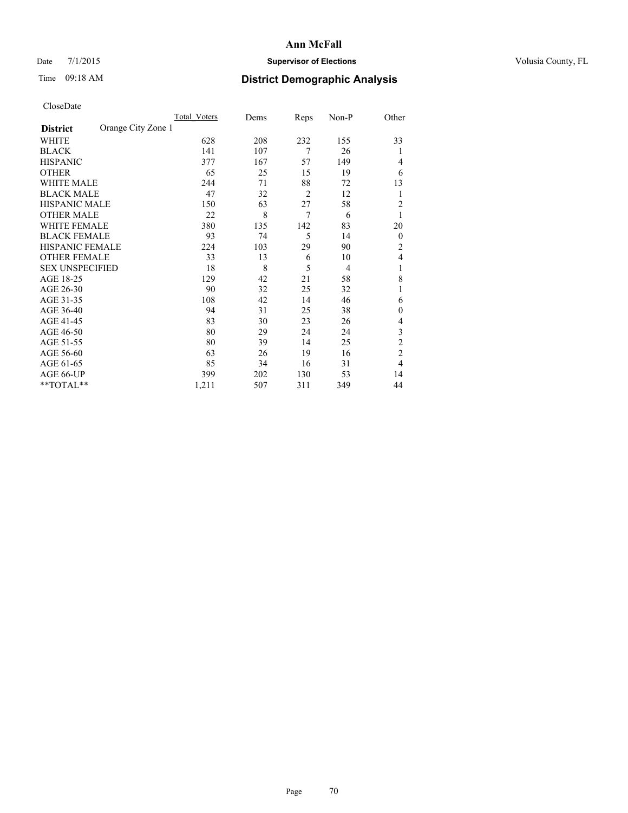### Date 7/1/2015 **Supervisor of Elections Supervisor of Elections** Volusia County, FL

# Time 09:18 AM **District Demographic Analysis**

|                        |                    | Total Voters | Dems | Reps           | Non-P | Other            |
|------------------------|--------------------|--------------|------|----------------|-------|------------------|
| <b>District</b>        | Orange City Zone 1 |              |      |                |       |                  |
| WHITE                  |                    | 628          | 208  | 232            | 155   | 33               |
| <b>BLACK</b>           |                    | 141          | 107  | 7              | 26    | 1                |
| <b>HISPANIC</b>        |                    | 377          | 167  | 57             | 149   | 4                |
| <b>OTHER</b>           |                    | 65           | 25   | 15             | 19    | 6                |
| WHITE MALE             |                    | 244          | 71   | 88             | 72    | 13               |
| <b>BLACK MALE</b>      |                    | 47           | 32   | $\overline{2}$ | 12    | 1                |
| <b>HISPANIC MALE</b>   |                    | 150          | 63   | 27             | 58    | $\overline{2}$   |
| <b>OTHER MALE</b>      |                    | 22           | 8    | $\overline{7}$ | 6     | 1                |
| WHITE FEMALE           |                    | 380          | 135  | 142            | 83    | 20               |
| <b>BLACK FEMALE</b>    |                    | 93           | 74   | 5              | 14    | $\boldsymbol{0}$ |
| HISPANIC FEMALE        |                    | 224          | 103  | 29             | 90    | 2                |
| <b>OTHER FEMALE</b>    |                    | 33           | 13   | 6              | 10    | 4                |
| <b>SEX UNSPECIFIED</b> |                    | 18           | 8    | 5              | 4     | 1                |
| AGE 18-25              |                    | 129          | 42   | 21             | 58    | 8                |
| AGE 26-30              |                    | 90           | 32   | 25             | 32    | 1                |
| AGE 31-35              |                    | 108          | 42   | 14             | 46    | 6                |
| AGE 36-40              |                    | 94           | 31   | 25             | 38    | $\mathbf{0}$     |
| AGE 41-45              |                    | 83           | 30   | 23             | 26    | 4                |
| AGE 46-50              |                    | 80           | 29   | 24             | 24    | 3                |
| AGE 51-55              |                    | 80           | 39   | 14             | 25    | $\overline{c}$   |
| AGE 56-60              |                    | 63           | 26   | 19             | 16    | $\overline{c}$   |
| AGE 61-65              |                    | 85           | 34   | 16             | 31    | 4                |
| AGE 66-UP              |                    | 399          | 202  | 130            | 53    | 14               |
| **TOTAL**              |                    | 1,211        | 507  | 311            | 349   | 44               |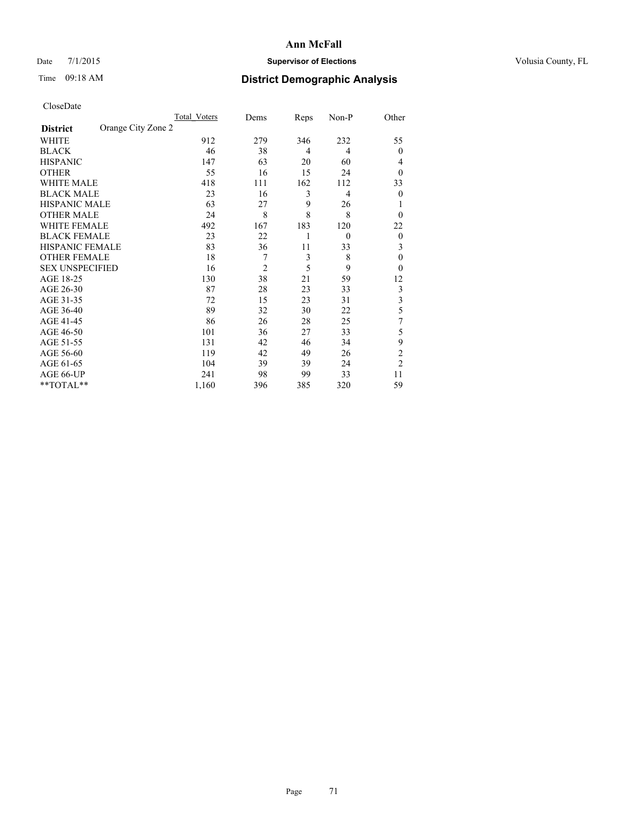### Date 7/1/2015 **Supervisor of Elections Supervisor of Elections** Volusia County, FL

# Time 09:18 AM **District Demographic Analysis**

|                        |                    | <b>Total Voters</b> | Dems           | Reps           | Non-P          | Other          |
|------------------------|--------------------|---------------------|----------------|----------------|----------------|----------------|
| <b>District</b>        | Orange City Zone 2 |                     |                |                |                |                |
| WHITE                  |                    | 912                 | 279            | 346            | 232            | 55             |
| <b>BLACK</b>           |                    | 46                  | 38             | $\overline{4}$ | 4              | $\theta$       |
| <b>HISPANIC</b>        |                    | 147                 | 63             | 20             | 60             | 4              |
| <b>OTHER</b>           |                    | 55                  | 16             | 15             | 24             | $\theta$       |
| WHITE MALE             |                    | 418                 | 111            | 162            | 112            | 33             |
| <b>BLACK MALE</b>      |                    | 23                  | 16             | 3              | $\overline{4}$ | $\theta$       |
| <b>HISPANIC MALE</b>   |                    | 63                  | 27             | 9              | 26             | 1              |
| <b>OTHER MALE</b>      |                    | 24                  | 8              | 8              | 8              | $\theta$       |
| <b>WHITE FEMALE</b>    |                    | 492                 | 167            | 183            | 120            | 22             |
| <b>BLACK FEMALE</b>    |                    | 23                  | 22             | 1              | $\overline{0}$ | $\theta$       |
| <b>HISPANIC FEMALE</b> |                    | 83                  | 36             | 11             | 33             | 3              |
| <b>OTHER FEMALE</b>    |                    | 18                  | 7              | 3              | 8              | $\theta$       |
| <b>SEX UNSPECIFIED</b> |                    | 16                  | $\overline{c}$ | 5              | 9              | $\theta$       |
| AGE 18-25              |                    | 130                 | 38             | 21             | 59             | 12             |
| AGE 26-30              |                    | 87                  | 28             | 23             | 33             | 3              |
| AGE 31-35              |                    | 72                  | 15             | 23             | 31             | 3              |
| AGE 36-40              |                    | 89                  | 32             | 30             | 22             | 5              |
| AGE 41-45              |                    | 86                  | 26             | 28             | 25             | 7              |
| AGE 46-50              |                    | 101                 | 36             | 27             | 33             | 5              |
| AGE 51-55              |                    | 131                 | 42             | 46             | 34             | 9              |
| AGE 56-60              |                    | 119                 | 42             | 49             | 26             | $\overline{c}$ |
| AGE 61-65              |                    | 104                 | 39             | 39             | 24             | $\overline{2}$ |
| AGE 66-UP              |                    | 241                 | 98             | 99             | 33             | 11             |
| **TOTAL**              |                    | 1,160               | 396            | 385            | 320            | 59             |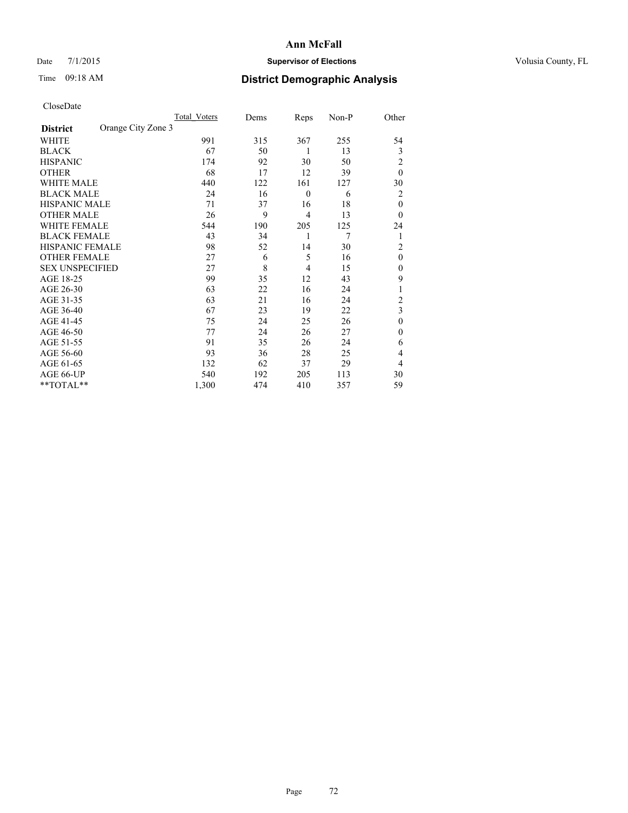### Date 7/1/2015 **Supervisor of Elections Supervisor of Elections** Volusia County, FL

# Time 09:18 AM **District Demographic Analysis**

|                        |                    | Total Voters | Dems | Reps             | Non-P | Other          |
|------------------------|--------------------|--------------|------|------------------|-------|----------------|
| <b>District</b>        | Orange City Zone 3 |              |      |                  |       |                |
| WHITE                  |                    | 991          | 315  | 367              | 255   | 54             |
| <b>BLACK</b>           |                    | 67           | 50   | 1                | 13    | 3              |
| <b>HISPANIC</b>        |                    | 174          | 92   | 30               | 50    | 2              |
| <b>OTHER</b>           |                    | 68           | 17   | 12               | 39    | $\theta$       |
| WHITE MALE             |                    | 440          | 122  | 161              | 127   | 30             |
| <b>BLACK MALE</b>      |                    | 24           | 16   | $\boldsymbol{0}$ | 6     | 2              |
| <b>HISPANIC MALE</b>   |                    | 71           | 37   | 16               | 18    | $\mathbf{0}$   |
| <b>OTHER MALE</b>      |                    | 26           | 9    | $\overline{4}$   | 13    | $\theta$       |
| <b>WHITE FEMALE</b>    |                    | 544          | 190  | 205              | 125   | 24             |
| <b>BLACK FEMALE</b>    |                    | 43           | 34   | 1                | 7     | 1              |
| <b>HISPANIC FEMALE</b> |                    | 98           | 52   | 14               | 30    | $\overline{c}$ |
| <b>OTHER FEMALE</b>    |                    | 27           | 6    | 5                | 16    | $\theta$       |
| <b>SEX UNSPECIFIED</b> |                    | 27           | 8    | 4                | 15    | $\mathbf{0}$   |
| AGE 18-25              |                    | 99           | 35   | 12               | 43    | 9              |
| AGE 26-30              |                    | 63           | 22   | 16               | 24    | 1              |
| AGE 31-35              |                    | 63           | 21   | 16               | 24    | $\overline{c}$ |
| AGE 36-40              |                    | 67           | 23   | 19               | 22    | 3              |
| AGE 41-45              |                    | 75           | 24   | 25               | 26    | $\mathbf{0}$   |
| AGE 46-50              |                    | 77           | 24   | 26               | 27    | $\mathbf{0}$   |
| AGE 51-55              |                    | 91           | 35   | 26               | 24    | 6              |
| AGE 56-60              |                    | 93           | 36   | 28               | 25    | 4              |
| AGE 61-65              |                    | 132          | 62   | 37               | 29    | 4              |
| AGE 66-UP              |                    | 540          | 192  | 205              | 113   | 30             |
| **TOTAL**              |                    | 1,300        | 474  | 410              | 357   | 59             |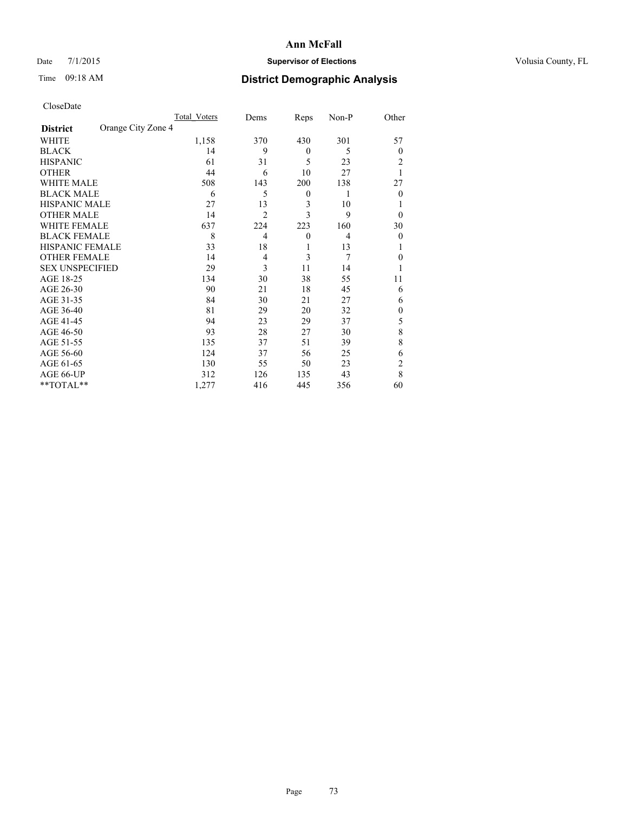## Date 7/1/2015 **Supervisor of Elections Supervisor of Elections** Volusia County, FL

## Time 09:18 AM **District Demographic Analysis**

|                        |                    | Total Voters | Dems           | Reps             | Non-P          | Other          |
|------------------------|--------------------|--------------|----------------|------------------|----------------|----------------|
| <b>District</b>        | Orange City Zone 4 |              |                |                  |                |                |
| WHITE                  |                    | 1,158        | 370            | 430              | 301            | 57             |
| <b>BLACK</b>           |                    | 14           | 9              | $\mathbf{0}$     | 5              | $\theta$       |
| <b>HISPANIC</b>        |                    | 61           | 31             | 5                | 23             | 2              |
| <b>OTHER</b>           |                    | 44           | 6              | 10               | 27             |                |
| WHITE MALE             |                    | 508          | 143            | 200              | 138            | 27             |
| <b>BLACK MALE</b>      |                    | 6            | 5              | $\boldsymbol{0}$ | 1              | $\theta$       |
| <b>HISPANIC MALE</b>   |                    | 27           | 13             | 3                | 10             |                |
| <b>OTHER MALE</b>      |                    | 14           | $\overline{2}$ | 3                | 9              | $\theta$       |
| <b>WHITE FEMALE</b>    |                    | 637          | 224            | 223              | 160            | 30             |
| <b>BLACK FEMALE</b>    |                    | 8            | $\overline{4}$ | $\mathbf{0}$     | $\overline{4}$ | $\theta$       |
| <b>HISPANIC FEMALE</b> |                    | 33           | 18             | 1                | 13             |                |
| <b>OTHER FEMALE</b>    |                    | 14           | 4              | 3                | 7              | $\theta$       |
| <b>SEX UNSPECIFIED</b> |                    | 29           | 3              | 11               | 14             |                |
| AGE 18-25              |                    | 134          | 30             | 38               | 55             | 11             |
| AGE 26-30              |                    | 90           | 21             | 18               | 45             | 6              |
| AGE 31-35              |                    | 84           | 30             | 21               | 27             | 6              |
| AGE 36-40              |                    | 81           | 29             | 20               | 32             | $\mathbf{0}$   |
| AGE 41-45              |                    | 94           | 23             | 29               | 37             | 5              |
| AGE 46-50              |                    | 93           | 28             | 27               | 30             | 8              |
| AGE 51-55              |                    | 135          | 37             | 51               | 39             | 8              |
| AGE 56-60              |                    | 124          | 37             | 56               | 25             | 6              |
| AGE 61-65              |                    | 130          | 55             | 50               | 23             | $\overline{c}$ |
| AGE 66-UP              |                    | 312          | 126            | 135              | 43             | 8              |
| **TOTAL**              |                    | 1,277        | 416            | 445              | 356            | 60             |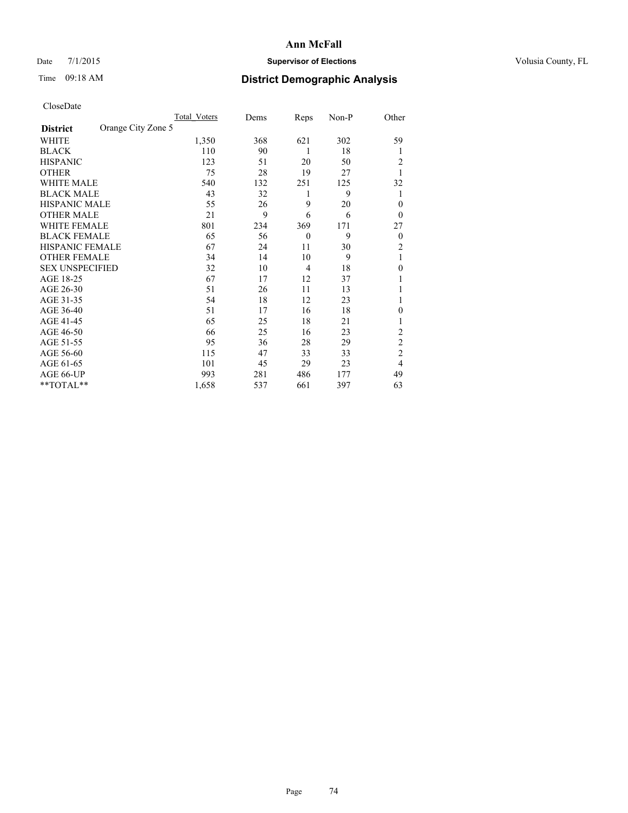## Date 7/1/2015 **Supervisor of Elections Supervisor of Elections** Volusia County, FL

## Time 09:18 AM **District Demographic Analysis**

|                        |                    | <b>Total Voters</b> | Dems | Reps           | Non-P | Other          |
|------------------------|--------------------|---------------------|------|----------------|-------|----------------|
| <b>District</b>        | Orange City Zone 5 |                     |      |                |       |                |
| WHITE                  |                    | 1,350               | 368  | 621            | 302   | 59             |
| <b>BLACK</b>           |                    | 110                 | 90   | 1              | 18    | 1              |
| <b>HISPANIC</b>        |                    | 123                 | 51   | 20             | 50    | 2              |
| <b>OTHER</b>           |                    | 75                  | 28   | 19             | 27    |                |
| WHITE MALE             |                    | 540                 | 132  | 251            | 125   | 32             |
| <b>BLACK MALE</b>      |                    | 43                  | 32   | 1              | 9     | 1              |
| <b>HISPANIC MALE</b>   |                    | 55                  | 26   | 9              | 20    | $\theta$       |
| <b>OTHER MALE</b>      |                    | 21                  | 9    | 6              | 6     | $\theta$       |
| WHITE FEMALE           |                    | 801                 | 234  | 369            | 171   | 27             |
| <b>BLACK FEMALE</b>    |                    | 65                  | 56   | $\overline{0}$ | 9     | $\overline{0}$ |
| <b>HISPANIC FEMALE</b> |                    | 67                  | 24   | 11             | 30    | $\overline{c}$ |
| <b>OTHER FEMALE</b>    |                    | 34                  | 14   | 10             | 9     | 1              |
| <b>SEX UNSPECIFIED</b> |                    | 32                  | 10   | $\overline{4}$ | 18    | $\mathbf{0}$   |
| AGE 18-25              |                    | 67                  | 17   | 12             | 37    |                |
| AGE 26-30              |                    | 51                  | 26   | 11             | 13    |                |
| AGE 31-35              |                    | 54                  | 18   | 12             | 23    |                |
| AGE 36-40              |                    | 51                  | 17   | 16             | 18    | 0              |
| AGE 41-45              |                    | 65                  | 25   | 18             | 21    |                |
| AGE 46-50              |                    | 66                  | 25   | 16             | 23    | 2              |
| AGE 51-55              |                    | 95                  | 36   | 28             | 29    | $\overline{c}$ |
| AGE 56-60              |                    | 115                 | 47   | 33             | 33    | $\overline{c}$ |
| AGE 61-65              |                    | 101                 | 45   | 29             | 23    | 4              |
| AGE 66-UP              |                    | 993                 | 281  | 486            | 177   | 49             |
| **TOTAL**              |                    | 1,658               | 537  | 661            | 397   | 63             |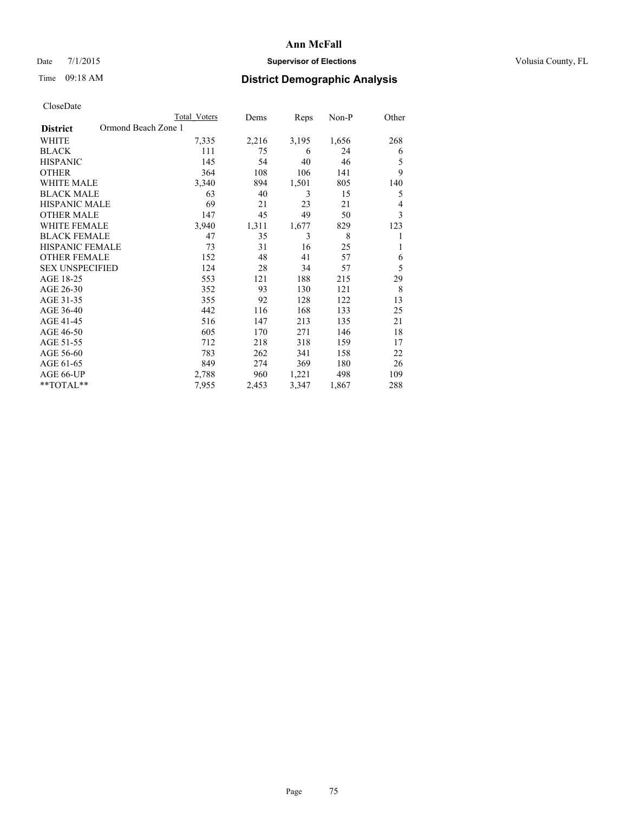## Date 7/1/2015 **Supervisor of Elections Supervisor of Elections** Volusia County, FL

## Time 09:18 AM **District Demographic Analysis**

|                                        | <b>Total Voters</b> | Dems  | Reps  | Non-P | Other |
|----------------------------------------|---------------------|-------|-------|-------|-------|
| Ormond Beach Zone 1<br><b>District</b> |                     |       |       |       |       |
| WHITE                                  | 7,335               | 2,216 | 3,195 | 1,656 | 268   |
| <b>BLACK</b>                           | 111                 | 75    | 6     | 24    | 6     |
| <b>HISPANIC</b>                        | 145                 | 54    | 40    | 46    | 5     |
| <b>OTHER</b>                           | 364                 | 108   | 106   | 141   | 9     |
| WHITE MALE                             | 3,340               | 894   | 1,501 | 805   | 140   |
| <b>BLACK MALE</b>                      | 63                  | 40    | 3     | 15    | 5     |
| HISPANIC MALE                          | 69                  | 21    | 23    | 21    | 4     |
| <b>OTHER MALE</b>                      | 147                 | 45    | 49    | 50    | 3     |
| WHITE FEMALE                           | 3,940               | 1,311 | 1,677 | 829   | 123   |
| <b>BLACK FEMALE</b>                    | 47                  | 35    | 3     | 8     | 1     |
| <b>HISPANIC FEMALE</b>                 | 73                  | 31    | 16    | 25    | 1     |
| <b>OTHER FEMALE</b>                    | 152                 | 48    | 41    | 57    | 6     |
| <b>SEX UNSPECIFIED</b>                 | 124                 | 28    | 34    | 57    | 5     |
| AGE 18-25                              | 553                 | 121   | 188   | 215   | 29    |
| AGE 26-30                              | 352                 | 93    | 130   | 121   | 8     |
| AGE 31-35                              | 355                 | 92    | 128   | 122   | 13    |
| AGE 36-40                              | 442                 | 116   | 168   | 133   | 25    |
| AGE 41-45                              | 516                 | 147   | 213   | 135   | 21    |
| AGE 46-50                              | 605                 | 170   | 271   | 146   | 18    |
| AGE 51-55                              | 712                 | 218   | 318   | 159   | 17    |
| AGE 56-60                              | 783                 | 262   | 341   | 158   | 22    |
| AGE 61-65                              | 849                 | 274   | 369   | 180   | 26    |
| AGE 66-UP                              | 2,788               | 960   | 1,221 | 498   | 109   |
| **TOTAL**                              | 7,955               | 2,453 | 3,347 | 1,867 | 288   |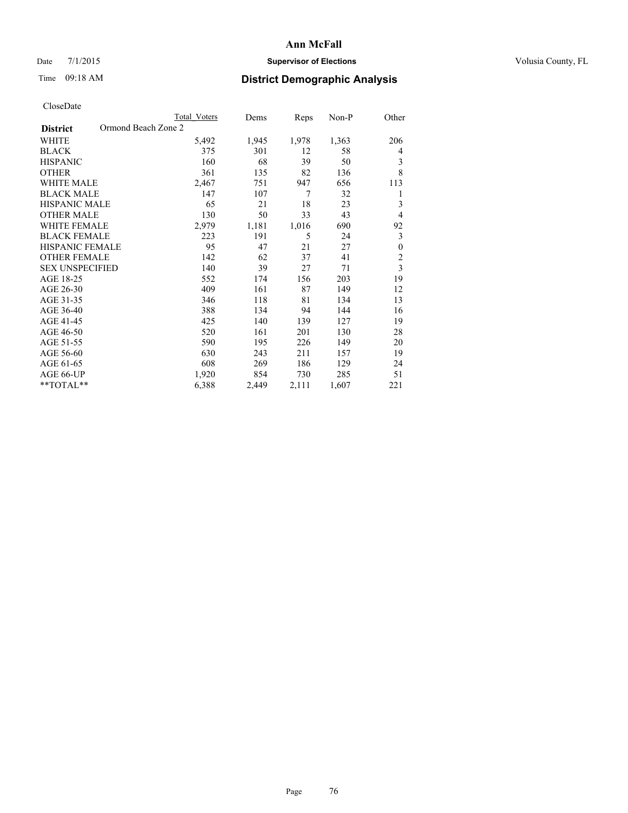## Date 7/1/2015 **Supervisor of Elections Supervisor of Elections** Volusia County, FL

## Time 09:18 AM **District Demographic Analysis**

|                                        | <b>Total Voters</b> | Dems  | Reps  | Non-P | Other                   |
|----------------------------------------|---------------------|-------|-------|-------|-------------------------|
| Ormond Beach Zone 2<br><b>District</b> |                     |       |       |       |                         |
| WHITE                                  | 5,492               | 1,945 | 1,978 | 1,363 | 206                     |
| <b>BLACK</b>                           | 375                 | 301   | 12    | 58    | 4                       |
| <b>HISPANIC</b>                        | 160                 | 68    | 39    | 50    | 3                       |
| <b>OTHER</b>                           | 361                 | 135   | 82    | 136   | 8                       |
| <b>WHITE MALE</b>                      | 2,467               | 751   | 947   | 656   | 113                     |
| <b>BLACK MALE</b>                      | 147                 | 107   | 7     | 32    | 1                       |
| HISPANIC MALE                          | 65                  | 21    | 18    | 23    | 3                       |
| <b>OTHER MALE</b>                      | 130                 | 50    | 33    | 43    | $\overline{4}$          |
| <b>WHITE FEMALE</b>                    | 2,979               | 1,181 | 1,016 | 690   | 92                      |
| <b>BLACK FEMALE</b>                    | 223                 | 191   | 5     | 24    | 3                       |
| <b>HISPANIC FEMALE</b>                 | 95                  | 47    | 21    | 27    | $\boldsymbol{0}$        |
| <b>OTHER FEMALE</b>                    | 142                 | 62    | 37    | 41    | $\overline{c}$          |
| <b>SEX UNSPECIFIED</b>                 | 140                 | 39    | 27    | 71    | $\overline{\mathbf{3}}$ |
| AGE 18-25                              | 552                 | 174   | 156   | 203   | 19                      |
| AGE 26-30                              | 409                 | 161   | 87    | 149   | 12                      |
| AGE 31-35                              | 346                 | 118   | 81    | 134   | 13                      |
| AGE 36-40                              | 388                 | 134   | 94    | 144   | 16                      |
| AGE 41-45                              | 425                 | 140   | 139   | 127   | 19                      |
| AGE 46-50                              | 520                 | 161   | 201   | 130   | 28                      |
| AGE 51-55                              | 590                 | 195   | 226   | 149   | 20                      |
| AGE 56-60                              | 630                 | 243   | 211   | 157   | 19                      |
| AGE 61-65                              | 608                 | 269   | 186   | 129   | 24                      |
| AGE 66-UP                              | 1,920               | 854   | 730   | 285   | 51                      |
| **TOTAL**                              | 6,388               | 2,449 | 2,111 | 1,607 | 221                     |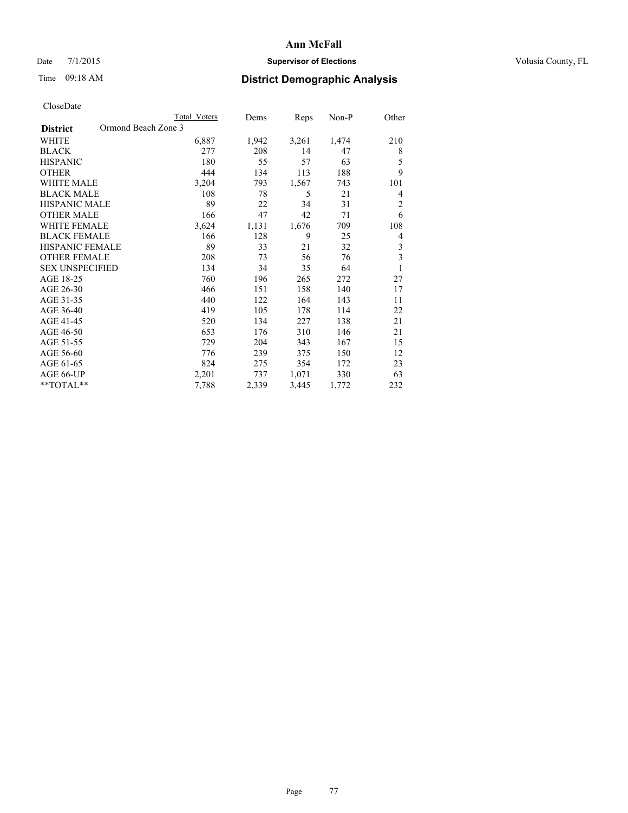## Date 7/1/2015 **Supervisor of Elections Supervisor of Elections** Volusia County, FL

## Time 09:18 AM **District Demographic Analysis**

|                                        | <b>Total Voters</b> | Dems  | Reps  | Non-P | Other                   |
|----------------------------------------|---------------------|-------|-------|-------|-------------------------|
| Ormond Beach Zone 3<br><b>District</b> |                     |       |       |       |                         |
| WHITE                                  | 6,887               | 1,942 | 3,261 | 1,474 | 210                     |
| <b>BLACK</b>                           | 277                 | 208   | 14    | 47    | 8                       |
| <b>HISPANIC</b>                        | 180                 | 55    | 57    | 63    | 5                       |
| <b>OTHER</b>                           | 444                 | 134   | 113   | 188   | 9                       |
| WHITE MALE                             | 3,204               | 793   | 1,567 | 743   | 101                     |
| <b>BLACK MALE</b>                      | 108                 | 78    | 5     | 21    | 4                       |
| HISPANIC MALE                          | 89                  | 22    | 34    | 31    | $\overline{c}$          |
| <b>OTHER MALE</b>                      | 166                 | 47    | 42    | 71    | 6                       |
| <b>WHITE FEMALE</b>                    | 3,624               | 1,131 | 1,676 | 709   | 108                     |
| <b>BLACK FEMALE</b>                    | 166                 | 128   | 9     | 25    | 4                       |
| <b>HISPANIC FEMALE</b>                 | 89                  | 33    | 21    | 32    | 3                       |
| <b>OTHER FEMALE</b>                    | 208                 | 73    | 56    | 76    | $\overline{\mathbf{3}}$ |
| <b>SEX UNSPECIFIED</b>                 | 134                 | 34    | 35    | 64    | $\mathbf{1}$            |
| AGE 18-25                              | 760                 | 196   | 265   | 272   | 27                      |
| AGE 26-30                              | 466                 | 151   | 158   | 140   | 17                      |
| AGE 31-35                              | 440                 | 122   | 164   | 143   | 11                      |
| AGE 36-40                              | 419                 | 105   | 178   | 114   | 22                      |
| AGE 41-45                              | 520                 | 134   | 227   | 138   | 21                      |
| AGE 46-50                              | 653                 | 176   | 310   | 146   | 21                      |
| AGE 51-55                              | 729                 | 204   | 343   | 167   | 15                      |
| AGE 56-60                              | 776                 | 239   | 375   | 150   | 12                      |
| AGE 61-65                              | 824                 | 275   | 354   | 172   | 23                      |
| AGE 66-UP                              | 2,201               | 737   | 1,071 | 330   | 63                      |
| **TOTAL**                              | 7,788               | 2,339 | 3,445 | 1,772 | 232                     |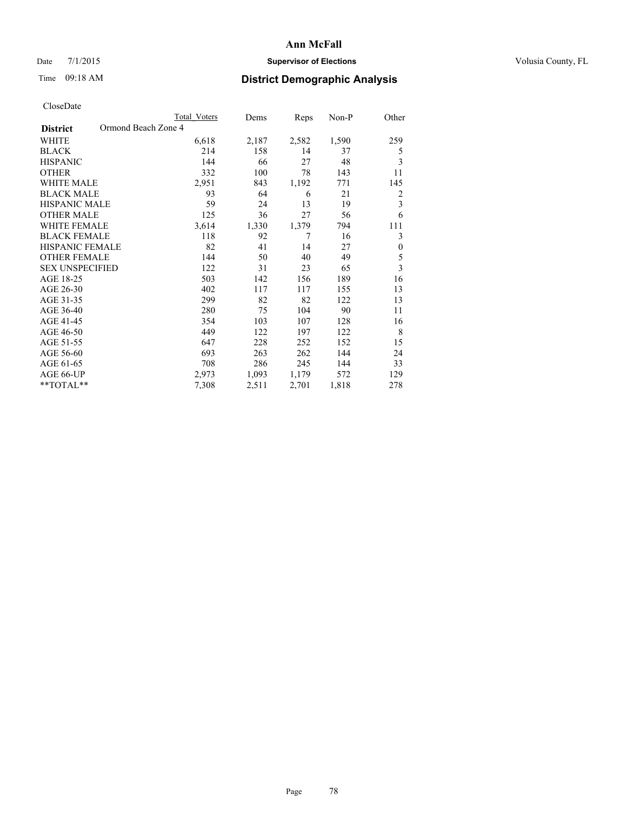## Date 7/1/2015 **Supervisor of Elections Supervisor of Elections** Volusia County, FL

## Time 09:18 AM **District Demographic Analysis**

|                                        | <b>Total Voters</b> | Dems  | Reps  | Non-P | Other            |
|----------------------------------------|---------------------|-------|-------|-------|------------------|
| Ormond Beach Zone 4<br><b>District</b> |                     |       |       |       |                  |
| WHITE                                  | 6,618               | 2,187 | 2,582 | 1,590 | 259              |
| <b>BLACK</b>                           | 214                 | 158   | 14    | 37    | 5                |
| <b>HISPANIC</b>                        | 144                 | 66    | 27    | 48    | 3                |
| <b>OTHER</b>                           | 332                 | 100   | 78    | 143   | 11               |
| WHITE MALE                             | 2,951               | 843   | 1,192 | 771   | 145              |
| <b>BLACK MALE</b>                      | 93                  | 64    | 6     | 21    | 2                |
| HISPANIC MALE                          | 59                  | 24    | 13    | 19    | 3                |
| <b>OTHER MALE</b>                      | 125                 | 36    | 27    | 56    | 6                |
| <b>WHITE FEMALE</b>                    | 3,614               | 1,330 | 1,379 | 794   | 111              |
| <b>BLACK FEMALE</b>                    | 118                 | 92    | 7     | 16    | 3                |
| <b>HISPANIC FEMALE</b>                 | 82                  | 41    | 14    | 27    | $\boldsymbol{0}$ |
| <b>OTHER FEMALE</b>                    | 144                 | 50    | 40    | 49    | 5                |
| <b>SEX UNSPECIFIED</b>                 | 122                 | 31    | 23    | 65    | $\overline{3}$   |
| AGE 18-25                              | 503                 | 142   | 156   | 189   | 16               |
| AGE 26-30                              | 402                 | 117   | 117   | 155   | 13               |
| AGE 31-35                              | 299                 | 82    | 82    | 122   | 13               |
| AGE 36-40                              | 280                 | 75    | 104   | 90    | 11               |
| AGE 41-45                              | 354                 | 103   | 107   | 128   | 16               |
| AGE 46-50                              | 449                 | 122   | 197   | 122   | 8                |
| AGE 51-55                              | 647                 | 228   | 252   | 152   | 15               |
| AGE 56-60                              | 693                 | 263   | 262   | 144   | 24               |
| AGE 61-65                              | 708                 | 286   | 245   | 144   | 33               |
| AGE 66-UP                              | 2,973               | 1,093 | 1,179 | 572   | 129              |
| **TOTAL**                              | 7,308               | 2,511 | 2,701 | 1,818 | 278              |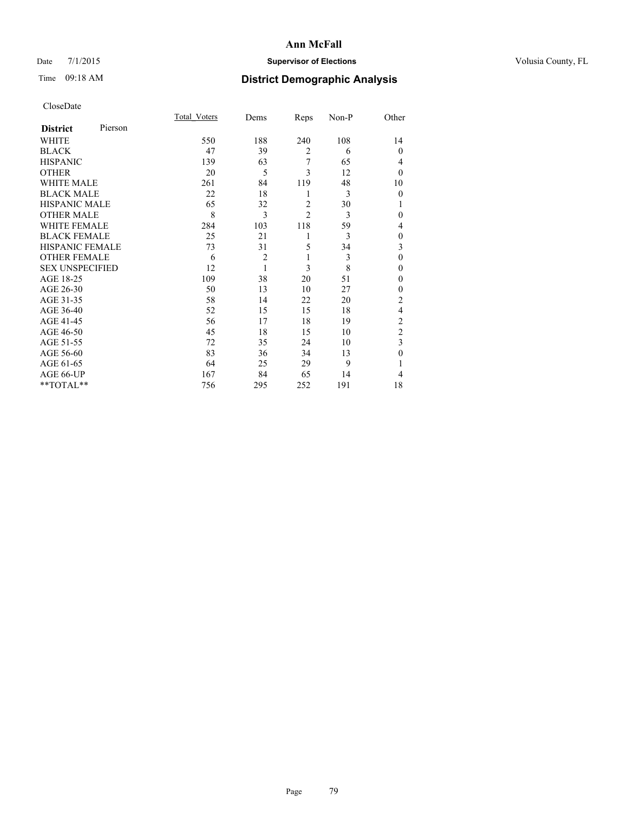## Date 7/1/2015 **Supervisor of Elections Supervisor of Elections** Volusia County, FL

# Time 09:18 AM **District Demographic Analysis**

|                        |         | Total Voters | Dems           | Reps           | Non-P | Other          |
|------------------------|---------|--------------|----------------|----------------|-------|----------------|
| <b>District</b>        | Pierson |              |                |                |       |                |
| WHITE                  |         | 550          | 188            | 240            | 108   | 14             |
| <b>BLACK</b>           |         | 47           | 39             | $\overline{2}$ | 6     | $\theta$       |
| <b>HISPANIC</b>        |         | 139          | 63             | 7              | 65    | 4              |
| <b>OTHER</b>           |         | 20           | 5              | 3              | 12    | $\theta$       |
| WHITE MALE             |         | 261          | 84             | 119            | 48    | 10             |
| <b>BLACK MALE</b>      |         | 22           | 18             | 1              | 3     | $\mathbf{0}$   |
| <b>HISPANIC MALE</b>   |         | 65           | 32             | $\overline{2}$ | 30    | 1              |
| <b>OTHER MALE</b>      |         | 8            | 3              | $\overline{c}$ | 3     | 0              |
| <b>WHITE FEMALE</b>    |         | 284          | 103            | 118            | 59    | 4              |
| <b>BLACK FEMALE</b>    |         | 25           | 21             | 1              | 3     | $\mathbf{0}$   |
| <b>HISPANIC FEMALE</b> |         | 73           | 31             | 5              | 34    | 3              |
| <b>OTHER FEMALE</b>    |         | 6            | $\overline{c}$ | 1              | 3     | $\theta$       |
| <b>SEX UNSPECIFIED</b> |         | 12           | 1              | 3              | 8     | $\mathbf{0}$   |
| AGE 18-25              |         | 109          | 38             | 20             | 51    | $\theta$       |
| AGE 26-30              |         | 50           | 13             | 10             | 27    | $\mathbf{0}$   |
| AGE 31-35              |         | 58           | 14             | 22             | 20    | $\overline{c}$ |
| AGE 36-40              |         | 52           | 15             | 15             | 18    | 4              |
| AGE 41-45              |         | 56           | 17             | 18             | 19    | $\overline{c}$ |
| AGE 46-50              |         | 45           | 18             | 15             | 10    | $\overline{2}$ |
| AGE 51-55              |         | 72           | 35             | 24             | 10    | 3              |
| AGE 56-60              |         | 83           | 36             | 34             | 13    | $\theta$       |
| AGE 61-65              |         | 64           | 25             | 29             | 9     | 1              |
| AGE 66-UP              |         | 167          | 84             | 65             | 14    | 4              |
| **TOTAL**              |         | 756          | 295            | 252            | 191   | 18             |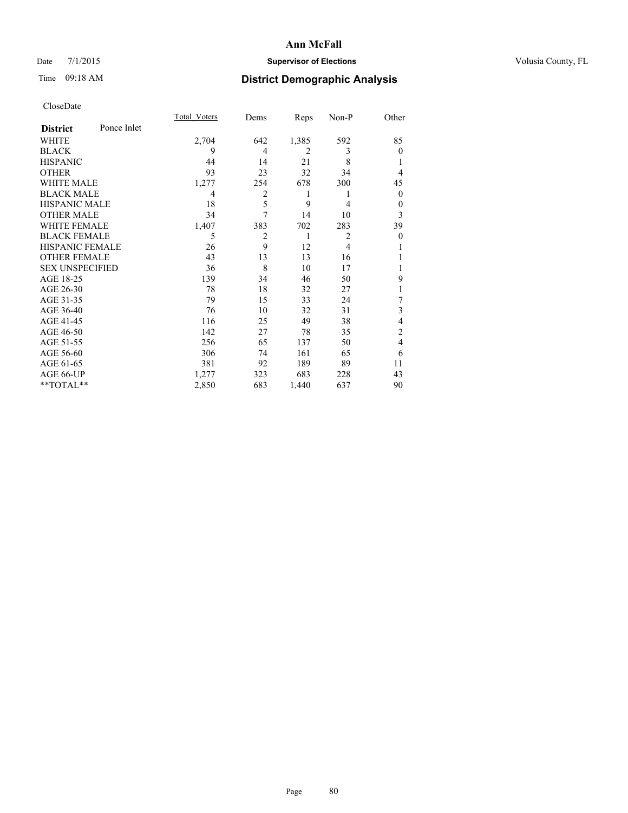## Date 7/1/2015 **Supervisor of Elections Supervisor of Elections** Volusia County, FL

## Time 09:18 AM **District Demographic Analysis**

|                        |             | <b>Total Voters</b> | Dems           | Reps  | Non-P          | Other    |
|------------------------|-------------|---------------------|----------------|-------|----------------|----------|
| <b>District</b>        | Ponce Inlet |                     |                |       |                |          |
| WHITE                  |             | 2,704               | 642            | 1,385 | 592            | 85       |
| <b>BLACK</b>           |             | 9                   | $\overline{4}$ | 2     | 3              | $\theta$ |
| <b>HISPANIC</b>        |             | 44                  | 14             | 21    | 8              |          |
| <b>OTHER</b>           |             | 93                  | 23             | 32    | 34             | 4        |
| WHITE MALE             |             | 1,277               | 254            | 678   | 300            | 45       |
| <b>BLACK MALE</b>      |             | 4                   | 2              | 1     | 1              | $\theta$ |
| <b>HISPANIC MALE</b>   |             | 18                  | 5              | 9     | 4              | $\theta$ |
| <b>OTHER MALE</b>      |             | 34                  | 7              | 14    | 10             | 3        |
| <b>WHITE FEMALE</b>    |             | 1,407               | 383            | 702   | 283            | 39       |
| <b>BLACK FEMALE</b>    |             | 5                   | $\overline{2}$ | 1     | 2              | $\theta$ |
| <b>HISPANIC FEMALE</b> |             | 26                  | 9              | 12    | $\overline{4}$ |          |
| <b>OTHER FEMALE</b>    |             | 43                  | 13             | 13    | 16             |          |
| <b>SEX UNSPECIFIED</b> |             | 36                  | 8              | 10    | 17             |          |
| AGE 18-25              |             | 139                 | 34             | 46    | 50             | 9        |
| AGE 26-30              |             | 78                  | 18             | 32    | 27             | 1        |
| AGE 31-35              |             | 79                  | 15             | 33    | 24             | 7        |
| AGE 36-40              |             | 76                  | 10             | 32    | 31             | 3        |
| AGE 41-45              |             | 116                 | 25             | 49    | 38             | 4        |
| AGE 46-50              |             | 142                 | 27             | 78    | 35             | 2        |
| AGE 51-55              |             | 256                 | 65             | 137   | 50             | 4        |
| AGE 56-60              |             | 306                 | 74             | 161   | 65             | 6        |
| AGE 61-65              |             | 381                 | 92             | 189   | 89             | 11       |
| AGE 66-UP              |             | 1,277               | 323            | 683   | 228            | 43       |
| **TOTAL**              |             | 2,850               | 683            | 1,440 | 637            | 90       |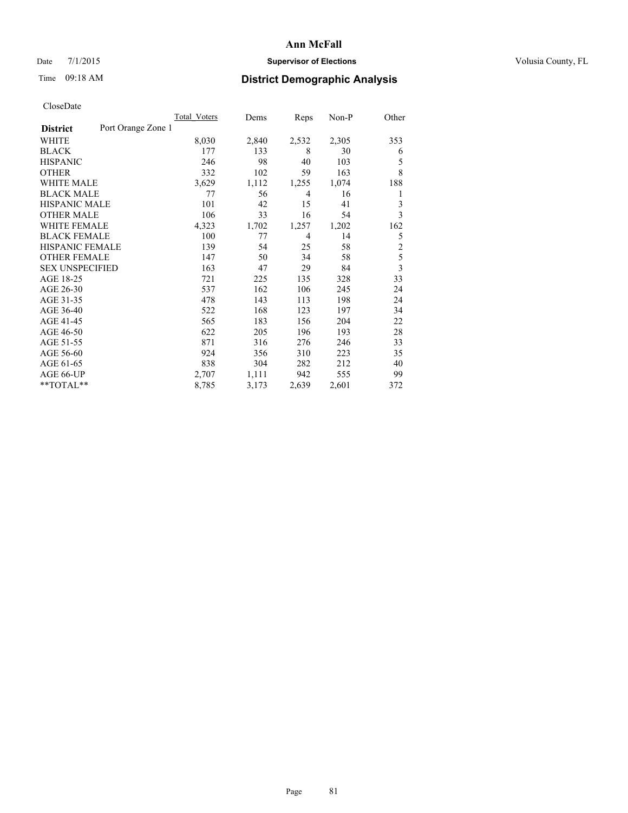## Date 7/1/2015 **Supervisor of Elections Supervisor of Elections** Volusia County, FL

# Time 09:18 AM **District Demographic Analysis**

|                        |                    | <b>Total Voters</b> | Dems  | Reps  | Non-P | Other          |
|------------------------|--------------------|---------------------|-------|-------|-------|----------------|
| <b>District</b>        | Port Orange Zone 1 |                     |       |       |       |                |
| WHITE                  |                    | 8,030               | 2,840 | 2,532 | 2,305 | 353            |
| <b>BLACK</b>           |                    | 177                 | 133   | 8     | 30    | 6              |
| <b>HISPANIC</b>        |                    | 246                 | 98    | 40    | 103   | 5              |
| <b>OTHER</b>           |                    | 332                 | 102   | 59    | 163   | 8              |
| WHITE MALE             |                    | 3,629               | 1,112 | 1,255 | 1,074 | 188            |
| <b>BLACK MALE</b>      |                    | 77                  | 56    | 4     | 16    | 1              |
| <b>HISPANIC MALE</b>   |                    | 101                 | 42    | 15    | 41    | 3              |
| <b>OTHER MALE</b>      |                    | 106                 | 33    | 16    | 54    | 3              |
| WHITE FEMALE           |                    | 4,323               | 1,702 | 1,257 | 1,202 | 162            |
| <b>BLACK FEMALE</b>    |                    | 100                 | 77    | 4     | 14    | 5              |
| HISPANIC FEMALE        |                    | 139                 | 54    | 25    | 58    | $\overline{2}$ |
| <b>OTHER FEMALE</b>    |                    | 147                 | 50    | 34    | 58    | 5              |
| <b>SEX UNSPECIFIED</b> |                    | 163                 | 47    | 29    | 84    | 3              |
| AGE 18-25              |                    | 721                 | 225   | 135   | 328   | 33             |
| AGE 26-30              |                    | 537                 | 162   | 106   | 245   | 24             |
| AGE 31-35              |                    | 478                 | 143   | 113   | 198   | 24             |
| AGE 36-40              |                    | 522                 | 168   | 123   | 197   | 34             |
| AGE 41-45              |                    | 565                 | 183   | 156   | 204   | 22             |
| AGE 46-50              |                    | 622                 | 205   | 196   | 193   | 28             |
| AGE 51-55              |                    | 871                 | 316   | 276   | 246   | 33             |
| AGE 56-60              |                    | 924                 | 356   | 310   | 223   | 35             |
| AGE 61-65              |                    | 838                 | 304   | 282   | 212   | 40             |
| AGE 66-UP              |                    | 2,707               | 1,111 | 942   | 555   | 99             |
| **TOTAL**              |                    | 8,785               | 3,173 | 2,639 | 2,601 | 372            |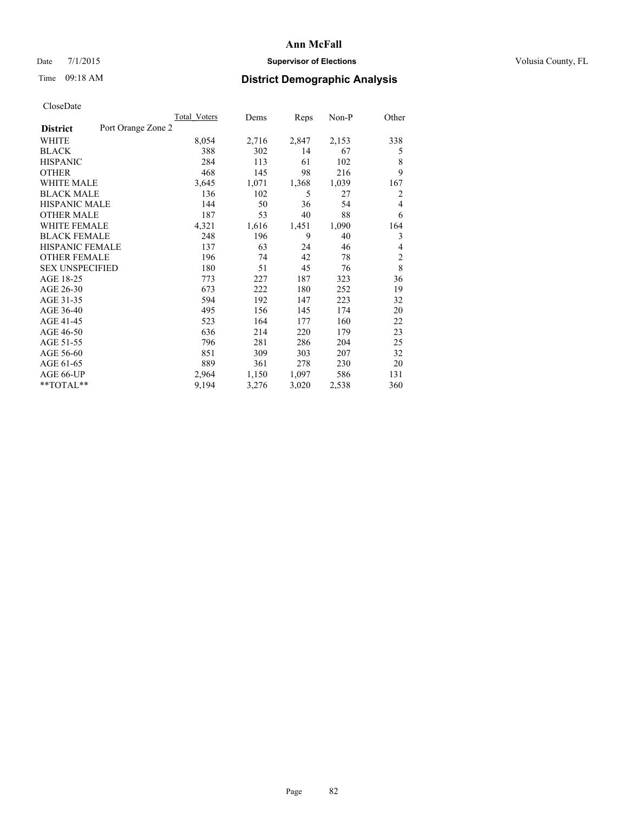## Date 7/1/2015 **Supervisor of Elections Supervisor of Elections** Volusia County, FL

# Time 09:18 AM **District Demographic Analysis**

|                        |                    | <b>Total Voters</b> | Dems  | Reps  | Non-P | Other          |
|------------------------|--------------------|---------------------|-------|-------|-------|----------------|
| <b>District</b>        | Port Orange Zone 2 |                     |       |       |       |                |
| WHITE                  |                    | 8,054               | 2,716 | 2,847 | 2,153 | 338            |
| <b>BLACK</b>           |                    | 388                 | 302   | 14    | 67    | 5              |
| <b>HISPANIC</b>        |                    | 284                 | 113   | 61    | 102   | 8              |
| <b>OTHER</b>           |                    | 468                 | 145   | 98    | 216   | 9              |
| WHITE MALE             |                    | 3,645               | 1,071 | 1,368 | 1,039 | 167            |
| <b>BLACK MALE</b>      |                    | 136                 | 102   | 5     | 27    | 2              |
| <b>HISPANIC MALE</b>   |                    | 144                 | 50    | 36    | 54    | 4              |
| <b>OTHER MALE</b>      |                    | 187                 | 53    | 40    | 88    | 6              |
| <b>WHITE FEMALE</b>    |                    | 4,321               | 1,616 | 1,451 | 1,090 | 164            |
| <b>BLACK FEMALE</b>    |                    | 248                 | 196   | 9     | 40    | 3              |
| <b>HISPANIC FEMALE</b> |                    | 137                 | 63    | 24    | 46    | 4              |
| <b>OTHER FEMALE</b>    |                    | 196                 | 74    | 42    | 78    | $\overline{c}$ |
| <b>SEX UNSPECIFIED</b> |                    | 180                 | 51    | 45    | 76    | 8              |
| AGE 18-25              |                    | 773                 | 227   | 187   | 323   | 36             |
| AGE 26-30              |                    | 673                 | 222   | 180   | 252   | 19             |
| AGE 31-35              |                    | 594                 | 192   | 147   | 223   | 32             |
| AGE 36-40              |                    | 495                 | 156   | 145   | 174   | 20             |
| AGE 41-45              |                    | 523                 | 164   | 177   | 160   | 22             |
| AGE 46-50              |                    | 636                 | 214   | 220   | 179   | 23             |
| AGE 51-55              |                    | 796                 | 281   | 286   | 204   | 25             |
| AGE 56-60              |                    | 851                 | 309   | 303   | 207   | 32             |
| AGE 61-65              |                    | 889                 | 361   | 278   | 230   | 20             |
| AGE 66-UP              |                    | 2,964               | 1,150 | 1,097 | 586   | 131            |
| $*$ TOTAL $*$          |                    | 9,194               | 3,276 | 3,020 | 2,538 | 360            |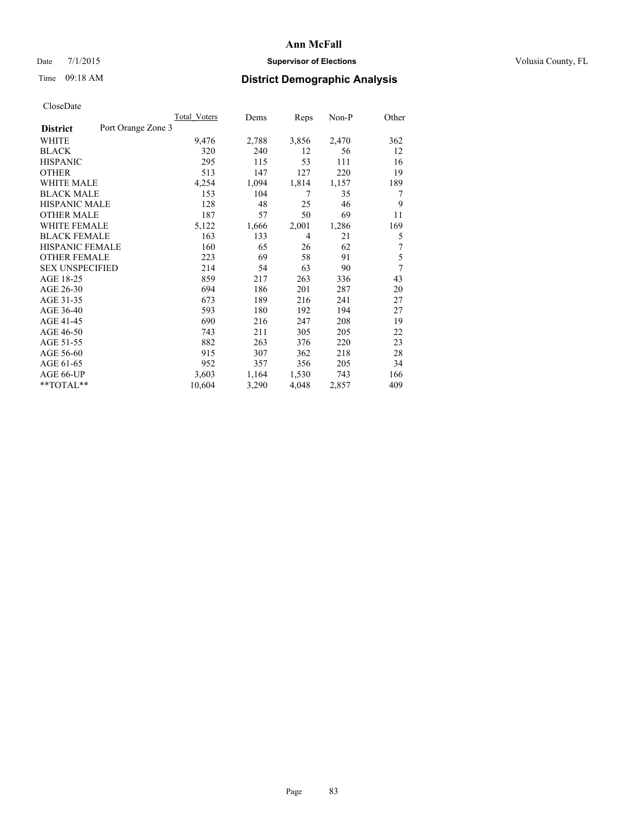## Date 7/1/2015 **Supervisor of Elections Supervisor of Elections** Volusia County, FL

# Time 09:18 AM **District Demographic Analysis**

|                        |                    | Total Voters | Dems  | Reps  | $Non-P$ | Other |
|------------------------|--------------------|--------------|-------|-------|---------|-------|
| <b>District</b>        | Port Orange Zone 3 |              |       |       |         |       |
| WHITE                  |                    | 9,476        | 2,788 | 3,856 | 2,470   | 362   |
| <b>BLACK</b>           |                    | 320          | 240   | 12    | 56      | 12    |
| <b>HISPANIC</b>        |                    | 295          | 115   | 53    | 111     | 16    |
| <b>OTHER</b>           |                    | 513          | 147   | 127   | 220     | 19    |
| WHITE MALE             |                    | 4,254        | 1,094 | 1,814 | 1,157   | 189   |
| <b>BLACK MALE</b>      |                    | 153          | 104   | 7     | 35      | 7     |
| <b>HISPANIC MALE</b>   |                    | 128          | 48    | 25    | 46      | 9     |
| <b>OTHER MALE</b>      |                    | 187          | 57    | 50    | 69      | 11    |
| WHITE FEMALE           |                    | 5,122        | 1,666 | 2,001 | 1,286   | 169   |
| <b>BLACK FEMALE</b>    |                    | 163          | 133   | 4     | 21      | 5     |
| HISPANIC FEMALE        |                    | 160          | 65    | 26    | 62      | 7     |
| <b>OTHER FEMALE</b>    |                    | 223          | 69    | 58    | 91      | 5     |
| <b>SEX UNSPECIFIED</b> |                    | 214          | 54    | 63    | 90      | 7     |
| AGE 18-25              |                    | 859          | 217   | 263   | 336     | 43    |
| AGE 26-30              |                    | 694          | 186   | 201   | 287     | 20    |
| AGE 31-35              |                    | 673          | 189   | 216   | 241     | 27    |
| AGE 36-40              |                    | 593          | 180   | 192   | 194     | 27    |
| AGE 41-45              |                    | 690          | 216   | 247   | 208     | 19    |
| AGE 46-50              |                    | 743          | 211   | 305   | 205     | 22    |
| AGE 51-55              |                    | 882          | 263   | 376   | 220     | 23    |
| AGE 56-60              |                    | 915          | 307   | 362   | 218     | 28    |
| AGE 61-65              |                    | 952          | 357   | 356   | 205     | 34    |
| AGE 66-UP              |                    | 3,603        | 1,164 | 1,530 | 743     | 166   |
| **TOTAL**              |                    | 10,604       | 3,290 | 4,048 | 2,857   | 409   |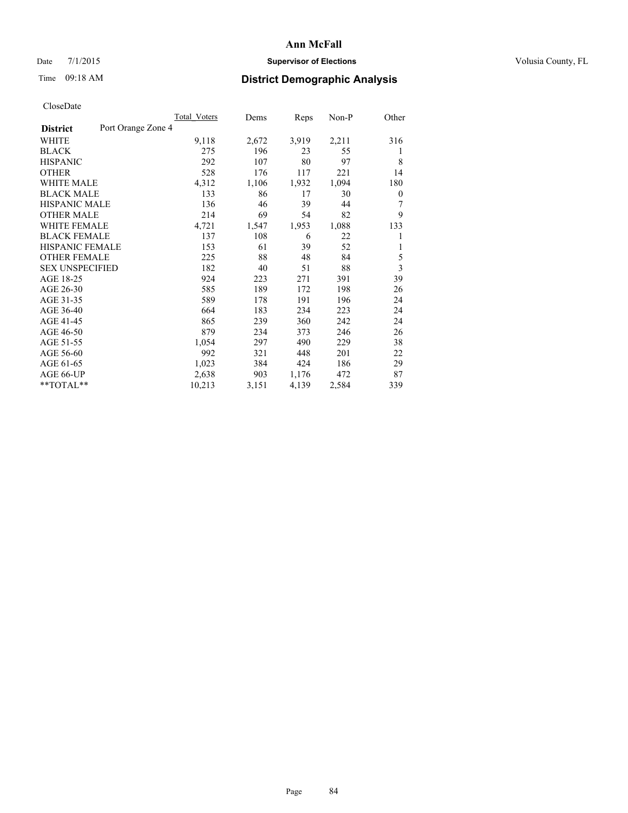## Date 7/1/2015 **Supervisor of Elections Supervisor of Elections** Volusia County, FL

# Time 09:18 AM **District Demographic Analysis**

|                        | Total Voters       | Dems  | Reps  | Non-P | Other |
|------------------------|--------------------|-------|-------|-------|-------|
| <b>District</b>        | Port Orange Zone 4 |       |       |       |       |
| WHITE                  | 9,118              | 2,672 | 3,919 | 2,211 | 316   |
| <b>BLACK</b>           | 275                | 196   | 23    | 55    | 1     |
| <b>HISPANIC</b>        | 292                | 107   | 80    | 97    | 8     |
| <b>OTHER</b>           | 528                | 176   | 117   | 221   | 14    |
| <b>WHITE MALE</b>      | 4,312              | 1,106 | 1,932 | 1,094 | 180   |
| <b>BLACK MALE</b>      | 133                | 86    | 17    | 30    | 0     |
| <b>HISPANIC MALE</b>   | 136                | 46    | 39    | 44    | 7     |
| <b>OTHER MALE</b>      | 214                | 69    | 54    | 82    | 9     |
| <b>WHITE FEMALE</b>    | 4,721              | 1,547 | 1,953 | 1,088 | 133   |
| <b>BLACK FEMALE</b>    | 137                | 108   | 6     | 22    | 1     |
| <b>HISPANIC FEMALE</b> | 153                | 61    | 39    | 52    | 1     |
| <b>OTHER FEMALE</b>    | 225                | 88    | 48    | 84    | 5     |
| <b>SEX UNSPECIFIED</b> | 182                | 40    | 51    | 88    | 3     |
| AGE 18-25              | 924                | 223   | 271   | 391   | 39    |
| AGE 26-30              | 585                | 189   | 172   | 198   | 26    |
| AGE 31-35              | 589                | 178   | 191   | 196   | 24    |
| AGE 36-40              | 664                | 183   | 234   | 223   | 24    |
| AGE 41-45              | 865                | 239   | 360   | 242   | 24    |
| AGE 46-50              | 879                | 234   | 373   | 246   | 26    |
| AGE 51-55              | 1,054              | 297   | 490   | 229   | 38    |
| AGE 56-60              | 992                | 321   | 448   | 201   | 22    |
| AGE 61-65              | 1,023              | 384   | 424   | 186   | 29    |
| AGE 66-UP              | 2,638              | 903   | 1,176 | 472   | 87    |
| **TOTAL**              | 10,213             | 3,151 | 4,139 | 2,584 | 339   |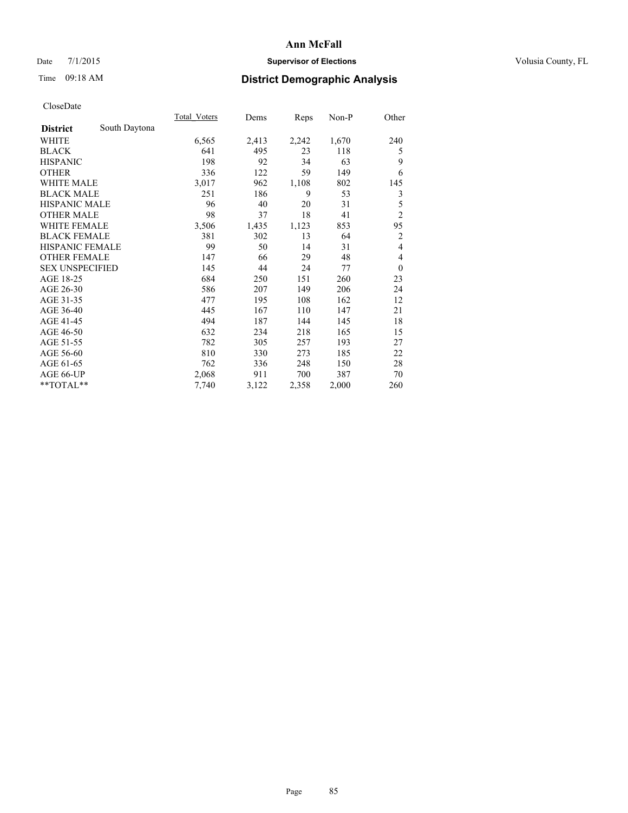## Date 7/1/2015 **Supervisor of Elections Supervisor of Elections** Volusia County, FL

# Time 09:18 AM **District Demographic Analysis**

|                        |               | <b>Total Voters</b> | Dems  | Reps  | Non-P | Other          |
|------------------------|---------------|---------------------|-------|-------|-------|----------------|
| <b>District</b>        | South Daytona |                     |       |       |       |                |
| WHITE                  |               | 6,565               | 2,413 | 2,242 | 1,670 | 240            |
| <b>BLACK</b>           |               | 641                 | 495   | 23    | 118   | 5              |
| <b>HISPANIC</b>        |               | 198                 | 92    | 34    | 63    | 9              |
| <b>OTHER</b>           |               | 336                 | 122   | 59    | 149   | 6              |
| <b>WHITE MALE</b>      |               | 3,017               | 962   | 1,108 | 802   | 145            |
| <b>BLACK MALE</b>      |               | 251                 | 186   | 9     | 53    | 3              |
| <b>HISPANIC MALE</b>   |               | 96                  | 40    | 20    | 31    | 5              |
| <b>OTHER MALE</b>      |               | 98                  | 37    | 18    | 41    | $\overline{2}$ |
| <b>WHITE FEMALE</b>    |               | 3,506               | 1,435 | 1,123 | 853   | 95             |
| <b>BLACK FEMALE</b>    |               | 381                 | 302   | 13    | 64    | $\overline{2}$ |
| <b>HISPANIC FEMALE</b> |               | 99                  | 50    | 14    | 31    | $\overline{4}$ |
| <b>OTHER FEMALE</b>    |               | 147                 | 66    | 29    | 48    | $\overline{4}$ |
| <b>SEX UNSPECIFIED</b> |               | 145                 | 44    | 24    | 77    | $\theta$       |
| AGE 18-25              |               | 684                 | 250   | 151   | 260   | 23             |
| AGE 26-30              |               | 586                 | 207   | 149   | 206   | 24             |
| AGE 31-35              |               | 477                 | 195   | 108   | 162   | 12             |
| AGE 36-40              |               | 445                 | 167   | 110   | 147   | 21             |
| AGE 41-45              |               | 494                 | 187   | 144   | 145   | 18             |
| AGE 46-50              |               | 632                 | 234   | 218   | 165   | 15             |
| AGE 51-55              |               | 782                 | 305   | 257   | 193   | 27             |
| AGE 56-60              |               | 810                 | 330   | 273   | 185   | 22             |
| AGE 61-65              |               | 762                 | 336   | 248   | 150   | 28             |
| AGE 66-UP              |               | 2,068               | 911   | 700   | 387   | 70             |
| **TOTAL**              |               | 7,740               | 3,122 | 2,358 | 2,000 | 260            |